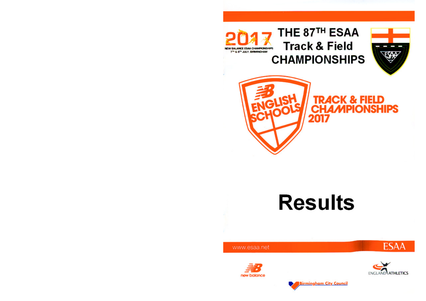

# **Results**

www.esaa.net





**ESAA** 

**Birmingham City Council**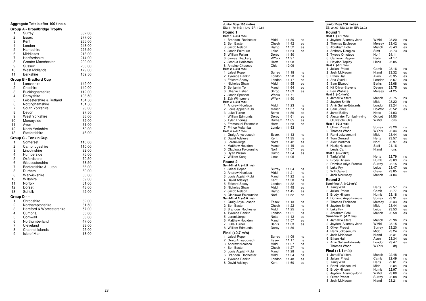### **Aggregate Totals after 100 finalsGroup A - Broadbridge Trophy**1 Surrey 382.00377.00 Essex 3 Kent 265.00248.00 4 London 226.50 5 Hampshire 218.00 6 Middlesex 214.00 7 Hertfordshire 209.00 8 Greater Manchester 203.00 9 Sussex 179.00 10 West Midlands 169.50 11 Berkshire **Group B - Bradford Cup**1 Lancashire 142.00140.00 2 Cheshire 112.00 3 Buckinghamshire 108.50 4 Derbyshire 104.50 5 Leicestershire & Rutland 101.50 6 Nottinghamshire<br>7 South Yorkshire 98.00 South Yorkshire 97.50 8 Devon 86.00 9 West Yorkshire 62.00 10 Merseyside 61.00 11 Avon 50.00 12 North Yorkshire 46.00 13 Staffordshire **Group C - Tonkin Cup**1 Somerset 116.00 110.00 2 Cambridgeshire 92.00 3 Lincolnshire 75.00 4 Humberside 70.50 5 Oxfordshire 68.50 6 Gloucestershire 66.00 7 Bedfordshire & Luton 60.00 8 Durham 60.00 8 Warwickshire 59.00 10 Wiltshire 51.00 11 Norfolk 48.00 12 Dorset 42.00 13 Suffolk **Group D - --**1 Shropshire 82.00 81.50 2 Northamptonshire<br>3 Hereford & Worce 57.00 Hereford & Worcestershire 55.00 4 Cumbria 53.00 5 Cornwall 47.00 6 Northumberland 33.00 7 Cleveland 25.00 8 Channel Islands

9 Isle of Man

|        | Junior Boys 100 metres<br>ES: 11.70 NS: 11.40 BP: 10.84 |              |       |    |
|--------|---------------------------------------------------------|--------------|-------|----|
|        | Round 1<br>Heat 1 (+0.4 m/s)                            |              |       |    |
| 1      | Brandon Rochester                                       | Midd         | 11.30 | ns |
| 2      | Ben Basten                                              | Chesh        | 11.42 | es |
| 3      | Jacob Nelson                                            | Hamp         | 11.52 | es |
| 4      | Jacob Fairhurst                                         | Leics        | 11.64 | es |
| 5      | William Pullan                                          | Derby        | 11.80 |    |
| 6      | James Thackery                                          | WYork        | 11.97 |    |
| 7      | Joshua Horleston                                        | Herts        | 11.98 |    |
| 8      | Antoine Chesney                                         | Chis         | 12.09 |    |
|        | Heat 2 (+0.8 m/s)                                       |              |       |    |
| 1      | Jaleel Roper                                            | Surrey       | 11.18 | ns |
| 2      | <b>Tyreece Rankin</b>                                   | London       | 11.28 | ns |
| 3      | <b>Edward Sesay</b>                                     | London       | 11.47 | es |
| 4      | Nicholas Shaw                                           | Midd         | 11.55 | es |
| 5      | Benjamin To                                             | Manch        | 11.64 | es |
| 6      | <b>Charlie Fisher</b>                                   | Shrop        | 11.69 | es |
| 7      | Jacob Spencer                                           | Warks        | 11.71 |    |
|        | 8 Zak Wimpenny<br>Heat 3 (+0.8 m/s)                     | <b>WYork</b> | 11.90 |    |
| 1      | Andrew Nicolaou                                         | Midd         | 11.23 | ns |
| 2      | Louis Appiah-Kubi                                       | Manch        | 11.37 | ns |
| 3      | Luke Turner                                             | Berks        | 11.56 | es |
| 4      | <b>William Edmunds</b>                                  | Derby        | 11.61 | es |
| 5      | <b>Tyler Thomas</b>                                     | Durham       | 11.65 | es |
| 6      | <b>Emmanuel Fatimehin</b>                               | Herts        | 11.68 | es |
| 7      | Prince Mulamba                                          | London       | 11.93 |    |
|        | Heat 4 (+0.7 m/s)                                       |              |       |    |
| 1      | Graig Anya-Joseph                                       | Essex        | 11.13 | ns |
| 2      | David Adeleye                                           | Kent         | 11.35 | ns |
|        | 3 Loreni Jorge                                          | Notts        | 11.42 | es |
|        | 4 Matthew Houlden                                       | Manch        | 11.49 | es |
| 5      | Olaoluwa Folorunsho                                     | Norf         | 11.57 | es |
| 6      | Ryan Wilson                                             | Cumb         | 11.64 | es |
| 7      | William Kong                                            | Lincs        | 11.95 |    |
|        | Round 2                                                 |              |       |    |
|        | Semi-final A (+1.5 m/s)                                 |              |       |    |
| 1      | Jaleel Roper                                            | Surrey       | 11.04 | ns |
|        | 2 Andrew Nicolaou                                       | Midd         | 11.21 | ns |
| 3      | Louis Appiah-Kubi                                       | Manch        | 11.22 | ns |
| 4      | David Adeleye                                           | Kent         | 11.30 | ns |
| 5      | <b>Edward Sesay</b>                                     | London       | 11.32 | ns |
| 6      | Nicholas Shaw                                           | Midd         | 11.45 | es |
| 7<br>8 | Jacob Nelson                                            | Hamp         | 11.45 | es |
|        | Olaoluwa Folorunsho<br>Semi-final B (+0.0 m/s)          | Norf         | 11.52 | es |
| 1      | Graig Anya-Joseph                                       | Essex        | 11.13 | ns |
| 2      | Ben Basten                                              | Chesh        | 11.22 | ns |
| 3      | Brandon Rochester                                       | Midd         | 11.25 | ns |
| 4      | <b>Tyreece Rankin</b>                                   | London       | 11.31 | ns |
| 5      | Loreni Jorge                                            | <b>Notts</b> | 11.42 | es |
| 6      | <b>Matthew Houlden</b>                                  | Manch        | 11.57 | es |
| 7      | Luke Turner                                             | Berks        | 11.63 | es |
| 8      | <b>William Edmunds</b>                                  | Derby        | 11.86 |    |
|        | Final (+0.7 m/s)                                        |              |       |    |
| 1      | Jaleel Roper                                            | Surrey       | 11.09 | ns |
| 2      | Graig Anya-Joseph                                       | Essex        | 11.17 | ns |
| 3      | Andrew Nicolaou                                         | Midd         | 11.27 | ns |
| 4      | Ben Basten                                              | Chesh        | 11.27 | ns |
| 5      | Louis Appiah-Kubi                                       | Manch        | 11.28 | ns |
| 6      | Brandon Rochester                                       | Midd         | 11.34 | ns |
| 7      | <b>Tyreece Rankin</b>                                   | London       | 11.48 | es |
| 8      | David Adeleye                                           | Kent         | 11.60 | es |
|        |                                                         |              |       |    |
|        |                                                         |              |       |    |

**Junior Boys 200 metres** ES: 24.00 NS: 23.30 BP: 22.03**Round 1 Heat 1 (-0.1 m/s)** 1 Jayden Allarnby-John WMid 23.20 nses 2 Thomas Eccleson Mersey 23.42<br>3 Abraham Fobil Manch 23.43  $es$ 3 Abraham Fobil  $AC$ 4 Anthony Douglas Staff 23.73<br>5 Tyrese Omotove Norf 24.11 5 Tyrese Omotoye Norf<br>6 Cameron Ravner Beds 24.17 6 Cameron Rayner Beds<br>
2 Havdon Topley 1 Incs 25.05 7 Haydon Topley **Heat 2 (-0.1 m/s)** 1 Julian Priest Camb 23.16 nses 2 Josh McKeown Nland 23.32 es 3 Ethan Hall **Avon** 23.35 es 4 Atta Gyedu London 23.57<br>5 Sam Elwood Berks 23.68  $AC$ 5 Sam Elwood es 6 Kit Oliver-Stevens Devon 23.75 7 Ben Wallace Mersey 24.25**Heat 3 (+0.4 m/s)** 1 Jamall Walters Manch 22.75 ns $ns$ 2 Jayden Smith Midd 23.22<br>3 Amir Sultan-Edwards London 23.24  $ns$ 3 Amir Sultan-Edwards es 4 Sam Jones H&Wor 23.52 5 Jared Bailey Notts 24.0324.50 6 Alexander Turnbull-Irving Oxford<br>Oluwatobi Oke WMid  $Ans.$ Oluwatobi Oke **Heat 4 (-0.3 m/s)** 1 Oliver Preest Surrey 23.20 nses 2 Thomas Wood WYork 23.34  $es$ 3 Remi Jokosenumi Midd 23.44 es 4 Tom Gerrard **Herts** 23.57  $ES$ 5 Alex Mortimer Norf 23.97 6 Haziq Hussain Staff 24.16 $dns$ Lewis Cant **Heat 5 (+0.7 m/s)**1 Tariq Wild 1 Herts 22.79 ns<br>2 Brody Hinson 1 Humb 23.03 ns ns 2 Brody Hinson Humb 23.03 nsns 3 Dominic Ariyo-Francis Surrey 23.15<br>4 Luke Frv 1 Leics 23.47 es 4 Luke Fry **Leics** 23.47<br>5 Will Calvert **Cleve** 23.85 es 5 Will Calvert 6 Jack Morrissey Manch 24.04**Round 2 Semi-final A (+0.9 m/s)**1 Tariq Wild  $\frac{1}{2}$  Herts 22.57 ns  $ns$ 2 Julian Priest  $ns$ 3 Brody Hinson Humb 23.18<br>4 Dominic Ariyo-Francis Surrey 23.31 es 4 Dominic Ariyo-Francis Surrey 23.31<br>5 Thomas Eccleson Mersey 23.33 es 5 Thomas Eccleson Mersey 23.33<br>6 Javden Smith Midd 23.44 es 6 Jayden Smith Midd 23.44<br>7 Luke Frv Leics 23.53 es 7 Luke Fry Franch Leics 23.53<br>8 Abraham Fobil – Manch 23.58 es 8 Abraham Fobil **Semi-final B (-1.2 m/s)**1 Jamall Walters Manch 22.96 nsns 2 Jayden Allarnby-John WMid 23.15<br>3 Oliver Preest Surrey 23.20  $ns$ 3 Oliver Preest Surrey 23.20<br>4 Remi Jokosenumi Midd 23.24 ns 4 Remi Jokosenumi es 5 Josh McKeown Nland 23.31  $AC$ 6 Ethan Hall **Avon** 23.34 es 7 Amir Sultan-Edwards London 23.47 Thomas Wood WYork dq **Final (+1.1 m/s)** 1 Jamall Walters Manch 22.48 ns $ns$ 2 Julian Priest Camb 22.49 ns 3 Tariq Wild **Herts** 22.61<br>4 Remi Jokosenumi Midd 22.84 ns 4 Remi Jokosenumi Midd ns 5 Brody Hinson Humb 22.97 ns $ns$ 6 Jayden Allarnby-John Mid 23.08<br>7 Oliver Preest Surrey 23.08 ns 7 Oliver Preest Surrey ns 8 Josh McKeown Nland 23.21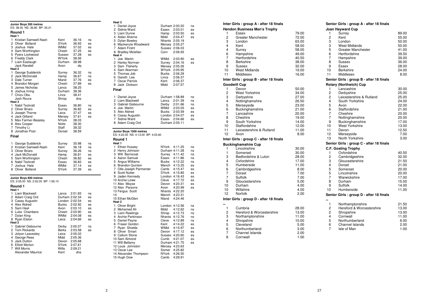| Junior Boys 300 metres<br>ES: 38.00 NS: 36.80 BP: 35.21                                                                                                                                                            |                                                                                             |                                                                                  |                                              |
|--------------------------------------------------------------------------------------------------------------------------------------------------------------------------------------------------------------------|---------------------------------------------------------------------------------------------|----------------------------------------------------------------------------------|----------------------------------------------|
| Round 1<br>Heat 1                                                                                                                                                                                                  |                                                                                             |                                                                                  |                                              |
| Kristian Samwell-Nash<br>1<br>2<br>Oliver Bolland<br>3<br>Joshua Hale<br>4<br>Sam Worthington<br>5<br>Pyers Lockwood<br>6<br><b>Freddy Clark</b><br>7<br>Liam Eastaugh<br><b>Jack Randell</b><br>Heat <sub>2</sub> | Kent<br>SYork<br><b>WMid</b><br>Chesh<br>Sussex<br>WYork<br>Durham<br>Avon                  | 36.16<br>36.93<br>37.02<br>37.25<br>37.28<br>38.56<br>38.98<br>dq                | ns<br>es<br>es<br>es<br>es                   |
| 1<br>George Sudderick<br>2<br>Jack McDonald<br>3<br>Dale Turner<br>4<br>Brandon Morgan<br>5<br>James Nicholas<br>6<br>Joshua Irving<br>Chizu Obu<br>7<br>Josh Roura<br>Heat <sub>3</sub>                           | Surrey<br>Hamp<br>Nland<br>Chesh<br>Lancs<br>Durham<br>Lincs<br>Shrop                       | 36.32<br>36.67<br>37.76<br>37.89<br>38.25<br>38.36<br>38.41<br>dns               | ns<br>ns<br>es<br>es                         |
| Nabil Tezkratt<br>1<br>2 Oliver Briars<br>3 Joseph Thorne<br>Jack Gilland<br>4<br>5 Max Farmer-Beasley<br>6<br>Alex Cooper<br>7<br>Timothy Li<br>8<br>Jonathan Post                                                | Essex<br>Surrey<br>Leics<br>Mersey<br>NYork<br>Notts<br>Staff<br>Dorset                     | 36.80<br>36.82<br>37.47<br>37.61<br>38.03<br>38.30<br>38.32<br>38.59             | ns<br>es<br>es<br>es                         |
| Final                                                                                                                                                                                                              |                                                                                             |                                                                                  |                                              |
| 1<br>George Sudderick<br>2<br>Kristian Samwell-Nash<br>3<br><b>Oliver Briars</b><br>4<br>Jack McDonald<br>5 Sam Worthington<br>Nabil Tezkratt<br>6<br>Joshua Hale<br>7<br>8 Oliver Bolland                         | Surrey<br>Kent<br>Surrey<br>Hamp<br>Chesh<br>Essex<br>WMid<br>SYork                         | 35.98<br>36.18<br>36.26<br>36.81<br>36.82<br>36.83<br>37.14<br>37.39             | ns<br>ns<br>ns<br>es<br>es<br>es<br>es<br>es |
| Junior Boys 800 metres<br>ES: 2:05.00 NS: 2:02.00 BP: 1:56.10                                                                                                                                                      |                                                                                             |                                                                                  |                                              |
| Round 1<br>Heat 1                                                                                                                                                                                                  |                                                                                             |                                                                                  |                                              |
| 1<br>Liam Blackwell<br>2<br>Adam Craig Ord<br>3 Casey Augustin<br>4<br>Alex Aldred<br>5 Sam Heal<br>6<br>Luke Chambers<br>7<br>Dylan King<br>8 Ryan Elston<br>Heat <sub>2</sub>                                    | Lancs<br>Durham 2:02.34<br>London 2:02.54<br><b>Bucks</b><br>Avon<br>Chesh<br>WMid<br>Leics | 2:01.83<br>2:02.92<br>2:03.10<br>2:03.90<br>2:04.08<br>2:04.66                   | ns<br>es<br>es<br>es<br>es<br>es<br>es<br>es |
| Gabriel Gisbourne<br>1<br>2<br><b>Tom Rickards</b><br>3<br>Jolyon Leavesley<br>4<br>George Rees<br>5<br><b>Jack Dutton</b><br>6<br><b>Elliott Morton</b><br><b>Will Morris</b><br>7<br><b>Alexander Maurice</b>    | Derby<br><b>Berks</b><br>Leics<br>Midd<br>Devon<br>SYork<br>Wilts<br>Kent                   | 2:00.07<br>2:03.58<br>2:05.02<br>2:05.36<br>2:05.68<br>2:07.61<br>2:09.21<br>dns | ns<br>es                                     |

| Heat 3                                                   |                               |         |    |
|----------------------------------------------------------|-------------------------------|---------|----|
| 1<br>Daniel Joyce                                        | Durham 2:00.20                |         | ns |
| 2 Sidnie Ward                                            | Essex 2:03.01                 |         | es |
| 3 Liam Dunne                                             | Hamp                          | 2:03.50 | es |
| 4 Aidan Aherne                                           | Midd                          | 2:04.47 | es |
| 5 Dylan Bowley                                           | Nhants 2:05.19                |         |    |
| 6 Mackenzie Woodward                                     | Mersey 2:05.27                |         |    |
| 7<br><b>Adam Firsht</b>                                  | Sussex 2:06.03                |         |    |
| 8 Bradley Mclellan                                       | Corn                          | 2:06.93 |    |
| Heat 4                                                   |                               |         |    |
| 1<br>Joe Martin                                          | WMid                          | 2:03.90 | es |
| 2<br>Harley Norman                                       | Surrey                        | 2:04.16 | es |
| 3<br>Sam Flaherty                                        | Mersey 2:05.26                |         |    |
| 4 Sam Akerman                                            | WYork                         | 2:05.95 |    |
| 5<br>Thomas Job                                          | <b>Bucks</b>                  | 2:06.29 |    |
| 6 Gareth Lee                                             | Lincs                         | 2:06.37 |    |
| 7<br><b>Oscar Parrick</b>                                | Kent                          | 2:06.37 |    |
| 8 Jack Dickson                                           | Midd                          | 2:07.57 |    |
|                                                          |                               |         |    |
| Final                                                    |                               |         |    |
| 1<br>Daniel Joyce                                        | Durham 1:58.89                |         | ns |
| 2<br>Liam Blackwell                                      | Lancs                         | 2:01.39 | ns |
| 3 Gabriel Gisbourne                                      | Derby                         | 2:01.66 | ns |
| 4 Joe Martin                                             | WMid                          |         |    |
|                                                          |                               | 2:03.05 | es |
| 5 Alex Aldred                                            | <b>Bucks</b>                  | 2:03.59 | es |
| Casey Augustin<br>6                                      | London 2:04.07                |         | es |
| 7<br>Sidnie Ward                                         | Essex                         | 2:04.66 | es |
| 8 Adam Craig Ord                                         | Durham 2:05.11                |         |    |
| ES: 4:22.00 NS: 4:13.00 BP: 4:03.60<br>Round 1<br>Heat 1 |                               |         |    |
| 1<br><b>Ethan Hussey</b>                                 | NYork                         | 4:11.25 | ns |
| 2 Henry Johnson                                          | Durham 4:11.28                |         | ns |
| 3 Will Barnicoat                                         | Surrey 4:11.42                |         | ns |
| 4 Aaron Samuel                                           | Essex                         | 4:11.86 | ns |
| 5 Angus Williams                                         | Bucks                         | 4:12.22 | ns |
| 6<br><b>Brandon Quinton</b>                              | Manch                         | 4:13.25 | es |
| 7<br>Olle-Joseph Parmenter                               |                               |         | es |
| 8 Scott Nutter                                           | Camb 4:15.47<br>SYork 4:15.85 |         | es |
| 9 Jaden Kennedy                                          | London 4:16.43                |         | es |
| 10 Archie Lowe                                           | Cleve                         | 4:17.72 |    |
| 11 Alex Moyse                                            |                               |         | es |
|                                                          |                               | 4:20.31 | es |
|                                                          | Devon                         |         | es |
| 12 Alex Parsons                                          | Avon                          | 4:20.99 |    |
| 13 Fergus Scott<br>14                                    | Nhants 4:22.20                | 4:23.31 |    |
| 15 Ethan McGlen                                          | Manch<br>Nland                | 4:24.46 |    |
| Heat 2                                                   |                               |         |    |
| 1<br>Oliver Bright                                       | London 4:12.56                |         | ns |
| 2 Mohamed Ali                                            | Midd                          | 4:12.62 | ns |
|                                                          |                               |         | ns |
| 3 Liam Rawlings<br>4 Archie Parkinson                    | Shrop 4:12.73<br>Nhants       | 4:12.76 | ns |
| 5 Daniel Payne                                           | Cleve                         | 4:12.89 | ns |
| 6 Fraser Gordon                                          | Kent                          | 4:14.22 | es |
| 7<br>Ryan Shields                                        | WMid                          | 4:15.97 | es |
|                                                          | Devon                         | 4:17.12 | es |
| 8 Oliver Smart<br>9 Callum Stone                         | Sussex 4:20.60                |         | es |
| 10 Sam Almond                                            | Cumb                          | 4:21.07 | es |
| 11 Will Bellamy                                          | Durham 4:21.75                |         | es |
|                                                          |                               |         |    |
| 12 Louis Johnston                                        | Mersey 4:23.63<br>Somer       | 4:25.82 |    |
| 13 Oscar Lee<br>14 Alexander Thompson                    | NYork                         | 4:26.50 |    |

15 Hugh Dow Camb 4:29.91

es

es

es

 $\overline{es}$ 

ns

ns

es

es

es

es

ns

8 Cornwall

ns

ns

ns

es

es

es

es

es

es

es

 $ns$ 

ns

ns

ns

es

es

es

es

 $es$ 

es

|    | Inter Girls : group A - after 18 finals |       | S6           |
|----|-----------------------------------------|-------|--------------|
|    | <b>Hendon Business Men's Trophy</b>     |       | Jc           |
| 1  | Essex                                   | 79.00 |              |
| 2  | <b>Greater Manchester</b>               | 72.00 |              |
| 3  | London                                  | 63.00 |              |
| 4  | Kent                                    | 58.00 |              |
| 4  | Surrey                                  | 58.00 |              |
| 6  | Hampshire                               | 49.00 |              |
| 7  | Hertfordshire                           | 40.50 |              |
| 8  | <b>Berkshire</b>                        | 38.00 |              |
| 9  | Sussex                                  | 32.00 |              |
| 10 | <b>West Midlands</b>                    | 19.00 | 1            |
| 11 | Middlesex                               | 16.00 | 1            |
|    | Inter Girls: group B - after 18 finals  |       | Sс           |
|    | <b>Goodwill Cup</b>                     |       | R٥           |
| 1  | Devon                                   | 50.00 |              |
| 2  | <b>West Yorkshire</b>                   | 34.00 |              |
| 3  | Derbyshire                              | 27.00 |              |
| 4  | Nottinghamshire                         | 26.50 |              |
| 5  | Merseyside                              | 23.00 |              |
| 6  | Buckinghamshire                         | 21.00 |              |
| 7  | Lancashire                              | 20.00 |              |
| 8  | Cheshire                                | 19.00 |              |
| 9  | South Yorkshire                         | 14.00 |              |
| 10 | Staffordshire                           | 12.00 | $\mathbf{1}$ |
| 11 | Leicestershire & Rutland                | 11.00 | 1            |
| 12 | Avon                                    | 8.00  | $\mathbf{1}$ |
|    | Inter Girls: group C - after 18 finals  |       | $\mathbf{1}$ |
|    | <b>Buckinghamshire Cup</b>              |       | Sс           |
| 1  | Lincolnshire                            | 30.00 | C.           |
| 1  | Somerset                                | 30.00 |              |
| 3  | Bedfordshire & Luton                    | 28.00 |              |
| 4  | Oxfordshire                             | 17.00 |              |
| 5  | Humberside                              | 11.00 |              |
| 6  | Cambridgeshire                          | 8.00  |              |
| 7  | Dorset                                  | 7.00  |              |
| 7  | <b>Suffolk</b>                          | 7.00  |              |
| 9  | Gloucestershire                         | 5.00  |              |
| 10 | Durham                                  | 4.00  |              |
| 10 | Wiltshire                               | 4.00  | 1            |
| 12 | Norfolk                                 | 2.00  | Sс           |
|    | Inter Girls : group D - after 18 finals |       |              |
|    |                                         |       |              |
| 1  | Cumbria                                 | 28.00 |              |
| 2  | Hereford & Worcestershire               | 13.00 |              |
| 3  | Northamptonshire                        | 11.00 |              |
| 4  | Shropshire                              | 10.00 |              |
| 5  | Cleveland                               | 5.00  |              |
| 6  | Northumberland                          | 3.00  |              |
| 7  | Channel Islands                         | 2.00  |              |
|    |                                         |       |              |

**Senior Girls : group A - after 18 finalsJoan Hayward Cup**1 Surrey 1 89.00<br>2 Kent 55.00 2 Kent 55.0050.00 3 London 50.00 3 West Midlands 41.00 5 Greater Manchester 39.50 6 Hertfordshire 39.00 7 Hampshire<br>8 Sussex 36.00 Sussex 28.00 9 Essex 24.00 10 Berkshire 8.00 11 Middlesex **Senior Girls : group B - after 18 finalsRotary (Northwich) Cup**1 Lancashire 30.00 25.00 2 Derbyshire<br>2 Leicestersh  $25.00$ Leicestershire & Rutland 24.00 4 South Yorkshire 22.00 5 Avon 21.00 6 Staffordshire 20.00 7 Cheshire 20.00 7 Nottinghamshire<br>9 Buckinghamshire 17.00 9 Buckinghamshire<br>10 West Yorkshire 13.00 West Yorkshire 12.50 11 Devon 7.00 12 Merseyside<br>13 North Yorksl 3.00 North Yorkshire **Senior Girls : group C - after 18 finalsC.F. Gosling Trophy**<br>1 Oxfordshire 1 Oxfordshire 40.50 32.00 2 Cambridgeshire<br>3 Gloucestershire 21.50 Gloucestershire 21.00 4 Dorset  $20.00$ 5 Somerset 20.00 5 Lincolnshire 17.00 7 Warwickshire 15.00 8 Durham 14.00 9 Suffolk 11.00 10 Humberside **Senior Girls : group D - after 18 finals** $\overline{1}$ Northamptonshire 21.50 13.00 2 Hereford & Worcestershire 13.00 2 Shropshire 11.00 4 Cornwall 6.00 5 Northumberland 2.00 6 Channel Islands 1.00 7 Isle of Man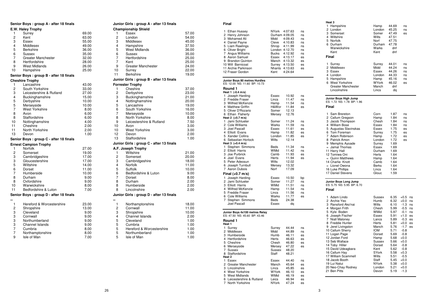|                | Senior Boys: group A - after 18 finals |       |                | Junior Girls : group A - after 13 finals |              |
|----------------|----------------------------------------|-------|----------------|------------------------------------------|--------------|
|                | E.W. Haley Trophy                      |       |                | <b>Championship Shield</b>               |              |
| 1              | Surrey                                 | 69.00 | 1              | Essex                                    | 57.00        |
| 2              | Kent                                   | 63.00 | $\overline{c}$ | London                                   | 54.00        |
| 3              | <b>Essex</b>                           | 55.00 | 3              | Middlesex                                | 45.00        |
| 4              | Middlesex                              | 49.00 | 4              | Hampshire                                | 37.50        |
| 5              | <b>Berkshire</b>                       | 36.00 | 5              | <b>West Midlands</b>                     | 36.00        |
| 6              | <b>Sussex</b>                          | 35.00 | 6              | <b>Sussex</b>                            | 35.00        |
| 7              | <b>Greater Manchester</b>              | 32.00 | $\overline{7}$ | Hertfordshire                            | 25.00        |
| 8              | Hertfordshire                          | 28.00 | $\overline{7}$ | Kent                                     | 25.00        |
| 9              | <b>West Midlands</b>                   | 26.00 | 9              | <b>Greater Manchester</b>                | 24.00        |
| 10             | Hampshire                              | 25.00 | 10             | Surrey                                   | 22.00        |
|                | Senior Boys: group B - after 18 finals |       | 11             | <b>Berkshire</b>                         | 19.00        |
|                | <b>Cheshire Trophy</b>                 |       |                | Junior Girls : group B - after 13 finals |              |
| 1              | Lancashire                             | 43.00 |                | <b>Forrester Trophy</b>                  |              |
| $\overline{2}$ | South Yorkshire                        | 33.00 | $\mathbf{1}$   | Cheshire                                 | 37.00        |
| 3              | Leicestershire & Rutland               | 27.00 | $\overline{c}$ | Derbyshire                               | 23.00        |
| 4              | Buckinghamshire                        | 15.00 | 3              | Buckinghamshire                          | 21.00        |
| 5              | Derbyshire                             | 10.00 | 4              | Nottinghamshire                          | 20.00        |
| 5              |                                        |       | 5              | Lancashire                               |              |
| 7              | Merseyside                             | 10.00 | 6              |                                          | 19.00        |
| 8              | <b>West Yorkshire</b><br>Avon          | 8.00  | $\overline{7}$ | South Yorkshire                          | 16.00        |
|                |                                        | 6.00  |                | Merseyside                               | 10.00        |
| 8              | Staffordshire                          | 6.00  | 8              | North Yorkshire                          | 8.00         |
| 10             | Nottinghamshire                        | 4.00  | 9              | Leicestershire & Rutland                 | 7.50         |
| 11             | Cheshire                               | 2.00  | 10             | Avon                                     | 3.00         |
| 11             | North Yorkshire                        | 2.00  | 10             | <b>West Yorkshire</b>                    | 3.00         |
| 13             | Devon                                  | 1.00  | 12<br>13       | Devon<br>Staffordshire                   | 2.00<br>1.00 |
|                | Senior Boys: group C - after 18 finals |       |                | Junior Girls : group C - after 13 finals |              |
|                | <b>Ernest Campion Trophy</b>           |       |                |                                          |              |
| 1              | <b>Norfolk</b>                         | 27.00 |                | A.F. Joseph Trophy                       |              |
| 2              | Somerset                               | 19.00 | 1              | Wiltshire                                | 21.00        |
| 3              | Cambridgeshire                         | 17.00 | $\overline{c}$ | Somerset                                 | 20.00        |
| 3              | Gloucestershire                        | 17.00 | 3              | Cambridgeshire                           | 18.00        |
| 5              | Wiltshire                              | 14.00 | 4              | <b>Norfolk</b>                           | 11.00        |
| 6              | Dorset                                 | 11.00 | 5              | Suffolk                                  | 10.00        |
| $\overline{7}$ | Humberside                             | 10.00 | 6              | Bedfordshire & Luton                     | 9.00         |
| 8              | Durham                                 | 9.00  | $\overline{7}$ | Dorset                                   | 8.00         |
| 8              | Oxfordshire                            | 9.00  | 8              | Durham                                   | 2.00         |
| 10             | Warwickshire                           | 8.00  | 8              | Humberside                               | 2.00         |
| 11             | Bedfordshire & Luton                   | 7.00  | 8              | Lincolnshire                             | 2.00         |
|                | Senior Boys: group D - after 18 finals |       |                | Junior Girls : group D - after 13 finals |              |
| --             |                                        |       |                |                                          |              |
| 1              | Hereford & Worcestershire              | 23.00 | $\mathbf{1}$   | Northamptonshire                         | 18.00        |
| 2              | Shropshire                             | 13.00 | 2              | Cornwall                                 | 11.00        |
| 3              | Cleveland                              | 9.00  | 3              | Shropshire                               | 10.00        |
| 3              | Cornwall                               | 9.00  | 4              | Channel Islands                          | 2.00         |
| 3              | Northumberland                         | 9.00  | 5              | Cleveland                                | 1.00         |
| 3              | Channel Islands                        | 9.00  | 5              | Cumbria                                  | 1.00         |
| 7              | Cumbria                                | 8.00  | 5              | Hereford & Worcestershire                | 1.00         |
| $\overline{7}$ | Northamptonshire                       | 8.00  | 5              | Northumberland                           | 1.00         |
| 9              | Isle of Man                            | 7.00  | 5              | Isle of Man                              | 1.00         |

| Final                                                                                                                                                                                                                                                                                                                                                                                                                                           |                                                                                                                                                           |                                                                                                                                                       |                                                                            |  |
|-------------------------------------------------------------------------------------------------------------------------------------------------------------------------------------------------------------------------------------------------------------------------------------------------------------------------------------------------------------------------------------------------------------------------------------------------|-----------------------------------------------------------------------------------------------------------------------------------------------------------|-------------------------------------------------------------------------------------------------------------------------------------------------------|----------------------------------------------------------------------------|--|
| 1<br><b>Ethan Hussey</b><br>2<br>Henry Johnson<br>3 Mohamed Ali<br>4 Daniel Payne<br>5 Liam Rawlings<br>6 Oliver Bright<br>7 Angus Williams<br>8 Aaron Samuel<br>9 Brandon Quinton<br>10 Will Barnicoat<br>11 Archie Parkinson<br>12 Fraser Gordon                                                                                                                                                                                              | NYork<br>Durham 4:09.05<br>Midd<br>Cleve<br>Shrop<br>London 4:12.70<br>Bucks 4:12.92<br>Essex<br>Manch 4:13.32<br>Surrey 4:13.50<br>Nhants<br>Kent        | 4:07.63<br>4:09.43<br>4:10.83<br>4:11.99<br>4:13.17<br>4:13.63<br>4:24.64                                                                             | ns<br>ns<br>ns<br>ns<br>ns<br>ns<br>ns<br>es<br>es<br>es<br>es             |  |
| Junior Boys 80 metres Hurdles<br>ES: 12.00 NS: 11.60 BP: 10.73                                                                                                                                                                                                                                                                                                                                                                                  |                                                                                                                                                           |                                                                                                                                                       |                                                                            |  |
| Round 1<br>Heat 1 (-0.4 m/s)<br>Joseph Harding<br>1<br>2 Freddie Fraser<br>3 Wilfred McKenzie<br>4 Matthew Griffin<br>Oliver D'Rozario<br>5<br>Ethan Flaherty<br>6<br>Heat 2 (+0.7 m/s)<br>1<br>Jami Schlueter<br>2<br>Cole Williams<br>3 Joel Pascall<br>4 Elliott Evans<br>5 Xander Collins<br>6 Sebastian Horlock<br>Heat $3 (+0.4 m/s)$<br>1<br>Stephen Simmons<br>2 Elliott Harris<br>3 Joe Purbrick<br>Joel Evans<br>4<br>5 Peter Adeosun | Essex<br>Lincs<br>Hamp<br>H&Wor<br>Somer<br>Mersey<br>Somer<br>Warks<br>Essex<br>Hamp<br>London<br>Wilts<br><b>Beds</b><br>WMid<br>Camb<br>Herts<br>Wilts | 10.92<br>11.47<br>11.54<br>11.84<br>12.13<br>12.76<br>11.24<br>11.59<br>11.61<br>11.82<br>11.85<br>12.14<br>11.34<br>11.42<br>11.93<br>11.94<br>12.02 | ns<br>ns<br>ns<br>es<br>ns<br>ns<br>es<br>es<br>es<br>ns<br>ns<br>es<br>es |  |
| Joseph Turnbull<br>6<br>Aaron Dubois<br>7                                                                                                                                                                                                                                                                                                                                                                                                       | Mersey<br>Norf                                                                                                                                            | 13.32<br>17.09                                                                                                                                        |                                                                            |  |
| Final (+0.7 m/s)<br>Joseph Harding<br>1<br>2<br>Jami Schlueter<br>3 Elliott Harris<br>4 Wilfred McKenzie<br>5 Freddie Fraser<br>6 Cole Williams<br>7<br>Stephen Simmons<br>Joel Pascall                                                                                                                                                                                                                                                         | Essex<br>Somer<br>WMid<br>Hamp<br>Lincs<br>Warks<br>Beds<br>Essex                                                                                         | 10.50<br>11.27<br>11.51<br>11.54<br>11.56<br>11.77<br>24.38<br>da                                                                                     | bp<br>ns<br>ns<br>ns<br>ns<br>es                                           |  |
| Junior Boys 4x100 metres Relay<br>ES: 47.50 NS: 45.60 BP: 43.46                                                                                                                                                                                                                                                                                                                                                                                 |                                                                                                                                                           |                                                                                                                                                       |                                                                            |  |
| Round 1<br>Heat 1<br>1<br>Surrey<br>2 Middlesex<br>3 Humberside<br>4 Hertfordshire<br>5 Cheshire<br>6<br>Merseyside<br>7<br>Sussex<br>8<br>Staffordshire<br>Heat <sub>2</sub>                                                                                                                                                                                                                                                                   | Surrey<br>Midd<br>Humb<br>Herts<br>Chesh<br>Mersey<br>Sussex<br>Staff                                                                                     | 44.44<br>44.89<br>46.11<br>46.63<br>46.80<br>47.22<br>48.20<br>48.21                                                                                  | ns<br>ns<br>es<br>es<br>es<br>es                                           |  |
| 1 Essex<br>2 Greater Manchester<br>3 Lincolnshire<br>4 West Yorkshire<br>5 West Midlands<br>6 Leicestershire & Rutland<br>7<br>North Yorkshire                                                                                                                                                                                                                                                                                                  | Essex<br>Manch<br>Lincs<br>WYork<br>WMid<br>Leics<br>NYork                                                                                                | 44.40<br>45.64<br>45.85<br>46.10<br>46.19<br>46.94<br>47.24                                                                                           | ns<br>es<br>es<br>es<br>es<br>es<br>es                                     |  |

| Heat 3<br>1 Hampshire<br>2 London<br>3<br>Somerset<br>4<br>Wiltshire<br>5 Norfolk<br>6 Durham<br>Warwickshire<br>Kent<br>Final                                                                                                                                                                                                                                                                                  | Hamp<br>London<br>Somer<br>Wilts<br>Norf<br>Durham<br>Warks<br>Kent                                                                                                                                           | 44.69<br>45.25<br>47.49<br>47.51<br>47.75<br>47.78<br>dnf<br>dnf                                                                                                     | ns<br>ns<br>es                                                                                                                                                                                                                                                     |
|-----------------------------------------------------------------------------------------------------------------------------------------------------------------------------------------------------------------------------------------------------------------------------------------------------------------------------------------------------------------------------------------------------------------|---------------------------------------------------------------------------------------------------------------------------------------------------------------------------------------------------------------|----------------------------------------------------------------------------------------------------------------------------------------------------------------------|--------------------------------------------------------------------------------------------------------------------------------------------------------------------------------------------------------------------------------------------------------------------|
| 1<br>Surrey<br>2 Middlesex<br>3 Essex<br>4 London<br>5 Hampshire<br><b>West Yorkshire</b><br>6<br><b>Greater Manchester</b><br>Lincolnshire                                                                                                                                                                                                                                                                     | Surrey<br>Midd<br><b>Essex</b><br>London<br>Hamp<br><b>WYork</b><br>Manch<br>Lincs                                                                                                                            | 44.01<br>44.24<br>44.26<br>44.33<br>45.16<br>46.02<br>dnf<br>da                                                                                                      | ns<br>ns<br>ns<br>ns<br>ns<br>es                                                                                                                                                                                                                                   |
| Junior Boys High Jump<br>ES: 1.72 NS: 1.78 BP: 1.96<br>Final                                                                                                                                                                                                                                                                                                                                                    |                                                                                                                                                                                                               |                                                                                                                                                                      |                                                                                                                                                                                                                                                                    |
| 1<br>Sam Brereton<br>2 Callum Gregson<br>Jacob Thompson<br>3<br>4 William Bose<br>5.<br>Augustas Slavinskas<br>Tom Foreman<br>6<br>Adam Robinson<br>7.<br>8 Patrick Amon<br>9 Memphis Ayoade<br>= Jamal Thomas<br>11 Harry Hall<br>12 Tomiwa Oni<br>= Quinn Matthews<br>14 Charlie Knott<br>= Lionel Owona<br>16 Luke Phillips<br>17 Daniel Stevens                                                             | Corn<br>Hamp<br>Chesh<br>Essex<br>Essex<br>Surrey<br>Hamp<br>London<br>Surrey<br>Essex<br>Durham<br>Herts<br>Hamp<br>Camb<br>Berks<br>Lincs<br>Glouc                                                          | 1.87<br>1.84<br>1.84<br>1.84<br>1.75<br>1.75<br>1.72<br>1.72<br>1.69<br>1.69<br>1.69<br>1.64<br>1.64<br>1.64<br>1.64<br>1.64<br>1.59                                 | ns<br>ns<br>ns<br>ns<br>es<br>es<br>es<br>es                                                                                                                                                                                                                       |
| Junior Boys Long Jump<br>ES: 5.75 NS: 5.95 BP: 6.70<br>Final                                                                                                                                                                                                                                                                                                                                                    |                                                                                                                                                                                                               |                                                                                                                                                                      |                                                                                                                                                                                                                                                                    |
| 1<br>Adam Lindo<br>2 Archie Yeo<br>3 Ransford Ako'nai<br>4 Morgan Frith<br>5 Kyle Boden<br>6<br>Joseph Fischer<br>Niall Maloney<br>7<br>8 Freddie Hunter<br>9 Jerel Livingston<br>10 Callum Sherry<br>11 Logan Page<br>12 Jordan Ford<br>13 Seb Wallace<br>14 Toby Hiller<br>15 David Udeagbara<br>16 Callum Hay<br>17 William Scammell<br>18 Jacob Booth<br>19 Lui Natui<br>20 Neo-Chay Rodney<br>21 Ben Pitts | <b>Sussex</b><br>Humb<br>Wilts<br>Chesh<br>WMid<br>Essex<br>Lancs<br>Herts<br>Manch<br><b>IOM</b><br>Dorset<br>Hamp<br><b>Sussex</b><br>Dorset<br>Kent<br>SYork<br>Wilts<br>Staff<br>NYork<br>London<br>Devon | 6.35<br>6.32<br>6.10<br>5.99<br>5.97<br>5.91<br>5.89<br>5.81<br>5.76<br>5.71<br>5.69<br>5.68<br>5.66<br>5.64<br>5.62<br>5.58<br>5.51<br>5.45<br>5.38<br>5.21<br>5.19 | $+0.5$<br>ns<br>$+0.0$<br>ns<br>$-1.3$<br>ns<br>$-0.5$<br>ns<br>$-0.1$<br>ns<br>$+1.0$<br>es<br>$-0.3$<br>es<br>$+0.0$<br>es<br>$-1.7$<br>es<br>$-0.8$<br>$-0.8$<br>$+0.0$<br>$+0.0$<br>$-0.8$<br>$-0.8$<br>$+0.3$<br>$-0.5$<br>+0.0<br>$+0.0$<br>$+0.0$<br>$-1.3$ |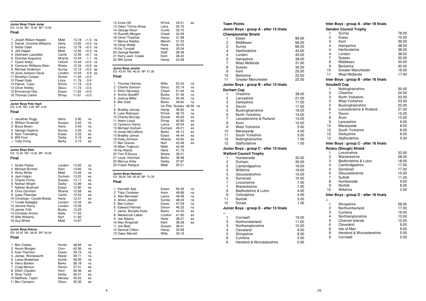| Junior Boys Triple Jump<br>ES: 12.00 NS: 12.40 BP: 13.92                                                                                                                                                                                                                                                                                                       |                                                                                                                                                      |                                                                                                                                              |                                                                                                                                                                              |                      |  |
|----------------------------------------------------------------------------------------------------------------------------------------------------------------------------------------------------------------------------------------------------------------------------------------------------------------------------------------------------------------|------------------------------------------------------------------------------------------------------------------------------------------------------|----------------------------------------------------------------------------------------------------------------------------------------------|------------------------------------------------------------------------------------------------------------------------------------------------------------------------------|----------------------|--|
| Final                                                                                                                                                                                                                                                                                                                                                          |                                                                                                                                                      |                                                                                                                                              |                                                                                                                                                                              |                      |  |
| 1<br>Josiah Wilson-Kepple<br>2 Daniel Onochie-Williams<br>3 Nahbi Odeh<br>4 Jeff Hagan<br>5 Deshawn Lascelles<br>6 Dvontae Augustus<br>7 Oyare Aneju<br>8 Cameron Williams-Stein<br>9 Michael Anderson<br>10 Jovel Jackson-Davis<br>11 Brooklyn Cooper<br>12 Pawel Grab<br>13 Patrick Tolan<br>14 Oliver Keitley<br>15 Emmanuel Oke<br>16 Thomas Clarke        | Midd<br>Herts<br>Leics<br>Midd<br>Camb<br>Nhants<br>Oxford<br>Warks<br>Surrey<br>London<br>Somer<br>Lincs<br>NYork<br>Glouc<br>Essex<br>Shrop        | 13.18<br>12.82<br>12.78<br>12.56<br>12.55<br>12.44<br>12.43<br>12.34<br>12.12<br>12.04<br>11.94<br>11.76<br>11.74<br>11.73<br>11.62<br>11.61 | $+1.5$<br>$+0.0$<br>$+0.0$ ns<br>$+0.0$ ns<br>$+0.7$ ns<br>$-1.1$ ns<br>$+0.0$ ns<br>$+0.5$ es<br>$+0.0$<br>-0.9<br>$+0.0$<br>$-0.9$<br>$+0.0$<br>$+0.0$<br>$+0.0$<br>$+0.0$ | ns<br>ns<br>es<br>es |  |
| Junior Boys Pole Vault<br>ES: 3.05 NS: 3.35 BP: 4.30                                                                                                                                                                                                                                                                                                           |                                                                                                                                                      |                                                                                                                                              |                                                                                                                                                                              |                      |  |
| Final                                                                                                                                                                                                                                                                                                                                                          |                                                                                                                                                      |                                                                                                                                              |                                                                                                                                                                              |                      |  |
| 1<br>Jonathan Rugg<br>2 William Snashall<br>3 Bryce Breen<br>4 George Hopkins<br>5 Sam Tremelling<br>6 Will Foot<br>Toby Irving<br>$=$                                                                                                                                                                                                                         | Herts<br>Sussex<br>Herts<br>Surrey<br>Essex<br>Derby<br><b>Berks</b>                                                                                 | 3.90<br>3.45<br>3.45<br>3.35<br>3.25<br>3.15<br>3.15                                                                                         | ns<br>ns<br>ns<br>ns<br>es<br>es<br>es                                                                                                                                       |                      |  |
| Junior Boys Shot<br>ES: 12.30 NS: 13.30 BP: 18.29                                                                                                                                                                                                                                                                                                              |                                                                                                                                                      |                                                                                                                                              |                                                                                                                                                                              |                      |  |
| Final                                                                                                                                                                                                                                                                                                                                                          |                                                                                                                                                      |                                                                                                                                              |                                                                                                                                                                              |                      |  |
| 1<br>Andre Parker<br>2 Michael Burfoot<br>3 Ricky White<br>4 Jack Halpin<br>5 Charlie Finnie<br>6 Nathan Wright<br>7 Nathan Bushnell<br>8 Chris Dyrmishi<br>9 Isaac Pfaender<br>10 Christiaan Cavalli-Warby<br>11 Tunde Ajidagba<br>12 Jerome Henry<br>13 James Frith<br>14 Christian Archer<br>15 Alfie Williams<br>16 Guy White<br><b>Junior Boys Discus</b> | London<br>Kent<br>Midd<br>Durham<br>Sussex<br>Derby<br>Essex<br>Nhants<br>Camb<br>Herts<br>London<br>London<br><b>Bucks</b><br>Notts<br>Norf<br>Midd | 13.93<br>13.65<br>13.49<br>13.22<br>13.11<br>12.99<br>12.80<br>12.58<br>12.53<br>12.51<br>12.33<br>12.09<br>12.05<br>11.63<br>11.60<br>10.97 | ns<br>ns<br>ns<br>es<br>es<br>es<br>es<br>es<br>es<br>es<br>es                                                                                                               |                      |  |
| ES: 34.00 NS: 38.00 BP: 54.54<br>Final                                                                                                                                                                                                                                                                                                                         |                                                                                                                                                      |                                                                                                                                              |                                                                                                                                                                              |                      |  |
| 1<br><b>Ben Copley</b><br>2 Aaron Worgan<br>3 Kyle Thornton<br>4 James Wordsworth<br>5 Lukas Bradshaw<br>6 Harry Booker<br>7<br>Craig Moncur<br>8 Dillon Claydon<br>9 Shay Tarbit<br>10 Matthew Taylor<br>11 Ben Campion                                                                                                                                       | Humb<br>Corn<br>Essex<br>Nland<br>Humb<br>Berks<br>Devon<br>Kent<br>Derby<br>Mersey<br>Glouc                                                         | 48.84<br>42.06<br>39.74<br>39.71<br>38.95<br>38.18<br>37.01<br>36.46<br>36.31<br>35.63<br>35.36                                              | ns<br>ns<br>ns<br>ns<br>ns<br>ns<br>es<br>es<br>es<br>es<br>es                                                                                                               |                      |  |

| 12 Innes Hill<br>13 Owen Timms-Shaw<br>14 George Nixon<br>15 Ruaridh Morgan<br>16 Oliver Thatcher<br>17 Marcus Naidoo<br>18 Oliver Webb<br>19 Kai Tunstall<br>20 George Bardell<br>21 Harry-Jack Cowie<br>22 Will Jones                                                                                                                                                                                                                                      | NYork<br>Leics<br>Cumb<br>Chesh<br>Hamp<br>Manch<br>Herts<br><b>Herts</b><br>Staff<br>Kent<br>Hamp                                                                                                                                                              | 34.01<br>33.75<br>33.70<br>32.09<br>31.98<br>31.03<br>30.05<br>30.04<br>28.58<br>28.40<br>24.08                                                                                                    | es                                                                                                    |    |
|--------------------------------------------------------------------------------------------------------------------------------------------------------------------------------------------------------------------------------------------------------------------------------------------------------------------------------------------------------------------------------------------------------------------------------------------------------------|-----------------------------------------------------------------------------------------------------------------------------------------------------------------------------------------------------------------------------------------------------------------|----------------------------------------------------------------------------------------------------------------------------------------------------------------------------------------------------|-------------------------------------------------------------------------------------------------------|----|
| Junior Boys Javelin<br>ES: 43.00 NS: 46.00 BP: 61.28<br>Final                                                                                                                                                                                                                                                                                                                                                                                                |                                                                                                                                                                                                                                                                 |                                                                                                                                                                                                    |                                                                                                       |    |
| 1<br><b>Thomas Holmes</b><br>2 Charlie Davison<br>3 Elliot Odunaiya<br>4<br>Archie Goodliff<br>5 Joshua Miller<br>6 Ben East<br>7<br>8 Bradley Jenvey<br>9 Luke Robinson<br>10 Charlie McCaig<br>11 Adam Lloyd<br>12 Cameron Harris<br>13 Michael Graham<br>14 Jonah McCafferty<br>15 Bradley James<br>16 Kody Johnson<br>17 Ben Graves<br>18 Milan Traikovic<br>19 Kai Alland<br>20 Tom D'Souza<br>21 Louie Holzman<br>22 Marcus Kirby<br>23 Fraser Rafique | Wilts<br>Glouc<br>Chesh<br><b>Bucks</b><br>Devon<br><b>Berks</b><br>ivo Pitts Sussex<br>Hamp<br><b>NYork</b><br>Dorset<br>Shrop<br>Lancs<br>Durham<br><b>Berks</b><br>Essex<br>Nhants<br>Norf<br>Midd<br><b>Herts</b><br>Warks<br><b>Berks</b><br>Derby<br>Midd | 53.42<br>53.19<br>51.94<br>51.46<br>50.39<br>48.60<br>46.82<br>46.75<br>45.93<br>45.90<br>45.54<br>45.21<br>45.13<br>44.44<br>43.90<br>43.48<br>42.46<br>41.75<br>39.21<br>38.48<br>37.87<br>35.51 | ns<br>ns<br>ns<br>ns<br>ns<br>ns<br>48.56<br>ns<br>ns<br>es<br>es<br>es<br>es<br>es<br>es<br>es<br>es | ns |
| Junior Boys Hammer<br>ES: 38.00 NS: 45.00 BP: 70.78<br>Final                                                                                                                                                                                                                                                                                                                                                                                                 |                                                                                                                                                                                                                                                                 |                                                                                                                                                                                                    |                                                                                                       |    |
| 1<br>Kenneth Ikeji<br>2 Toby Conibear<br>3 Alex Bernstein<br>4 Anton Joseph<br>5 Ben Cotton<br>6 Edward Fileman<br>7<br>Jamie Bonella-Duke<br>8 Mackenzie Laban<br>9 Joe Adams<br>10 Alex Ringshall<br>11 Joe Beal<br>12 Samuel Clifton<br>13 Owen Merrett                                                                                                                                                                                                   | Essex<br>Avon<br>Lancs<br>Surrey<br>Essex<br>Devon<br>Berks<br>London<br>Herts<br>Kent<br>Sussex<br>Hamp<br>Wilts                                                                                                                                               | 56.26<br>49.88<br>49.48<br>48.04<br>47.09<br>46.33<br>44.00<br>41.90<br>38.47<br>38.28<br>36.41<br>33.58<br>33.19                                                                                  | ns<br>ns<br>ns<br>ns<br>ns<br>ns<br>es<br>es<br>es<br>es                                              |    |

|    | <b>Team Points</b>                     |       |                         | Inter Boys: group A - after 18 finals |
|----|----------------------------------------|-------|-------------------------|---------------------------------------|
|    | Junior Boys: group A - after 15 finals |       |                         | <b>Hendon Council Trophy</b>          |
|    | <b>Championship Shield</b>             |       | 1                       | Surrey                                |
|    | 1<br>Essex                             | 88.00 | $\overline{c}$          | Essex                                 |
|    | 2<br>Middlesex                         | 66.00 | 3                       | Kent                                  |
|    | $\overline{2}$<br>Surrey               | 66.00 | 4                       | Hampshire                             |
|    | Hertfordshire<br>4                     | 43.00 | 4                       | Hertfordshire                         |
|    | London<br>4                            | 43.00 | $\overline{\mathbf{4}}$ | London                                |
|    | Hampshire<br>6                         | 38.00 | $\overline{7}$          | <b>Sussex</b>                         |
|    | 7<br><b>West Midlands</b>              | 31.00 | 8                       | Middlesex                             |
|    | 8<br>Sussex                            | 30.00 | 9                       | <b>Berkshire</b>                      |
|    | 9<br>Kent                              | 25.00 | 10                      | <b>Greater Manchester</b>             |
| 10 | <b>Berkshire</b>                       | 22.50 | 11                      | <b>West Midlands</b>                  |
| 11 | Greater Manchester                     | 22.00 |                         | Inter Boys: group B - after 18 finals |
|    | Junior Boys: group B - after 15 finals |       |                         | <b>Goodwill Cup</b>                   |
|    | Durham Cup                             |       | 1                       | Nottinghamshire                       |
|    | $\mathbf{1}$<br>Cheshire               | 38.00 | $\overline{2}$          | Cheshire                              |
|    | 2<br>Lancashire                        | 21.00 | 3                       | North Yorkshire                       |
|    | 3<br>Derbyshire                        | 17.50 | 3                       | <b>West Yorkshire</b>                 |
|    | 4<br>Devon                             | 17.00 | 5                       | Buckinghamshire                       |
|    | 5<br>Buckinghamshire                   | 16.00 | 6                       | Leicestershire & Rutland              |
|    | North Yorkshire<br>6                   | 14.00 | $\overline{7}$          | Devon                                 |
|    | 7<br>Leicestershire & Rutland          | 13.00 | 8                       | Avon                                  |
|    | 8<br>Avon                              | 12.00 | 9                       | Lancashire                            |
|    | 9<br><b>West Yorkshire</b>             | 5.00  | 10                      | Merseyside                            |
| 10 | Merseyside                             | 4.00  | 10                      | South Yorkshire                       |
| 11 | South Yorkshire                        | 3.00  | 12                      | Derbyshire                            |
| 12 | Nottinghamshire                        | 1.00  | 13                      | Staffordshire                         |
| 12 | Staffordshire                          | 1.00  |                         | Inter Boys: group C - after 18 finals |
|    | Junior Boys: group C - after 15 finals |       |                         | Rotary (Slough) Shield                |
|    | <b>Watford Council Trophy</b>          |       | 1                       | Lincolnshire                          |
|    | 1<br>Humberside                        | 32.00 | 2                       | Warwickshire                          |
|    | 2<br>Durham                            | 30.00 | 3                       | Bedfordshire & Luton                  |
|    | 3<br>Cambridgeshire                    | 18.00 | $\overline{\mathbf{4}}$ | Cambridgeshire                        |
|    | 3<br>Wiltshire                         | 18.00 | $\overline{\mathbf{4}}$ | Somerset                              |
|    | 5<br>Gloucestershire                   | 10.00 | 6                       | Gloucestershire                       |
|    | 5<br>Somerset                          | 10.00 | $\overline{7}$          | Suffolk                               |
|    | 7<br>Lincolnshire                      | 7.00  | 8                       | Humberside                            |
|    | $\overline{7}$<br>Warwickshire         | 7.00  | 9                       | Norfolk                               |
|    | 9<br>Bedfordshire & Luton              | 4.00  | 10                      | Wiltshire                             |
|    | 9<br>Oxfordshire                       | 4.00  |                         | Inter Boys: group D - after 18 finals |
| 11 | <b>Norfolk</b>                         | 3.00  |                         |                                       |
| 12 | Dorset                                 | 1.00  | 1                       | Shropshire                            |
|    | Junior Boys: group D - after 15 finals |       | $\overline{c}$          | Northumberland                        |
|    |                                        |       | 3                       | Cumbria                               |
|    | 1<br>Cornwall                          | 19.00 | 4                       | Northamptonshire                      |
|    | 2<br>Northumberland                    | 11.00 | 5                       | Channel Islands                       |
|    | 3<br>Northamptonshire                  | 10.00 | 6                       | Cleveland                             |
|    | 4<br>Cleveland                         | 9.00  | 6                       | Isle of Man                           |
|    | 5<br>Shropshire                        | 8.00  | 8                       | Hereford & Worcestershire             |
|    | 6<br>Cumbria                           | 2.00  | 9                       | Cornwall                              |

 $2.00$ 

 $6\phantom{a}$ 

Hereford & Worcestershire

78.00

70.00 39.00 38.00 38.00

38.00

 $35.00$ 

34.00

30.00

18.00

17.00

30.00

24.00

23.00

23.00  $22.00$ 

21.00 15.00 10.00 9.00 8.00

8.00

6.00

5.00

33.00

28.00

18.00

17.00

17.00

15.00

11.00

9.00

8.00 2.00

28.00

17.00 16.00

13.00

10.00  $9.00$ 9.00

5.00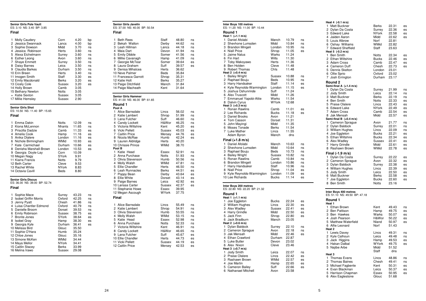## **Senior Girls Pole Vault**ES: 3.10 NS: 3.40 BP: 3.85

## **Final**

| Molly Caudery<br>1. | Corn         | 4.20 | bp |
|---------------------|--------------|------|----|
| 2 Jessica Swannack  | Lancs        | 4.00 | bp |
| 3 Sophie Dowson     | Midd         | 3.70 | ns |
| 4 Jessica Robinson  | Herts        | 3.60 | ns |
| 5 Alexa Eichelmann  | Surrey       | 3.60 | ns |
| 6 Esther Leong      | Avon         | 3.60 | ns |
| 7 Shaye Emmett      | Surrey       | 3.50 | ns |
| 8 Daisy Barnes      | Leics        | 3.50 | ns |
| 9 Claudia Barkes    | Durham       | 3.50 | ns |
| 10 Erin Breen       | Herts        | 3.40 | ns |
| 11 Imogen Smith     | Staff        | 3.30 | es |
| 12 Emily Macdonald  | Berks        | 3.20 | es |
| 13 Cicely Cole      | Sussex       | 3.20 | es |
| 14 Holly Brown      | Camb         | 3.05 |    |
| 15 Bethany Newton   | <b>Notts</b> | 3.05 |    |
| = Katie Sexton      | Sussex       | 3.05 |    |
| 17 Millie Hemsley   | Sussex       | 2.90 |    |
|                     |              |      |    |

## **Senior Girls Shot** ES: 10.50 NS: 11.40 BP: 15.65

| Final                                                                                                                                                                                                                                                                                                                   |                                                                                                                                                                       |                                                                                                                                              |                                                    |
|-------------------------------------------------------------------------------------------------------------------------------------------------------------------------------------------------------------------------------------------------------------------------------------------------------------------------|-----------------------------------------------------------------------------------------------------------------------------------------------------------------------|----------------------------------------------------------------------------------------------------------------------------------------------|----------------------------------------------------|
| Emma Dakin<br>1<br>2 Kiona McLennon<br>3 Priscilla Dadzie<br>4 Amelia Cook<br>5 Anika Olalere<br>6 Nichole Birmingham<br>7 Kate Carmichael<br>8 Denisha Marshall-Brown<br>9 Georgia Doyle-Lay<br>10 Megan Nagy<br>11 Kiarra Francis<br>12 Beth Carter<br>13 Rachel White<br>14 Octavia Cavill                           | <b>Notts</b><br><b>Nhants</b><br>Camb<br>Hamp<br>London<br><b>WMid</b><br>Durham<br>London<br>Corn<br>SYork<br>Notts<br>Cleve<br><b>NYork</b><br>Beds                 | 12.09<br>11.65<br>11.33<br>11.16<br>11.16<br>10.93<br>10.66<br>10.53<br>10.09<br>9.91<br>9.79<br>9.53<br>8.83<br>8.80                        | ns<br>ns<br>es<br>es<br>es<br>es<br>es<br>es       |
| <b>Senior Girls Discus</b><br>ES: 36.00 NS: 39.00 BP: 52.74<br>Final                                                                                                                                                                                                                                                    |                                                                                                                                                                       |                                                                                                                                              |                                                    |
| 1 Sophie Mace<br>2 Isobel Griffin Morris<br>3 Jenny Pyatt<br>4 Luisa Chantler Edmond<br>5 Danielle Broom<br>6 Emily Robinson<br>7 Bronte Jones<br>8 Isobel Gray<br>9 Georgia Kyle<br>10 Melissa Bird<br>11 Sophie O'Hara<br>12 Chloe Jones<br>13 Simone McKen<br>14 Maya Mellor<br>15 Caitlin Stacey<br>16 Melina Irawo | Surrey<br>Oxford<br>Chesh<br>Oxford<br>Dorset<br>Sussex<br>SYork<br>Hamp<br>Durham<br>Glouc<br>Humb<br>Glouc<br><b>WMid</b><br><b>NYork</b><br><b>Berks</b><br>Sussex | 43.23<br>42.25<br>41.86<br>40.79<br>39.53<br>38.75<br>38.64<br>38.30<br>36.41<br>35.50<br>35.24<br>35.16<br>34.44<br>34.41<br>33.99<br>29.08 | ns<br>ns<br>ns<br>ns<br>ns<br>es<br>es<br>es<br>es |

| <b>Senior Girls Javelin</b><br>ES: 37.00 NS: 40.00 BP: 50.54                                                                                                                                                                                                                                                                                                                                                                                                            |                                                                                                                                                                                                         |                                                                                                                                                                                                    |                                                                                                          |
|-------------------------------------------------------------------------------------------------------------------------------------------------------------------------------------------------------------------------------------------------------------------------------------------------------------------------------------------------------------------------------------------------------------------------------------------------------------------------|---------------------------------------------------------------------------------------------------------------------------------------------------------------------------------------------------------|----------------------------------------------------------------------------------------------------------------------------------------------------------------------------------------------------|----------------------------------------------------------------------------------------------------------|
| Final                                                                                                                                                                                                                                                                                                                                                                                                                                                                   |                                                                                                                                                                                                         |                                                                                                                                                                                                    |                                                                                                          |
| 1<br><b>Beth Rees</b><br>2 Bekah Walton<br>3 Leah Hillman<br>4 Maia Dart<br>5 Emily Dibble<br>6 Millie Cavanagh<br>7 Georgie McTear<br>8 Laura Graham<br>9 Denisa Mihalcea<br>10 Neve Palmer<br>11 Francesca Garrott<br>12 Katie Holt<br>13 Paige Ditchfield<br>14 Paige Macheath                                                                                                                                                                                       | Staff<br>Derby<br>Lancs<br>Devon<br>Somer<br>Hamp<br>Somer<br>Suff<br>Herts<br>Beds<br>Shrop<br>Berks<br>Manch<br>Kent                                                                                  | 48.80<br>44.62<br>44.18<br>41.94<br>41.56<br>41.09<br>39.64<br>39.57<br>36.62<br>35.84<br>35.31<br>35.27<br>31.84<br>31.64                                                                         | ns<br>ns<br>ns<br>ns<br>ns<br>ns<br>es<br>es                                                             |
| <b>Senior Girls Hammer</b>                                                                                                                                                                                                                                                                                                                                                                                                                                              |                                                                                                                                                                                                         |                                                                                                                                                                                                    |                                                                                                          |
| ES: 41.00 NS: 46.00 BP: 61.65                                                                                                                                                                                                                                                                                                                                                                                                                                           |                                                                                                                                                                                                         |                                                                                                                                                                                                    |                                                                                                          |
| Round 1                                                                                                                                                                                                                                                                                                                                                                                                                                                                 |                                                                                                                                                                                                         |                                                                                                                                                                                                    |                                                                                                          |
| Pool A<br>1<br>Alice Barnsdale<br>2 Katie Lambert<br>3 Lana Fulcher<br>4 Candy Lockett<br>5<br>Victoria Wiltshire<br>6 Vicki Pellett<br>7 Caitlin Price<br>8 Nicola McRae<br>9 Lauren Aldridge<br>10 Chrissie Prince<br>Pool B<br>1<br>Katie Head<br>2 Anna Purchase<br>3 Olivia Stevenson<br>4 Molly Walsh<br>5 Ellie Chandler<br>Leah Runnacles<br>6<br>7 Poppy Bean<br>8 Ellie White<br>9 Paige Barnes<br>10 Larissa Carter<br>11 Stephanie Howe<br>12 Megan Ascough | Lincs<br>Shrop<br>Suff<br>H&Wor<br>Kent<br>Sussex<br>Mersey<br>Humb<br><b>Herts</b><br>WMid<br>Essex<br>Notts<br>Humb<br>WMid<br>Herts<br>Berks<br>Derby<br>Dorset<br>Leics<br>Sussex<br>Essex<br>WYork | 56.02<br>51.99<br>46.60<br>46.25<br>45.20<br>45.03<br>44.76<br>42.24<br>40.20<br>38.70<br>52.91<br>51.93<br>50.56<br>47.81<br>46.50<br>44.51<br>43.64<br>43.14<br>42.92<br>42.37<br>39.95<br>37.75 | ns<br>ns<br>ns<br>ns<br>es<br>es<br>es<br>es<br>ns<br>ns<br>ns<br>ns<br>ns<br>es<br>es<br>es<br>es<br>es |
| Final                                                                                                                                                                                                                                                                                                                                                                                                                                                                   |                                                                                                                                                                                                         |                                                                                                                                                                                                    |                                                                                                          |
| 1<br>Alice Barnsdale<br>2 Katie Lambert<br>3 Olivia Stevenson<br>4 Molly Walsh<br>5 Katie Head<br>6 Anna Purchase<br>$\overline{7}$<br>Victoria Wiltshire<br>8 Candy Lockett<br>9 Lana Fulcher<br>10 Ellie Chandler<br>11 Vicki Pellett<br>12 Caitlin Price                                                                                                                                                                                                             | Lincs<br>Shrop<br>Humb<br>WMid<br>Essex<br>Notts<br>Kent<br>H&Wor<br>Suff<br><b>Herts</b><br>Sussex<br>Mersey                                                                                           | 55.49<br>54.91<br>53.55<br>53.15<br>52.98<br>52.33<br>46.91<br>46.65<br>45.67<br>44.73<br>44.19<br>42.53                                                                                           | ns<br>ns<br>ns<br>ns<br>ns<br>ns<br>ns<br>ns<br>es<br>es<br>es<br>es                                     |

ns

ns

ns

 $ns$ 

ns

es

es

ns

ns

 $ns$ 

es

es

es

es

ns

ns

ns

 $ns$ 

 $es$ 

es

es

es

es

ns

ns

ns

ns

ns

 $ns$ 

ns

es

es

es

es

|                                           | Inter Boys 100 metres<br>ES: 11.20 NS: 11.00 BP: 10.44                                                                                                                                                  |                                                                                               |                                                                                        |                                                          |
|-------------------------------------------|---------------------------------------------------------------------------------------------------------------------------------------------------------------------------------------------------------|-----------------------------------------------------------------------------------------------|----------------------------------------------------------------------------------------|----------------------------------------------------------|
|                                           | Round 1                                                                                                                                                                                                 |                                                                                               |                                                                                        |                                                          |
| 1<br>2<br>3<br>4<br>5<br>6<br>7<br>8<br>9 | Heat 1 (+1.1 m/s)<br>Daniel Afolabi<br>Shevhone Lumsden<br>Brandon Mingeli<br><b>Niall Price</b><br>Jaime Nalus<br>Fin Hart<br>Toby Makoyawo<br>Ben Holden<br><b>Robert Thomas</b><br>Heat 2 (+0.4 m/s) | Manch<br>Midd<br>London<br>Shrop<br>Warks<br>Wilts<br><b>Herts</b><br>Cleve<br>Chis           | 10.79<br>10.84<br>10.95<br>11.05<br>11.24<br>11.30<br>11.36<br>11.48<br>11.48          | ns<br>ns<br>ns<br>es                                     |
| 1<br>2<br>3<br>4<br>5<br>6<br>7<br>8      | <b>Bailey Wright</b><br>Raphael Bouju<br>Harry Handsaker<br>Kyle Reynolds-Warmington<br>Joshua Oshunrinde<br>Alex Truscott<br>Emmanuel Yapobi-Attie<br>Dalvin Cyrus<br>Heat 3 (+0.3 m/s)                | Sussex<br>Beds<br>Staff<br>London<br>Suff<br>Midd<br>Warks<br><b>WYork</b>                    | 10.88<br>10.95<br>11.14<br>11.15<br>11.24<br>11.26<br>11.54<br>12.68                   | ns<br>ns<br>es<br>es                                     |
| 1<br>3<br>4<br>5<br>6<br>7                | Ronan Rawlins<br>2 Lee Richards<br>Daniel Brooks<br>Tom Casson<br>John Mayingi<br>Moses Tonade<br><b>Luke Mather</b><br>Adam Byron<br>Final (+1.8 m/s)                                                  | Camb<br><b>Bucks</b><br>Avon<br>Dorset<br>Midd<br><b>Berks</b><br>Lincs<br>Manch              | 11.01<br>11.18<br>11.21<br>11.31<br>11.35<br>11.54<br>11.55<br>dns                     | es<br>es                                                 |
| 1<br>2<br>3<br>4<br>5<br>6<br>7<br>8<br>9 | Daniel Afolabi<br>Shevhone Lumsden<br>Raphael Bouju<br><b>Bailey Wright</b><br>Ronan Rawlins<br>Brandon Mingeli<br>Harry Handsaker<br><b>Niall Price</b><br>Kyle Reynolds-Warmington<br>10 Lee Richards | Manch<br>Midd<br>Beds<br>Sussex<br>Camb<br>London<br>Staff<br>Shrop<br>London<br><b>Bucks</b> | 10.63<br>10.64<br>10.73<br>10.82<br>10.84<br>10.86<br>10.96<br>11.04<br>11.09<br>11.14 | ns<br>ns<br>ns<br>ns<br>ns<br>ns<br>ns<br>es<br>es<br>es |
|                                           | Inter Boys 200 metres                                                                                                                                                                                   |                                                                                               |                                                                                        |                                                          |
|                                           | ES: 22.80 NS: 22.20 BP: 21.32                                                                                                                                                                           |                                                                                               |                                                                                        |                                                          |
| 1<br>2<br>3<br>4<br>5                     | Round 1<br>Heat 1 (+1.1 m/s)<br>Joe Eggleton<br><b>William Hughes</b><br>Alex Wadley<br><b>Harry Grindle</b><br>Jack Finn<br>6 Jack Bradburn                                                            | <b>Bucks</b><br>Lincs<br>Sussex<br>Midd<br>Shrop<br>Manch                                     | 22.24<br>22.30<br>22.41<br>22.50<br>22.80<br>23.05                                     | es<br>es<br>es<br>es<br>es                               |
| 1<br>2<br>3<br>4<br>5<br>6                | Heat 2 (+0.6 m/s)<br>Dylan Baldock<br>Cameron Sprague<br>Jak Mensah<br>Ethan Crawford<br>Luke Butler<br>Alex Nixon<br>Heat 3 (+0.7 m/s)                                                                 | Surrey<br>Avon<br>Midd<br>Durham<br>Devon<br>Cleve                                            | 22.10<br>22.18<br>22.46<br>22.87<br>23.02<br>23.46                                     | ns<br>ns<br>es                                           |
| 1<br>2<br>3<br>4<br>5                     | Jody Smith<br><b>Praise Olalere</b><br>Rashawn Brown<br>Joe Martin<br><b>Cameron Bailey</b><br>6. Nathanael Mitchell                                                                                    | Leics<br>Lincs<br>WMid<br>Hamp<br>Suff<br>Avon                                                | 22.07<br>22.42<br>22.57<br>22.65<br>22.66<br>23.58                                     | ns<br>es<br>es<br>es<br>es                               |

| Heat 4 (-0.1 m/s)<br>Matt Buckner<br>1.<br>2 Dylan Da Costa<br>3 Edward Lake<br>4 Jaiden Aaron<br>5 Louis Albrow<br>6 Oshay Williams<br>7 Edward Sheffield<br>Heat 5 (-0.2 m/s) | Berks<br>Surrey<br>NYork<br>Midd<br>Norf<br><b>WMid</b><br>Staff | 22.31<br>22.36<br>22.58<br>22.62<br>22.81<br>22.82<br>23.63 | es<br>es<br>es<br>es |
|---------------------------------------------------------------------------------------------------------------------------------------------------------------------------------|------------------------------------------------------------------|-------------------------------------------------------------|----------------------|
| <b>Ben Smith</b><br>1.<br>2 Ethan Wiltshire                                                                                                                                     | Notts<br><b>Bucks</b>                                            | 22.34<br>22.46                                              | es<br>es             |
| 3 Adam Cross                                                                                                                                                                    | Camb                                                             | 22.47                                                       | es                   |
| 4 Cameron Duff                                                                                                                                                                  | Chesh                                                            | 22.73                                                       | es                   |
| 5 Dennis Skelton<br>6 Ollie Sprio                                                                                                                                               | London<br>Oxford                                                 | 23.01<br>23.02                                              |                      |
| $\overline{7}$<br>Josh Errington                                                                                                                                                | Durham                                                           | 23.17                                                       |                      |
| Round 2                                                                                                                                                                         |                                                                  |                                                             |                      |
| Semi-final A (+1.4 m/s)                                                                                                                                                         |                                                                  |                                                             |                      |
| 1.<br>Dylan Da Costa                                                                                                                                                            | Surrey                                                           | 21.99                                                       | ns                   |
| 2 Jody Smith                                                                                                                                                                    | Leics                                                            | 22.14                                                       | ns                   |
| 3 Matt Buckner                                                                                                                                                                  | <b>Berks</b>                                                     | 22.19                                                       | ns                   |
| 4 Ben Smith                                                                                                                                                                     | Notts                                                            | 22.33                                                       | es                   |
| 5 Praise Olalere                                                                                                                                                                | Lincs                                                            | 22.43                                                       | es                   |
| 6 Edward Lake                                                                                                                                                                   | <b>NYork</b>                                                     | 22.49                                                       | es                   |
| $\overline{7}$<br>Adam Cross                                                                                                                                                    | Camb                                                             | 22.54                                                       | es                   |
| 8<br>Jak Mensah<br>Semi-final B (+0.4 m/s)                                                                                                                                      | Midd                                                             | 22.57                                                       | es                   |
| 1 Cameron Sprague                                                                                                                                                               | Avon                                                             | 21.77                                                       | ns                   |
| 2 Dylan Baldock                                                                                                                                                                 | Surrey                                                           | 22.01                                                       | ns                   |
| 3 William Hughes                                                                                                                                                                | Lincs                                                            | 22.09                                                       | ns                   |
| 4 Joe Eggleton                                                                                                                                                                  | <b>Bucks</b>                                                     | 22.21                                                       | es                   |
| 5 Ethan Wiltshire                                                                                                                                                               | <b>Bucks</b>                                                     | 22.34                                                       | es                   |
| 6 Alex Wadley                                                                                                                                                                   | Sussex                                                           | 22.41                                                       | es                   |
| 7 Harry Grindle                                                                                                                                                                 | Midd                                                             | 22.61                                                       | es                   |
| 8 Rashawn Brown                                                                                                                                                                 | WMid                                                             | 22.78                                                       | es                   |
| Final (-1.9 m/s)                                                                                                                                                                |                                                                  |                                                             |                      |
| 1.<br>Dylan Da Costa                                                                                                                                                            | Surrey                                                           | 22.22                                                       | es                   |
| 2 Cameron Sprague                                                                                                                                                               | Avon                                                             | 22.32                                                       | es                   |
| 3 Dylan Baldock                                                                                                                                                                 | Surrey                                                           | 22.38                                                       | es                   |
| 4 William Hughes<br>5 Jody Smith                                                                                                                                                | Lincs<br>Leics                                                   | 22.39<br>22.50                                              | es<br>es             |
| 6 Matt Buckner                                                                                                                                                                  | Berks                                                            | 22.58                                                       | es                   |
| $\overline{7}$<br>Joe Eggleton                                                                                                                                                  | Bucks                                                            | 22.60                                                       | es                   |
| 8 Ben Smith                                                                                                                                                                     | <b>Notts</b>                                                     | 23.16                                                       |                      |
|                                                                                                                                                                                 |                                                                  |                                                             |                      |
| Inter Rove 400 metres                                                                                                                                                           |                                                                  |                                                             |                      |

## **Inter Boys 400 metres** ES: 51.10 NS: 49.50 BP: 47.18**Round 1** 1 Ethan Brown Kent 49.43 ns**Heat 1**2 Ben Pattison Hamp 49.75 es3 Ben Hawkes 4 Josh Pearson H&Wor 50.22 5 Matthew Waterfield Nland 50.97 6 Alfie Leonard Norf 51.43**Heat 2** 1 Lewis Davey Lincs 49.31 ns2 Kyle Calhoun Leics 49.48<br>2 Kyle Calhoun Leics 49.48<br>3 Jack Higgins Hamp 49.53 3 Jack Higgins 1955<br>4 Hakan Dalbal 1953<br>4 Hakan Dalbal 1975 4 Hakan Dalbal 5 Najibe Arbe Midd 51.52 $dns$ Staff **Heat 3** 1 Thomas Evans Lincs 48.86 ns2 Thomas Baines Chesh 49.41<br>3 Michael Fagbenle Kent 50.31 3 Michael Fagbenle Kent 50.31<br>4 Evan Blackman Leics 50.37 4 Evan Blackman 5 Harrison Chapman Essex 50.95<br>6 Alex Eaglestone Glouc 51.68 6 Alex Eaglestone

es

es

es

 $es$ 

ns

es

es

 $\sf ns$ 

es

es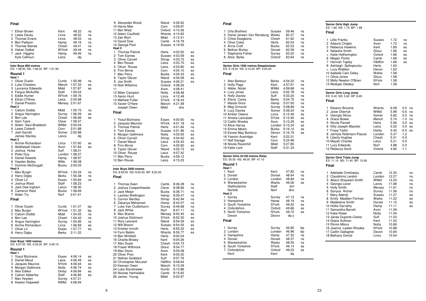| Final                                                                                                                                                                           |                                                                     |                                                                                       |                                        |
|---------------------------------------------------------------------------------------------------------------------------------------------------------------------------------|---------------------------------------------------------------------|---------------------------------------------------------------------------------------|----------------------------------------|
| 1<br>Ethan Brown<br>2<br>Lewis Davey<br>3<br>Thomas Evans<br>4 Ben Pattison<br>5 Thomas Baines<br>6 Hakan Dalbal<br>7<br>Jack Higgins<br>Kyle Calhoun                           | Kent<br>Lincs<br>Lincs<br>Hamp<br>Chesh<br>WYork<br>Hamp<br>Leics   | 48.22<br>48.52<br>48.53<br>49.16<br>49.41<br>49.44<br>49.46<br>dq                     | ns<br>ns<br>ns<br>ns<br>ns<br>ns<br>ns |
| Inter Boys 800 metres<br>ES: 1:58.00 NS: 1:56.00 BP: 1:51.90                                                                                                                    |                                                                     |                                                                                       |                                        |
| Round 1<br>Heat 1                                                                                                                                                               |                                                                     |                                                                                       |                                        |
| <b>Oliver Dustin</b><br>1<br>2 Luke Chesters<br>3 Laurance Edwards<br>4 Fergus McAuliffe<br>5 Eddie Hunter<br>6 Ethan O'Shea<br>7 Daniel Preston<br>Heat <sub>2</sub>           | Cumb<br>Manch<br>Midd<br>Staff<br>WYork<br>Leics                    | 1:55.99<br>1:57.32<br>1:57.87<br>1:59.04<br>1:59.76<br>2:00.68<br>Mersey 2:01.67      | ns<br>ES<br>es                         |
| 1 Callum Dodds<br>2 Angus Harrington<br>3 Ben Lee<br>4 Sam Tyers<br>5 Adam Saul-Braddock<br>6 Lewis Cotterill<br>7<br><b>Joel Garratt</b><br>James Stanley<br>Heat <sub>3</sub> | Midd<br>Surrey<br>Chesh<br>Cleve<br>WMid<br>Corn<br>Lancs           | 1:55.75<br>1:56.09<br>1:56.66<br>1:59.47<br>2:00.04<br>2:01.88<br>Somer 2:02.98<br>dq | ns<br>es<br>es                         |
| 1 Archie Richardson<br>2 Abdifataah Hasan<br>3 Joshua Hulse<br>4 Peter Guy<br>5 Daniel Howells<br>6 Hayden Bailey<br>Dominic McDougall<br>7                                     | Lincs<br>Avon<br>Suff<br>Hamp<br>Wilts<br>Bucks                     | 1:57.60<br>1:57.84<br>1:58.01<br>London 1:58.27<br>1:58.97<br>1:59.08<br>2:00.03      | es<br>es                               |
| Heat 4<br>1 Max Burgin<br>2 Harry Digby<br>3 Oliver Lil<br>4 Joshua Ward<br>5 Jack Dee-Ingham<br>6 Cameron Reid<br>7 Aiden Try                                                  | WYork<br>Berks<br>Essex<br>Staff<br>Lancs<br><b>Bucks</b><br>Norf   | 1:54.34<br>1:55.38<br>1:55.84<br>1:58.23<br>1:58.30<br>1:58.69<br>2:01.41             | ns<br>ns<br>ns                         |
| Final                                                                                                                                                                           |                                                                     |                                                                                       |                                        |
| 1<br><b>Oliver Dustin</b><br>2 Max Burgin<br>3 Callum Dodds<br>4 Ben Lee<br>5 Angus Harrington<br>6 Archie Richardson<br>7 Oliver Lil<br>8 Harry Digby                          | Cumb<br>WYork<br>Midd<br>Chesh<br>Surrey<br>Lincs<br>Essex<br>Berks | 1:51.07<br>1:51.32<br>1:54.05<br>1:54.42<br>1:54.95<br>1:56.69<br>1:57.77<br>2:11.22  | bp<br>bp<br>ns<br>ns<br>ns<br>es<br>es |
| Inter Boys 1500 metres<br>ES: 4:07.00 NS: 4:03.00 BP: 3:49.15                                                                                                                   |                                                                     |                                                                                       |                                        |
| Round 1<br>Heat 1<br>Yosuf Bizimana<br>1<br>2 Daniel Maud<br>3 Jacques Maurice<br>4 Morgan Gallimore<br>5 Alex Ediker<br>6 Callum Abberley                                      | Essex<br>Leics<br>NYork<br>Notts<br>Derby<br>Staff                  | 4:06.14<br>4:06.49<br>4:06.64<br>4:06.74<br>4:06.84<br>4:06.85                        | es<br>es<br>es<br>es<br>es<br>es       |
| 7.<br>Max Heyden                                                                                                                                                                | Surrey                                                              | 4:07.21                                                                               |                                        |

| 9 Alexander Wood<br>10 Harris Mier<br>11 Ben West<br>12 Adam Caulfield<br>13 Zak Wort<br>14 David Dow<br>15 George Pool<br>Heat <sub>2</sub>                                                                                                                                                                                                                                                                                                                                                                                                       | Nland<br>Corn<br>Oxford<br>Midd                                                                         | 4:09.52<br>4:09.97<br>4:10.36<br>Nhants 4:10.83<br>4:12.41<br>Camb 4:16.79<br>Sussex 4:19.55                                                                                                                                                                                                                                                                                                |                                                                                  |
|----------------------------------------------------------------------------------------------------------------------------------------------------------------------------------------------------------------------------------------------------------------------------------------------------------------------------------------------------------------------------------------------------------------------------------------------------------------------------------------------------------------------------------------------------|---------------------------------------------------------------------------------------------------------|---------------------------------------------------------------------------------------------------------------------------------------------------------------------------------------------------------------------------------------------------------------------------------------------------------------------------------------------------------------------------------------------|----------------------------------------------------------------------------------|
| <b>Thomas Patrick</b><br>1<br>2 Tom Eames<br>3 Oliver Carvell<br>4 Ben Rouse<br>5 Oliver Rouse<br>6 Finn Birnie<br>7 Max Perry<br>8 Taylor Glover<br>9 Joe Smith<br>10 Nick Wiltshire<br>11<br>12 Milan Campion<br>13 Aaron Hunt<br>14 Mathew Fuller<br>15 Xavier O'Hare<br>Joseph Owen                                                                                                                                                                                                                                                            | Herts<br>Leics<br>Leics<br>Corn<br>Bucks<br>Nland<br>Oxford<br>Avon<br>Notts<br>Lincs<br>SYork<br>Midd  | 4:03.50<br>Sussex 4:03.59<br>Shrop 4:03.70<br>4:03.75<br>4:03.80<br>4:04.10<br>4:04.33<br>4:05.06<br>Sussex 4:06.21<br>4:08.26<br>4:08.41<br>4:08.48<br>4:12.49<br>4:18.43<br>Manch 4:21.58<br>dns                                                                                                                                                                                          | es<br>es<br>es<br>es<br>es<br>es<br>es<br>es<br>es                               |
| Final                                                                                                                                                                                                                                                                                                                                                                                                                                                                                                                                              |                                                                                                         |                                                                                                                                                                                                                                                                                                                                                                                             |                                                                                  |
| 1<br>Yosuf Bizimana<br>2<br>Jacques Maurice<br>3<br><b>Thomas Patrick</b><br>$\overline{\mathbf{4}}$<br>Tom Eames<br>5 Morgan Gallimore<br><b>Oliver Carvell</b><br>6<br>7<br>Daniel Maud<br>8<br>Finn Birnie<br><b>Taylor Glover</b><br>9<br>10 Oliver Rouse<br>11 Max Perry<br>12 Ben Rouse                                                                                                                                                                                                                                                      | Essex<br>NYork<br>Herts<br>Shrop<br>Nland<br>Leics<br><b>Bucks</b><br>Leics                             | 4:00.60<br>4:01.18<br>4:01.84<br>Sussex 4:01.96<br>Notts 4:03.93<br>4:04.62<br>Leics 4:05.43<br>Corn 4:05.60<br>4:05.73<br>4:07.42<br>4:09.12<br>4:15.23                                                                                                                                                                                                                                    | ns<br>ns<br>ns<br>ns<br>es<br>es<br>es<br>es<br>es                               |
| Inter Boys 3000 metres<br>ES: 8:59.00 NS: 8:50.00 BP: 8:20.00<br>Final                                                                                                                                                                                                                                                                                                                                                                                                                                                                             |                                                                                                         |                                                                                                                                                                                                                                                                                                                                                                                             |                                                                                  |
| 1<br>Thomas Keen<br>2 Joshua Cowperthwaite<br>3 Jack Meijer<br>4 Lachlan Wellington<br>5 Connor Bentley<br>6 Zakariya Mahamed<br>7 Luke Van Oudtshoorn<br>Jack White<br>8<br>9<br>Max Brame<br>10 Joshua Dickinson<br>11 Rory Leonard<br>12 Will Broom<br>13 Kristian Imroth<br>14 Fynn Batkin<br>15 Ben Winfield<br>16 Charlie Brisley<br>17 Alex Doyle<br>18 Fraser Willmore<br>19 Max Davis<br>20 Oliver Prior<br>21 Nathan Goddard<br>22 Christopher McLeod<br>23 Keenan Owen<br>24 Luke Stonehewer<br>25 Nicolas Harhalakis<br>26 James Young | Hamp<br>Norf<br>Herts<br>Herts<br>Kent<br>Glouc<br>Avon<br>Kent<br>Suff<br>Ivid<br>Humb<br>Camb<br>Midd | Camb 8:36.28<br>Cleve 8:38.66<br>Bucks 8:38.71<br>8:39.47<br>Shrop 8:42.94<br>Hamp 8:43.07<br>8:42.94<br>Surrey 8:46.68<br>8:47.11<br>Mersey 8:50.45<br>SYork 8:52.30<br>Nland 8:54.09<br>Sussex 8:54.55<br>8:55.32<br>Nhants 8:55.77<br>9:00.04<br>9:04.26<br>Chesh 9:04.73<br>9:04.77<br>9:05.08<br>9:05.30<br>9:07.76<br>H&Wor 9:08.64<br>Manch 9:10.09<br>9:10.86<br>9:15.62<br>9:20.97 | ns<br>ns<br>ns<br>ns<br>ns<br>ns<br>ns<br>ns<br>es<br>es<br>es<br>es<br>es<br>es |

es

es

es

 $\frac{1}{eS}$ 

es

es

 $es$ 

es

 $ns$ 

 $ns$ 

ns

es

 $\frac{55}{65}$ 

es

es

es

 $ns$ 

 $ns$ 

ns

ns

ns

ns

 $ns$ 

es

es

es

es

es

es

| Final                                                                                                                                                                                                                                                                                                                                                                                                            |                                                                                                                                                                                 |                                                                                                                                                                                                               |                                                                                        |
|------------------------------------------------------------------------------------------------------------------------------------------------------------------------------------------------------------------------------------------------------------------------------------------------------------------------------------------------------------------------------------------------------------------|---------------------------------------------------------------------------------------------------------------------------------------------------------------------------------|---------------------------------------------------------------------------------------------------------------------------------------------------------------------------------------------------------------|----------------------------------------------------------------------------------------|
| 1<br>Orla Brothers<br>2<br>Danel Jansen Van Rensburg<br>3<br>Chloe Esegbona<br>4<br><b>Olive Coles</b><br>5<br>Anna Croft<br>6<br><b>Bethan Burley</b><br>7<br>Stephanie Fisher<br>8<br>Alice Byles                                                                                                                                                                                                              | Sussex<br>Warks<br>Chesh<br>Herts<br><b>Bucks</b><br>Dorset<br>Surrey<br>Oxford                                                                                                 | 59.46<br>60.37<br>61.62<br>62.04<br>62.53<br>62.59<br>63.22<br>63.64                                                                                                                                          | ns<br>ns<br>ns<br>ns<br>ns<br>ns<br>ns<br>ns                                           |
| Senior Girls 1500 metres Steeplechase<br>ES: 5:18.00 NS: 5:10.00 BP: 4:40.23<br>Final                                                                                                                                                                                                                                                                                                                            |                                                                                                                                                                                 |                                                                                                                                                                                                               |                                                                                        |
| Alex Barbour<br>1<br>2<br><b>Holly Page</b><br>3<br>Abbie Nolan<br>4<br>Lucy Jones<br><b>Holly Davies</b><br>5<br>6<br>Elena Carey<br>7<br>Maisie Grice<br>8<br>Meg Ormond<br><b>Lucy Davies</b><br>9<br>10 Amber Owens<br>11 Amelia Lancaster<br>12 Caitlin Wosika<br>13 Alice Harray<br>14 Emma Mears<br>15 Eevee-May Banbury<br>16 Yasmin Austridge<br>17 Nell Savage<br>18 Nicola Ravenhill<br>19 Katie Lord | Berks<br>Kent<br>WMid<br>Leics<br>Suff<br><b>Berks</b><br>Hamp<br>Surrey<br>Somer<br>Lincs<br><b>SYork</b><br>Avon<br>London<br>Bucks<br>Devon<br>Kent<br>Corn<br>Midd<br>Staff | 4:54.22<br>4:57.61<br>4:59.68<br>5:02.78<br>5:03.20<br>5:04.75<br>5:07.93<br>5:08.89<br>5:09.24<br>5:12.49<br>5:12.95<br>5:13.29<br>5:15.24<br>5:16.12<br>5:16.79<br>5:22.31<br>5:24.99<br>5:27.85<br>5:31.23 | ns<br>ns<br>ns<br>ns<br>ns<br>ns<br>ns<br>ns<br>ns<br>es<br>es<br>es<br>es<br>es<br>es |
| Senior Girls 4x100 metres Relay<br>ES: 50.00 NS: 49.00 BP: 47.10<br>Round 1                                                                                                                                                                                                                                                                                                                                      |                                                                                                                                                                                 |                                                                                                                                                                                                               |                                                                                        |
| Heat 1<br>1<br>Kent<br>2 Dorset<br>3<br>London<br>4<br>Warwickshire<br>Staffordshire<br>Norfolk<br>Heat <sub>2</sub>                                                                                                                                                                                                                                                                                             | Kent<br>Dorset<br>London<br>Warks<br>Staff<br>Norf                                                                                                                              | 47.83<br>48.64<br>48.84<br>49.06<br>dnf<br>dns                                                                                                                                                                | ns<br>ns<br>ns<br>es                                                                   |
| 1<br>Surrey<br>2<br>Hampshire<br>South Yorkshire<br>3<br>4<br>Oxfordshire<br>North Yorkshire<br>5<br>Devon<br>Final                                                                                                                                                                                                                                                                                              | Surrey<br>Hamp<br>SYork<br>Oxford<br>NYork<br>Devon                                                                                                                             | 47.13<br>48.19<br>49.52<br>49.66<br>49.72<br>dq y                                                                                                                                                             | ns<br>ns<br>es<br>es<br>es                                                             |
| 1<br>Surrey<br>2<br>London<br>3 Hampshire<br>4<br>Dorset<br>5<br>Warwickshire<br>South Yorkshire<br>6<br>Oxfordshire<br>7<br>Kent                                                                                                                                                                                                                                                                                | Surrey<br>London<br>Hamp<br>Dorset<br>Warks<br><b>SYork</b><br>Oxford<br>Kent                                                                                                   | 46.80<br>46.96<br>47.32<br>48.37<br>48.55<br>49.14<br>49.23<br>dq                                                                                                                                             | bp<br>bp<br>ns<br>ns<br>ns<br>es<br>es                                                 |

**Senior Girls High Jump** ES: 1.66 NS: 1.72 BP: 1.88**Final**

| 1 Lillie Franks         | Sussex       | 1.72 | ns |
|-------------------------|--------------|------|----|
| 2 Adaora Chigbo         | Avon         | 1.72 | ns |
| 3 Rebecca Hawkins       | Kent         | 1.69 | es |
| 4 Natasha Smith         | Glouc        | 1.66 | es |
| = Katie Hetherington    | Oxford       | 1.66 | es |
| 6 Megan Porter          | Camb         | 1.66 | es |
| 7 Hannah Tapley         | H&Wor        | 1.66 | es |
| 8 Ashleigh Spiliopoulou | Herts        | 1.63 |    |
| = Lucy Walliker         | Devon        | 1.63 |    |
| 10 Isabelle Cain-Daley  | Warks        | 1.58 |    |
| 11 Olivia Jones         | Glouc        | 1.58 |    |
| 12 Molly Newton O'Brien | <b>NYork</b> | 1.58 |    |
| 13 Modupe Obideyi       | Norf         | 1.58 |    |
|                         |              |      |    |

**Senior Girls Long Jump<br>ES: 5.40 NS: 5.60 BP: 6.65** 

**Final**

| 1 Eleanor Broome          | <b>Nhants</b> | 6.08 | 0.0    | ns |
|---------------------------|---------------|------|--------|----|
| 2 Josie Oliarnyk          | WMid          | 5.98 | $-0.6$ | ns |
| 3 Georgia Silcox          | Somer         | 5.82 | 0.0    | ns |
| 4 Grace Bower             | Manch         | 5.74 | $-1.0$ | ns |
| 5 Nicole Parcell          | <b>Herts</b>  | 5.56 | 0.0    | es |
| 6 Kitty Joseph-Blackler   | Leics         | 5.52 | 0.0    | es |
| 7 Freya Tarbit            | Derby         | 5.45 | $-0.5$ | es |
| 8 Jamiyla Robinson-Pascal | London        | 5.37 | $-1.2$ |    |
| 9 Liberty Hughes          | Chesh         | 5.31 | $-0.5$ |    |
| 10 Mayah Charles          | Leics         | 5.21 | 0.0    |    |
| 11 Lucy Edwards           | Norf          | 4.88 | 0.0    |    |
| 12 Rebecca Scott          | Oxford        | 4.82 | $-1.1$ |    |

**Senior Girls Triple Jump<br>ES: 11.10 NS: 11.40 BP: 13.06 Final**

| Final                    |        |       |    |
|--------------------------|--------|-------|----|
| Adelaide Omitowoju<br>1  | Camb   | 12.30 | ns |
| 2 Claudimira Landim      | London | 12.27 | ns |
| Abazz Shayaam-Smith<br>3 | WMid   | 12.20 | ns |
| Georgia Lever<br>4       | Lancs  | 11.68 | ns |
| <b>Holly Smith</b><br>5  | Mersey | 11.61 | ns |
| Sonyce Archer<br>6       | Surrey | 11.56 | ns |
| Mary Adeniji<br>7        | Sussex | 11.37 | es |
| Emily Madden Forman<br>8 | Warks  | 11.22 | es |
| Madeleine Smith<br>9     | Dorset | 11.15 | es |
| 10 Hollie Garrathy       | Hamp   | 11.11 | es |
| 11 Samantha Barrett      | Avon   | 11.09 |    |
| 12 Katie Rowe            | Notts  | 11.04 |    |
| 13 Janae Duporte-Clarke  | Suff   | 11.03 |    |
| 14 Grace Sullivan        | Kent   | 11.02 |    |
| 15 Rimini Miloro         | Notts  | 10.89 |    |
| 16 Joanna Lawler-Rhodes  | NYork  | 10.88 |    |
| 17 Caitlin Gallagher     | Devon  | 10.84 |    |
| 18 Bethany Denial        | Lincs  | 10.54 |    |

WMid 4:08.94

8 Keelan Hopewell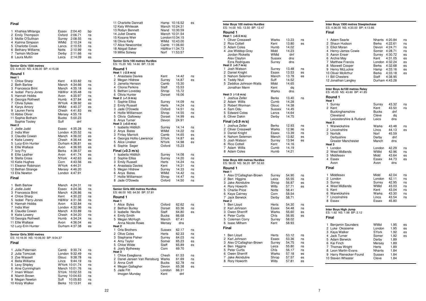| Final                                                                                                                                                                                                                                                                                                                   |                                                                                                                                                                                                                                                                      |                                                                      |
|-------------------------------------------------------------------------------------------------------------------------------------------------------------------------------------------------------------------------------------------------------------------------------------------------------------------------|----------------------------------------------------------------------------------------------------------------------------------------------------------------------------------------------------------------------------------------------------------------------|----------------------------------------------------------------------|
| Khahisa Mhlanga<br>1<br>2<br>Emily Thompson<br>3<br>Mollie O'Sullivan<br>$\overline{4}$<br>Katrina Simpson<br>5<br><b>Charlotte Crook</b><br>6<br><b>Bethany Williams</b><br>7<br><b>Tamsin McGraw</b><br>Laura Mullin<br>8                                                                                             | Essex<br>2:04.40<br>Oxford<br>2:06.71<br>Surrey<br>2:08.55<br>WMid<br>2:10.24<br>Lancs<br>2:10.53<br>Notts<br>2:10.99<br>Derby<br>2:11.66<br>Leics<br>2:14.09                                                                                                        | bp<br>ns<br>ns<br>ns<br>ns<br>ns<br>ns<br>es                         |
| Senior Girls 1500 metres<br>ES: 4:44.00 NS: 4:36.00 BP: 4:15.08                                                                                                                                                                                                                                                         |                                                                                                                                                                                                                                                                      |                                                                      |
| Round 1<br>Heat 1                                                                                                                                                                                                                                                                                                       |                                                                                                                                                                                                                                                                      |                                                                      |
| 1<br>Chloe Sharp<br>$\overline{2}$<br><b>Beth Barlow</b><br>3<br>Francesca Brint<br>$\overline{4}$<br>Isobel Parry-Jones<br>5<br>Hannah Hobbs<br>6<br>Georgia Rothwell<br>Olivia Sykes<br>7<br>8<br><b>Karys Amory</b><br>9<br>Lauren Ferris<br>10 Abbie Oliver<br>11 Sophie Botham                                     | Kent<br>4:33.82<br>Manch<br>4:34.66<br>Manch<br>4:35.18<br>H&Wor 4:35.48<br>Avon<br>4:35.97<br>Humb<br>4:37.84<br>WYork<br>4:38.92<br>WMid<br>4:40.37<br>4:41.83<br>Chesh<br>Mersey 4:55.19<br>Bucks<br>5:00.23                                                      | ns<br>ns<br>ns<br>ns<br>ns<br>es<br>es<br>es<br>es                   |
| Sophie Tooley<br>Heat 2<br>Jodie Judd<br>1<br>$\overline{2}$<br>India Weir<br>3<br>Claudia Cowan<br>4<br>Katie Lowery<br>5 Lucy-Erin Hunter<br>Ellie Wallace<br>6<br>7<br>Izzy Fry<br>8<br>Ellie Leather<br>Stella Cross<br>9<br>10 Katie Hughes<br>11 Eleanor Robinson<br>12 Bethan Strange<br>13 Ella Newton<br>Final | Suff<br>dnf<br>4:35.28<br>Essex<br>London 4:35.52<br>Manch<br>4:36.02<br>4:36.44<br>Chesh<br>Durham 4:36.81<br>Avon<br>4:36.93<br>Berks<br>4:38.57<br>Avon<br>4:41.74<br>NYork<br>4:42.63<br>Corn<br>4:43.56<br>WYork<br>4:44.31<br>Mersey 4:46.20<br>London 4:47.91 | ns<br>ns<br>es<br>es<br>es<br>es<br>es<br>es<br>es<br>es             |
| 1<br><b>Beth Barlow</b><br>2<br>Jodie Judd<br>3<br>Francesca Brint<br>4 Chloe Sharp<br>5<br>Isobel Parry-Jones<br>Hannah Hobbs<br>6<br>7<br>India Weir<br>8 Claudia Cowan<br>9<br><b>Katie Lowery</b><br>10 Georgia Rothwell<br>11 Ellie Wallace<br>12 Lucy-Erin Hunter                                                 | Manch<br>4:24.31<br>Essex<br>4:24.36<br>Manch<br>4:26.86<br>Kent<br>4:30.22<br>H&Wor 4:31.56<br>Avon<br>4:32.84<br>London 4:32.96<br>Manch<br>4:33.89<br>Chesh<br>4:34.20<br>Humb<br>4:34.24<br>Avon<br>4:36.04<br>Durham 4:37.38                                    | ns<br>ns<br>ns<br>ns<br>ns<br>ns<br>ns<br>ns<br>ns<br>ns<br>es<br>es |
| Senior Girls 3000 metres<br>ES: 10:18.00 NS: 10:06.00 BP: 9:04.37<br>Final                                                                                                                                                                                                                                              |                                                                                                                                                                                                                                                                      |                                                                      |
| 1<br>Julia Paternain<br>2<br>Julia Tomczak<br>3 Zoe Wassell<br><b>Bella Williams</b><br>4<br>5<br>Lexy Shipley<br>Aine Cunningham<br>6<br>Imani Wilson<br>7<br>8<br>Niamh Brown<br>9<br>Megan Newton<br>10 Kirsty Walker                                                                                                | Camb<br>9:30.74<br>London<br>9:32.49<br>Glouc<br>9:38.78<br>Lincs<br>9:44.19<br>WYork 10:01.74<br>Manch 10:01.76<br>SYork<br>10:02.53<br>Surrey<br>10:04.63<br>Suff<br>10:05.83<br>Berks<br>10:13.91                                                                 | ns<br>ns<br>ns<br>ns<br>ns<br>ns<br>ns<br>ns<br>ns<br>es             |

| 11 Charlotte Dannatt<br>12 Katy Whiteoak<br>13 Robyn Bennett<br>14 Juliet Downs<br>15 Kosana Weir<br>16 Olivia Kelly<br>17 Alice Newcombe<br>18 Abigail Saker<br>19 Millie Solway          | Hamp 10:16.52<br>Manch 10:24.31<br>Nland<br>Manch 10:31.54<br>London10:34.15<br>WMid<br>Camb<br>H&Wor11:34.73<br>Norf | 10:30.59<br>10:43.00<br>11:06.60<br>11:53.57                         | es                                           |
|--------------------------------------------------------------------------------------------------------------------------------------------------------------------------------------------|-----------------------------------------------------------------------------------------------------------------------|----------------------------------------------------------------------|----------------------------------------------|
| Senior Girls 100 metres Hurdles<br>ES: 15.20 NS: 14.60 BP: 13.30                                                                                                                           |                                                                                                                       |                                                                      |                                              |
| Round 1<br>Heat 1 (-2.9 m/s)<br>1<br>Anastasia Davies<br>2<br>Megan Hildrew<br>3<br>Jamelia Henson<br>4<br>Cliona Perkins<br>5<br>Bethan Loveday                                           | Kent<br>Surrey<br>Camb<br>Staff<br>Shrop                                                                              | 14.42<br>14.87<br>15.30<br>15.53<br>15.72                            | ns<br>es                                     |
| Olivia Hunter<br>6<br>Heat 2 (+1.5 m/s)<br>Sophie Elliss<br>1<br>2<br>Emily Russell<br>3<br>Jade O'Dowda<br>4<br>Hollie Williamson                                                         | Dorset<br>Surrey<br>Herts<br>Oxford                                                                                   | 16.06<br>14.09<br>14.24<br>14.51<br>14.55                            | ns<br>ns<br>ns<br>ns                         |
| 5<br>Olivia Galloway<br>6 Anya Turner<br>Heat 3 (+0.0 m/s)<br>Isabella Hilditch<br>1<br>2<br>Anya Bates                                                                                    | Shrop<br>Dorset<br>Devon<br>Surrey<br>WMid                                                                            | 14.99<br>24.91<br>14.14<br>14.22                                     | es<br>ns<br>ns                               |
| 3<br><b>Finlay Marriott</b><br>4<br>Georgia Hollis-Lawrence<br>5<br>Alice Linaker<br>6<br>Sophie Seger<br>Final (+0.3 m/s)                                                                 | Camb<br>SYork<br>NYork<br>Oxford                                                                                      | 14.65<br>14.87<br>14.98<br>15.23                                     | es<br>es<br>es                               |
| Isabella Hilditch<br>1<br>2<br>Sophie Elliss<br>3<br><b>Emily Russell</b><br>4<br>Anastasia Davies<br>5<br>Megan Hildrew<br>6<br>Anya Bates<br>7<br>Hollie Williamson<br>8<br>Jade O'Dowda | Surrey<br>Surrey<br>Herts<br>Kent<br>Surrey<br>WMid<br>Shrop<br>Oxford                                                | 14.08<br>14.20<br>14.24<br>14.31<br>14.33<br>14.42<br>14.47<br>14.50 | ns<br>ns<br>ns<br>ns<br>ns<br>ns<br>ns<br>ns |
| Senior Girls 400 metres Hurdles<br>ES: 66.00 NS: 64.50 BP: 57.81<br>Round 1                                                                                                                |                                                                                                                       |                                                                      |                                              |
| Heat 1<br>1<br>Alice Byles<br>2<br><b>Bethan Burley</b><br>3<br>Isabelle Neville<br>$\overline{4}$<br><b>Emily Smith</b><br>5<br>Megan McHugh<br>Anna Nicole Rowe                          | Oxford<br>Dorset<br>Staff<br>Bucks<br>Manch<br>Mersey                                                                 | 62.62<br>63.36<br>64.80<br>66.68<br>67.41<br>dns                     | ns<br>ns<br>es                               |
| Heat <sub>2</sub><br>Orla Brothers<br>1<br>2<br>Olive Coles<br>3<br>Stephanie Fisher<br>4<br>Amy Taylor<br>5<br>Chloe Wilde<br>6<br>Joely Bytheway<br>Heat <sub>3</sub>                    | Sussex<br>Herts<br>Surrey<br>Somer<br>Staff<br>Corn                                                                   | 62.17<br>62.33<br>64.03<br>65.23<br>65.89<br>69.70                   | ns<br>ns<br>ns<br>es<br>es                   |
| 1<br>Chloe Esegbona<br>2<br>Danel Jansen Van Rensburg<br>3<br>Anna Croft<br>4<br>Megan Gallagher<br>5<br>Jade Fitt<br>Imogen Munday                                                        | Chesh<br>Warks<br>Bucks<br>Devon<br>London<br>Kent                                                                    | 61.53<br>61.69<br>62.78<br>65.38<br>66.31<br>dnf                     | ns<br>ns<br>ns<br>es                         |

|        | Inter Boys 100 metres Hurdles<br>ES: 14.00 NS: 13.50 BP: 12.47 |                 |                |          |  |
|--------|----------------------------------------------------------------|-----------------|----------------|----------|--|
|        | Round 1                                                        |                 |                |          |  |
|        | Heat 1 (+0.5 m/s)                                              |                 |                |          |  |
| 1      | Oliver Cresswell                                               | Warks           | 13.23          | ns       |  |
| 2      | Rico Cottell                                                   | Kent            | 13.80          | es       |  |
| 3      | <b>Adam Coles</b>                                              | Humb            | 14.02          |          |  |
| 4      | Joe Widdop-Gray                                                | Midd            | 14.23          |          |  |
|        | Jordan Ricketts                                                | <b>WMid</b>     | dnf            |          |  |
|        | Alex Clayton                                                   | Sussex          | dns<br>dns     |          |  |
|        | Ezra Rodrigues<br>Heat 2 (+0.7 m/s)                            | Surrey          |                |          |  |
| 1      | Josh Watson                                                    | Surrey          | 13.48          | ns       |  |
| 2      | Daniel Knight                                                  | Essex           | 13.53          | es       |  |
| 3      | Nahom Selemon                                                  | Manch           | 13.78          | es       |  |
| 4      | Teddy Ntuli                                                    | Suff            | 14.52          |          |  |
| 5      | Zeddice Johnson-Watts                                          | Midd            | 14.65          |          |  |
|        | Jonathan Mann                                                  | Kent            | dq             |          |  |
|        |                                                                | Warks           | dns            |          |  |
|        | Heat 3 (-1.6 m/s)                                              |                 |                |          |  |
| 1      | Joshua Zeller                                                  | Berks           | 13.40          | ns       |  |
| 2<br>3 | Adam Willis                                                    | Cumb            | 14.28          |          |  |
| 4      | Robert Worman<br>Sam Odu                                       | Glouc           | 14.38<br>14.45 |          |  |
| 5      | <b>Edward Coles</b>                                            | Sussex<br>Lancs | 14.64          |          |  |
| 6      | Oliver Dakin                                                   | Derby           | 14.75          |          |  |
|        |                                                                |                 |                |          |  |
|        | Final (+0.9 m/s)                                               |                 |                |          |  |
| 1      | Joshua Zeller                                                  | Berks<br>Warks  | 12.93          | ns       |  |
| 2      | <b>Oliver Cresswell</b>                                        |                 | 12.96          | ns       |  |
| 3<br>4 | Daniel Knight<br>Nahom Selemon                                 | Essex<br>Manch  | 13.39<br>13.82 | ns<br>es |  |
| 5      | Josh Watson                                                    | Surrey          | 13.94          | es       |  |
| 6      | <b>Rico Cottell</b>                                            | Kent            | 14.16          |          |  |
| 7      | Adam Willis                                                    | Cumb            | 14.19          |          |  |
| 8      | Adam Coles                                                     | Humb            | 14.21          |          |  |
|        |                                                                |                 |                |          |  |
|        | Inter Boys 400 metres Hurdles<br>ES: 58.00 NS: 56.20 BP: 52.63 |                 |                |          |  |
|        | Round 1                                                        |                 |                |          |  |
|        | Heat 1                                                         |                 |                |          |  |
| 1      | Alex O'Callaghan-Brown                                         | Surrey          | 54.90          | ns       |  |
| 2      | Ben Higgins                                                    | Leics           | 55.55          | ns       |  |
| 3      | Jake Akindutire                                                | Shrop           | 56.87          | es       |  |
| 4      | Rory Howorth                                                   | Wilts           | 57.71          | es       |  |
| 5      | <b>Charlie Price</b>                                           | Notts           | 58.41          |          |  |
| 6      | Kaya Cairney                                                   | Corn            | 58.54          |          |  |
| 7      | Jack Berwick                                                   | Derby           | 58.71          |          |  |
|        | Heat 2                                                         |                 |                |          |  |
| 1<br>2 | Ben Lloyd                                                      | Herts           | 54.30          | ns       |  |
| 3      | Karl Johnson<br>Owen Sherriff                                  | Essex<br>Warks  | 54.48<br>56.60 | ns       |  |
| 4      | Peter Curtis                                                   | Chis            | 56.95          | es<br>es |  |
| 5      | Coleman Corry                                                  | Surrey          | 58.02          |          |  |
| 6      | <b>Isaac Milham</b>                                            | Kent            | 58.93          |          |  |
|        | Final                                                          |                 |                |          |  |
|        |                                                                |                 |                |          |  |
| 1      | Ben Lloyd                                                      | Herts           | 53.12          | ns       |  |
| 2      | Karl Johnson                                                   | Essex           | 53.36          | ns       |  |
| 3      | Alex O'Callaghan-Brown                                         | Surrey          | 54.75          | ns       |  |
| 4      | Ben Higgins                                                    | Leics           | 55.80          | ns       |  |
| 5      | Peter Curtis                                                   | Chis            | 56.17          | ns       |  |
| 6      | Owen Sherriff                                                  | Warks           | 57.18          | es       |  |
| 7      | Jake Akindutire                                                | Shrop           | 57.57          | es       |  |
| 8      | Rory Howorth                                                   | Wilts           | 57.81          | es       |  |
|        |                                                                |                 |                |          |  |

# **Inter Boys 1500 metres Steeplechase** ES: 4:36.00 NS: 4:30.00 BP: 4:13.66

## **Final**

| 1 Adam Searle                                                  | <b>Nhants</b> | 4:20.84        | ns |  |
|----------------------------------------------------------------|---------------|----------------|----|--|
| 2 Shaun Hudson                                                 | Berks         | 4:22.61        | ns |  |
| 3 Elliot Moran                                                 | Devon         | 4:24.71        | ns |  |
| 4 Henry-James Cowie                                            |               | Somer 4:28.71  | ns |  |
| 5 Aaron Enser                                                  | Surrey        | 4:30.72        | es |  |
| Archie May<br>6                                                | Kent          | 4:31.05        | es |  |
| 7 Matthew Francis                                              |               | London 4:32.24 | es |  |
| 8 Maxwell Cooper                                               | Berks         | 4:32.68        | es |  |
| 9 Henry McLuckie                                               | Hamp          | 4:33.16        | es |  |
| 10 Oliver McArthur                                             | Berks         | 4:33.18        | es |  |
| 11 Bill Chesters                                               | Staff         | 4:38.95        |    |  |
| 12 Jonathan Langley                                            |               | Durham 4:43.28 |    |  |
|                                                                |               |                |    |  |
| Inter Boys 4x100 metres Relay<br>ES: 45.00 NS: 43.60 BP: 41.85 |               |                |    |  |
| Round 1<br>Heat 1                                              |               |                |    |  |
| $\sim$ $\sim$                                                  |               | $\sim$ $\sim$  |    |  |

| Heat 1                                                                                                                                                                                                         |                          |                                                                                                         |                                                                              |                                        |
|----------------------------------------------------------------------------------------------------------------------------------------------------------------------------------------------------------------|--------------------------|---------------------------------------------------------------------------------------------------------|------------------------------------------------------------------------------|----------------------------------------|
| 1<br>Surrey<br>2<br>Kent<br>Buckinghamshire<br>Cleveland<br>Heat <sub>2</sub>                                                                                                                                  | Leicestershire & Rutland | Surrey<br>Kent<br>Bucks<br>Cleve<br>Leics                                                               | 43.32<br>43.50<br>dnf<br>dq<br>dns                                           | ns<br>ns                               |
| 1 Warwickshire<br>2 Lincolnshire<br>3 Norfolk<br>Derbyshire<br><b>Greater Manchester</b><br>Heat 3                                                                                                             |                          | Warks<br>Lincs<br>Norf<br>Derby<br>Manch                                                                | 43.48<br>44.13<br>45.59<br>dnf<br>dns                                        | ns<br>es                               |
| 1 London<br>2 West Midlands<br>3 Middlesex<br>4 Essex<br>Avon<br>Final                                                                                                                                         |                          | London<br>WMid<br>Midd<br>Essex<br>Avon                                                                 | 42.29<br>42.96<br>43.64<br>44.73<br>dns                                      | ns<br>ns<br>es<br>es                   |
| Middlesex<br>1<br>2 London<br>3 Surrey<br>4 West Midlands<br>5 Kent<br>6 Warwickshire<br>7 Lincolnshire<br>8<br>Essex                                                                                          |                          | Midd<br>London<br>Surrey<br><b>WMid</b><br>Kent<br>Warks<br>Lincs<br>Essex                              | 42.04<br>42.11<br>42.95<br>43.03<br>43.04<br>43.30<br>43.54<br>45.80         | ns<br>ns<br>ns<br>ns<br>ns<br>ns<br>ns |
| Inter Boys High Jump<br>ES: 1.92 NS: 1.98 BP: 2.12<br>Final                                                                                                                                                    |                          |                                                                                                         |                                                                              |                                        |
| 1.<br><b>Benjamin Saunders</b><br>2 Luke Okosieme<br>3 Kaya Walker<br>4 Jack Turner<br>5 Adam Berwick<br>6 Kai Finch<br>7 Thomas Wright<br>8 Leon Martin-Evans<br>9 Harry Rienecker-Found<br>10 Steven Wheater |                          | <b>WMid</b><br>London<br><b>SYork</b><br>Somer<br>Derby<br>Mersey<br>Herts<br>Nhants<br>Sussex<br>Cleve | 1.95<br>1.95<br>1.92<br>1.92<br>1.89<br>1.89<br>1.89<br>1.84<br>1.84<br>1.84 | es<br>es<br>es<br>es                   |

 $1.84$ 1.84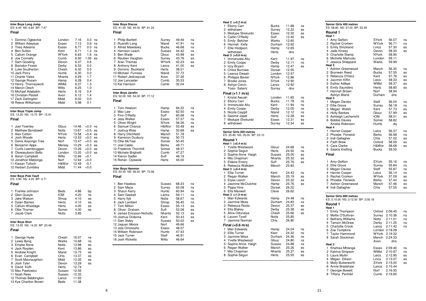#### Inter Boys Long Jump ES: 6.40 NS: 6.60 BP: 7.47 Final 1 Dominic Ogbechie 7.16  $0.0$  ns London 2 William Adeyeye  $0.6$  ns Essex 7.13 3 Theo Adesina Essex 677  $0.0$  ns 4 Ben Sutton Kent 6.71  $1.2$  ns 5 Callum Orange WYork 6.63  $1.6$  ns 6 Joe Connelly Cumb 6.50  $1.06$  es 7 Sam Gooding Devon 6.37 0 6 8 Brendon Foster Derby 6.33  $0.0$ 9 Luke Southerton Chesh 6.32  $0.0$ 10 Jack Perry Humb 6.30  $0.0$ 11 Charlie Yates **Nhants** 6.29  $17$ 12 George Rosam Hamp 6.28  $0.4$ WMid 13 Henry Thorneywork 6.27  $1.3$ Wilts  $6.25$ 14 Marcin Olech  $1.0$ 15 Michael Adebakin Herts 6.16  $0.4$ 16 Christian Pestell Avon  $6.12$  $1.4$ 17 Zack Darlington Midd  $6.02$  $0.0$ 18 Reece Williamson Midd  $5.98$  $0<sub>1</sub>$ Inter Boys Triple Jump ES: 13.20 NS: 13.70 BP: 15.91 Final 1 Joel Townley Glouc  $14.46 + 0.0$  ns 2 Matthew Bondswell 13.67  $+0.5$  es Notts 3 Alex Colton  $13.58 + 0.4$  es NYork 4 Josh Woods Herts 13.53  $+0.0$  es 5 Denis Assongo-Tree Norf 13.47  $+0.0$  es 6 Benjamin Apps Mersey  $13.29 + 0.3$  es 7 Curtis Leembruggen Devon 13.26  $+0.0$  es 8 Olowasubomi Bello London 13.20  $+0.0$  es 9 Aaron Campbell Wilts 12.66  $+0.1$ 10 Jonathon Mabonga Norf 12.64  $+0.0$ 11 Kaisan Tulloch H&Wor 12.49  $-0.1$ 12 Herbert Zumbika Midd  $11.44 + 0.0$ Inter Boys Pole Vault ES: 3.90 NS: 4.20 BP: 4.71 Final 1 Frankie Johnson Beds 4.86 bp 2 Glen Quayle **IOM**  $4.20$  $ns$ 3 Jake Watson Shrop 4.10 es 4 Dylan Baines Herts 4.10 es 5 Callum Woodage Herts 4.00 es 6 Ollie Thorner Somer 4.00 es 7 Jacob Clark Notts 3.85 **Inter Boys Shot** ES: 13.20 NS: 14.20 BP: 20.48 Final 1 George Hyde Chesh 16.07 ns 2 Lewis Byng Warks 14.68 ns 3 Emeke Ilione **Notts** 13.98 es 4 Jack Royden 13.86 Kent es 5 Andrew Knight 13.73 Nland  $es$ 6 Evan Campbell Chls 13.37 es

Midd

Devon

Sussex

Sussex

Lancs

Beds

Herts

13.35

13.29

12.74

12.55

12.32

11.93

11.38

es

es

7 Scott Macnaughton

12 Thomas Bebbington

13 Kye Charlton Brown

8 Josh Tyler

9 David Koffi

11 Noah Rees

10 Max Pawlowicz

| <b>Inter Boys Discus</b><br>ES: 41.00 NS: 44.00 BP: 61.24                                                                                                                                                                                                                                                                                      |                                                                                                                                                    |                                                                                                                                              |                                                                |
|------------------------------------------------------------------------------------------------------------------------------------------------------------------------------------------------------------------------------------------------------------------------------------------------------------------------------------------------|----------------------------------------------------------------------------------------------------------------------------------------------------|----------------------------------------------------------------------------------------------------------------------------------------------|----------------------------------------------------------------|
| Final                                                                                                                                                                                                                                                                                                                                          |                                                                                                                                                    |                                                                                                                                              |                                                                |
| 1<br><b>Philip Bartlett</b><br>2<br>Ruaridh Lang<br>3<br>Alfred Mawdsley<br>4 Harrison Leach<br>Ben Wade<br>5<br>Reuben Vaughan<br>6<br>7<br>Aran Thomas<br>Anthony Kent<br>8<br>9 Dominic Buckland<br>10 Michael Furness<br>11 Robert Jedrzejczak<br>12 Joe Lancaster<br>13 Kai Harrison                                                      | Surrey<br>Nland<br><b>Bucks</b><br>Sussex<br>Glouc<br>Surrey<br><b>WYork</b><br>Lancs<br>Herts<br>Nland<br>Avon<br>Cumb<br>Camb                    | 49.46<br>47.91<br>46.68<br>44.42<br>43.98<br>43.76<br>42.23<br>41.00<br>38.51<br>37.73<br>37.26<br>35.53<br>32.04                            | ns<br>ns<br>ns<br>ns<br>es<br>es<br>es<br>es                   |
| Inter Boys Javelin<br>ES: 52.00 NS: 54.00 BP: 77.12<br>Final                                                                                                                                                                                                                                                                                   |                                                                                                                                                    |                                                                                                                                              |                                                                |
| Tom Hewson<br>1<br>2<br>Max Law<br>3<br>Finn O'Reilly<br>4<br>Jess Walker<br>5<br>Oliver Wright<br>Samuel Chance<br>6<br>Joshua Wise<br>7<br>8<br><b>Harry Ditchfield</b><br>9 Kameron Duxbury<br>10 Ollie McTear<br>11 Joel Cable<br>12 Frederick Thornhill<br>13 Michele Brighetti<br>14 Kieron Sadler<br>15 Rohan Oyewole                   | Hamp<br>Essex<br>Suff<br>Essex<br>NYork<br>H&Wor<br>Hamp<br>Manch<br>Hamp<br>Somer<br><b>Berks</b><br>Somer<br>Cumb<br>Suff<br>Herts               | 64.22<br>62.50<br>60.68<br>57.57<br>56.26<br>53.48<br>52.68<br>51.78<br>50.73<br>50.40<br>49.71<br>48.37<br>47.27<br>46.19<br>45.00          | ns<br>ns<br>ns<br>ns<br>ns<br>es<br>es                         |
| Inter Boys Hammer<br>ES: 50.00 NS: 56.00 BP: 73.58<br>Final                                                                                                                                                                                                                                                                                    |                                                                                                                                                    |                                                                                                                                              |                                                                |
| <b>Ben Hawkes</b><br>1<br>2<br>Sam Mace<br>3<br>Shaun Kerry<br>4<br>Sam Gaskell<br>5<br>Harry llyk<br>Jack Lambert<br>6<br><b>Tom Milton</b><br>7<br>Oliver Graham<br>8<br>9 James Ericsson-Nicholls<br>10 Joshua Ondoma<br>11 Sam Illsley<br>12 Jaquan Moore<br>13 Jola Omotosho<br>14 William Robinson<br>15 Jack Turner<br>16 Josh Ricketts | Sussex<br>Surrey<br>Humb<br>Lancs<br>Notts<br>Shrop<br>Essex<br>Suff<br><b>Nhants</b><br>Kent<br>Sussex<br>Norf<br>Essex<br>Humb<br>Staff<br>Wilts | 68.23<br>63.08<br>60.94<br>59.11<br>58.67<br>56.45<br>55.13<br>53.08<br>52.13<br>50.43<br>50.02<br>49.66<br>48.07<br>47.43<br>46.91<br>46.64 | ns<br>ns<br>ns<br>ns<br>ns<br>ns<br>es<br>es<br>es<br>es<br>es |

|                | Heat 2 (+0.2 m/s)                   |                 |                |
|----------------|-------------------------------------|-----------------|----------------|
| 1              | Ebony Carr                          | <b>Bucks</b>    | 11.88          |
|                | 2 withdrawn                         | Surrey          | 12.22          |
|                | 3 Modupe Shokunbi                   | Essex           | 12.30          |
|                | 4 Caitlin O'Reilly                  | Suff            | 12.40          |
|                | 5 Emily Belcher                     | Warks           | 12.60          |
|                | 6 Hannah Kelly                      | Durham          | 12.62          |
| 7              | Ellie Hodgson                       | Hamp            | 12.65          |
|                | withdrawn                           | Herts           | dns            |
|                | Heat 3 (+0.6 m/s)                   |                 |                |
| 1              | Immanuela Aliu                      | Kent            | 11.97          |
|                | 2 Emily Coope                       | Derby           | 12.11<br>12.47 |
|                | 3 Izzy Bryant<br>4 Chloe Burrows    | Hamp<br>Dorset  | 12.55          |
| 5              | Leanza Dwaah                        | London          | 12.57          |
|                | 6 Philippa Baxter                   | NYork           | 12.86          |
|                | 7 Brodie Jones                      | SYork           | 12.90          |
| 8              | Ashya Colvin                        | Lancs           | 12.92          |
|                | Tosin Salami                        | Surrey          | dns            |
|                | Final (+1.1 m/s)                    |                 |                |
| 1              | Kristal Awuah                       | London          | 11.65          |
|                | 2 Ebony Carr                        | <b>Bucks</b>    | 11.78          |
|                | 3 Immanuela Aliu                    | Kent            | 11.94          |
|                | 4 Emily Coope                       | Derby           | 12.05          |
|                | 5 Nicola Caygill                    | Nland           | 12.12          |
| 6              | Salome Japal                        | Herts           | 12.28          |
| $\overline{7}$ | Modupe Shokunbi                     | Essex           | 12.31          |
|                | 8 withdrawn                         | Surrey          | 12.34          |
|                |                                     |                 |                |
|                | Senior Girls 200 metres             |                 |                |
|                | ES: 25.80 NS: 25.00 BP: 23.10       |                 |                |
|                |                                     |                 |                |
|                | Round 1                             |                 |                |
|                | Heat 1 (+0.4 m/s)                   |                 |                |
| 1              | Yvette Westwood                     | Glouc           | 24.68          |
| 2              | Sophie Segun                        | <b>Herts</b>    | 24.92          |
|                | 3 Sophie-Anne Haigh                 | Sussex          | 25.05          |
|                | 4 Mia Chapman                       | Nhants          | 25.32          |
| 5              | <b>Eldece Emery</b>                 | Suff            | 25.76          |
|                | 6 Rebecca Walkden                   | Manch           | 25.83          |
|                | Heat 2 (+0.4 m/s)                   |                 |                |
| 1.             | <b>Ellie Turner</b>                 | Kent            | 24.43          |
|                | 2 Regan Walker                      | Manch           | 25.19          |
|                | 3 Elyse Leech                       | Devon           | 25.32          |
|                | 4 Jasmine McClutchie                | Hamp            | 25.76          |
|                | 5 Pippa Hine                        | Dorset<br>Cleve | 26.22<br>26.62 |
|                | 6 Ella Maxwell<br>Heat 3 (+1.0 m/s) |                 |                |
| 1.             | Mair Edwards                        | Hamp            | 24.48          |
| 2              | Jazmine Moss                        | Durham          | 24.83          |
|                | 3 Rebecca Roots                     | Devon           | 25.37          |
|                | 4 Ella Blakey                       | Derby           | 25.38          |
|                | 5 Alice Odunaiya                    | Chesh           | 25.66          |
| 6              | Lauren Tyrell                       | Notts           | 25.85          |
| $\overline{7}$ | Jasmine Norman                      | Chls            | 26.80          |
|                | Final (+0.6 m/s)                    |                 |                |
| 1              | Mair Edwards                        | Hamp            | 24.04          |
| 2              | Ellie Turner                        | Kent            | 24.32          |
|                | 3 Jazmine Moss                      | Durham          | 24.36          |
| 4              | Yvette Westwood                     | Glouc           | 24.80          |
| 5              | Sophie-Anne Haigh                   | Sussex          | 24.88          |
| 6              | Regan Walker                        | Manch           | 25.26          |
| $\overline{7}$ | Mia Chapman                         | Nhants          | 25.37          |
| 8              | Sophie Segun                        | Herts           | 25.55          |

ns

es

es

es

ns

 $ns$ 

es

ns

ns

ns

 $n\overline{s}$ 

ns

es

es

es

ns

ns

es

es

es

ns

es

es

es

ns

ns

es

es

es

ns

ns

ns

ns

ns

es

es

es

4 Megan Ellison

5 Molly Butterworth

6 Annie Bradshaw

7 Georgie Bowett

8 Tiffany Penfold

| Senior Girls 400 metres<br>ES: 58.80 NS: 57.00 BP: 53.39                                                                                                                                  |                                                                                         |                                                                                  |                                              |
|-------------------------------------------------------------------------------------------------------------------------------------------------------------------------------------------|-----------------------------------------------------------------------------------------|----------------------------------------------------------------------------------|----------------------------------------------|
| Round 1<br>Heat 1                                                                                                                                                                         |                                                                                         |                                                                                  |                                              |
| Amy Gellion<br>1<br>2 Rachel Crorken<br>3 Emily Strickland                                                                                                                                | SYork<br>WYork<br>Lincs                                                                 | 56.07<br>56.71<br>57.30                                                          | ns<br>ns<br>es                               |
| 4 Jade Kinsey<br>5 Charlotte Stamp<br>6<br>Michelle Mamudu                                                                                                                                | Devon<br><b>NYork</b><br>London                                                         | 58.30<br>58.90<br>59.11                                                          | es                                           |
| 7<br>Jessica Sheppard<br>Heat <sub>2</sub>                                                                                                                                                | Warks                                                                                   | 59.99                                                                            |                                              |
| Ashton Greenwood<br>1<br>2 Bronwen Reed<br>3 Rebecca O'Hara<br>4 Jazzmin Kiffin<br>5 Esther Adikpe<br>6 Emily Saunders<br>Hannah Brown<br>7<br>Ashlyn Bland<br>Heat 3                     | Manch<br>Bucks<br>Kent<br>Leics<br>WMid<br>Herts<br>Norf<br>Durham                      | 56.30<br>57.55<br>57.78<br>58.33<br>58.37<br>58.80<br>58.94<br>dns               | ns<br>es<br>es<br>es<br>es<br>es             |
| 1<br>Megan Davies<br>2 Ellie Grove<br>3 Megan Walsh<br>4 Holly Bankes<br>5 Ashleigh Lachenicht<br>6 Bobbie Davies<br>Amelia Robinson<br>Heat 4                                            | Staff<br>Surrey<br>Kent<br>Glouc<br>IOM<br>Somer<br>Humb                                | 56.04<br>56.18<br>57.73<br>57.99<br>58.01<br>58.82<br>dq                         | ns<br>ns<br>es<br>es<br>es                   |
| 1<br><b>Harriet Cooper</b><br>2<br>Phoebe Fenwick<br>3 Indi Gallagher<br>4 Faith Brew<br>5 Cara Clarke<br>6 Saskia Krefting                                                               | Leics<br>Berks<br>Chls<br>Oxford<br>H&Wor<br>Bucks                                      | 56.37<br>56.98<br>57.02<br>58.59<br>58.68<br>59.50                               | ns<br>ns<br>es<br>es<br>es                   |
| Final                                                                                                                                                                                     |                                                                                         |                                                                                  |                                              |
| 1<br>Amy Gellion<br>2 Ellie Grove<br>3 Megan Davies<br>4 Harriet Cooper<br>5 Rachel Crorken<br>6 Phoebe Fenwick<br>7<br>Ashton Greenwood<br>8 Indi Gallagher                              | SYork<br>Surrey<br>Staff<br>Leics<br><b>WYork</b><br><b>Berks</b><br>Manch<br>Chls      | 55.16<br>55.84<br>55.87<br>56.14<br>57.09<br>57.44<br>57.46<br>57.55             | ns<br>ns<br>ns<br>ns<br>es<br>es<br>es<br>es |
| Senior Girls 800 metres<br>ES: 2:15.00 NS: 2:12.00 BP: 2:05.18                                                                                                                            |                                                                                         |                                                                                  |                                              |
| Round 1<br>Heat 1                                                                                                                                                                         |                                                                                         |                                                                                  |                                              |
| Emily Thompson<br>1<br>2 Mollie O'Sullivan<br>3 Bethany Williams<br>4<br><b>Tamsin McGraw</b><br>5 Charlotte Crook<br>6<br>Zoe Tompkins<br>7<br><b>Taylor Hammond</b><br>8 Sarah Stockman | Oxford<br>Surrey<br>Notts<br>Derby<br>Lancs<br>London 2:18.08<br>WYork<br>Manch<br>Avon | 2:09.45<br>2:10.36<br>2:11.01<br>2:11.25<br>2:11.42<br>2:19.32<br>2:24.33<br>dns | ns<br>ns<br>ns<br>ns<br>ns                   |
| Heat <sub>2</sub><br>1<br>Khahisa Mhlanga                                                                                                                                                 | Essex                                                                                   | 2:09.40                                                                          | ns                                           |
| 2 Katrina Simpson<br>3<br>Laura Mullin                                                                                                                                                    | <b>WMid</b><br>Leics                                                                    | 2:10.97<br>2:12.95                                                               | ns<br>es                                     |

Lincs

SYork

Lancs

Norf

2:13.07

2:15.00

2:15.44

2:16.50

Cumb 2:16.60

es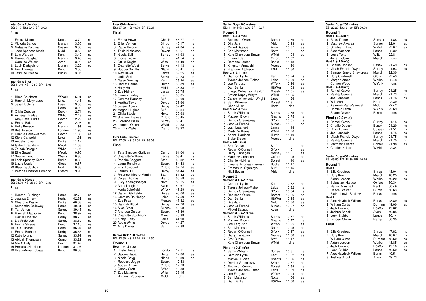## **Inter Girls Pole Vault** ES: 3.10 NS: 3.40 BP: 3.93**Final**1 Felicia Miloro Notts 3.70 nsns 2 Victoria Barlow Manch ns 3 Natasha Purchas Sussex 3.60 ns 4 Jade Spencer-Smith Midd 3.50<br>5 Lois Warden Kent 3.40  $ns$ 5 Lois Warden ns 6 Harriet Vaughan Manch 3.40<br>7 Caroline Walder - Avon 3.20 es 7 Caroline Walder  $es$ 8 Leah Darbyshire Manch 3.20<br>9 Erin Thomas Kent 3.05 9 Erin Thomas  $3.05$ 10 Jasmine Presho Bucks **Inter Girls Shot** ES: 11.40 NS: 12.80 BP: 15.08**Final**1 Rhea Southcott **WYork 15.01** ns<br>2 Hannah Molvneaux Lincs 14.48 ns ns 2 Hannah Molyneaux Lincs 14.48<br>3 Jess Hopkins Essex 13.08 ns 3 Jess Hopkins Essex<br>4.08 Herts ns  $13.02$ <br> $12.74$ es 5 Olivia Dobson Devon es 6 Asheigh Bailey **WMid 12.43**<br>7 Amv-Beth Curtis **Devon** 12.22 es 7 Amy-Beth Curtis Devon 12.22 es $es$ 8 Emma Bakare  $es$ 9 Holly Benson Manch 11.99<br>10 Britli Francis London 11.90 es 10 Britli Francis London es 11 Charlie Davey-James Devon 11.83<br>12 Kiera Canpolat Leics 11.81  $es$ 12 Kiera Canpolat Leics 11.81<br>13 Angela Lowe Berks 11.17 13 Angela Lowe Berks<br>14 Isabel Bradshaw NYork 11.09 14 Isabel Bradshaw NYork<br>15 Zainah Balagun WMid 11.05 15 Zainab Balagun WMid<br>16 Ellie Sewell NYork 10.96 16 Ellie Sewell **Charles Sewell Sewell Server Server Server Server Server Server Server Server Server Server S**<br>17 Sophie Hunt Server Server Server Server Server Server Server Server Server Server Server Server Server Serv 17 Sophie Hunt Warks<br>18 Leah Spratlev-Kemp Berks  $10.83$ 18 Leah Spratley-Kemp Berks<br>19 Lizzie Udale Glouc 10.67 19 Lizzie Udale 10.66 20 Blessing Joshua<br>21 Petrina Chantler Edmond Oxford  $9.98$ 21 Petrina Chantler Edmond **Inter Girls Discus** ES: 33.00 NS: 36.00 BP: 49.36**Final**1 Heather Cubbage 1 Hamp 42.70 ns<br>2 Jessica Emery 11 Herts 42.32 ns ns 2 Jessica Emery **Herts** 42.32<br>3 Charlotte Pavne **Berks** 40.89 ns 3 Charlotte Payne Berks 40.89<br>4 Samantha Callaway Hamp 40.81 ns 4 Samantha Callaway Hamp 40.81<br>5 Tait Jones Surrey 39.45 ns 5 Tait Jones Surrey 39.45 nsns 6 Hannah Macaulay Kent 38.97<br>7 Caitlin Emerson Derby 38.73 ns 7 Caitlin Emerson<br>
2 The Caitlin Emerson<br>
2 Surrey 38.59 ns 8 Lia Anderson Surrey 38.59<br>9 Emma Sharpe Devon 37.15 ns 9 Emma Sharpe Devon 37.15<br>10 Taia Tunstall Herts 36.97  $ns$ 10 Taia Tunstall es 11 Emma Botham Derby 35.55<br>12 Katie Lyons Surrey 33.99 es 12 Katie Lyons Surrey 33.99<br>13 Abigail Thompson Cumb 33.21  $es$ 13 Abigail Thompson Cumb 33.21<br>14 Mia O'Dalv Devon 31.49

14 Mia O'Daly<br>15 Precious Hamilton London

16 Kirsty-Anne Ebbage Kent

15 Precious Hamilton

| Inter Girls Javelin<br>ES: 37.00 NS: 40.00 BP: 52.21                                                                                                                                                                                                                                                                                                                                                                |                                                                                                                                                       |                                                                                                                                                       |                                                                                        |
|---------------------------------------------------------------------------------------------------------------------------------------------------------------------------------------------------------------------------------------------------------------------------------------------------------------------------------------------------------------------------------------------------------------------|-------------------------------------------------------------------------------------------------------------------------------------------------------|-------------------------------------------------------------------------------------------------------------------------------------------------------|----------------------------------------------------------------------------------------|
| Final                                                                                                                                                                                                                                                                                                                                                                                                               |                                                                                                                                                       |                                                                                                                                                       |                                                                                        |
| 1<br>Emma Howe<br>2<br>Ellie Vernon<br>3 Paula Holguin<br>4<br><b>Trixie Nicholson</b>                                                                                                                                                                                                                                                                                                                              | Chesh<br>Shrop<br>Surrey<br>Devon                                                                                                                     | 48.77<br>45.17<br>44.34<br>42.61                                                                                                                      | ns<br>ns<br>ns<br>ns                                                                   |
| 5<br>Nicola Bell<br>6<br>Eloise Locke                                                                                                                                                                                                                                                                                                                                                                               | Surrey<br>Kent                                                                                                                                        | 41.93<br>41.54                                                                                                                                        | ns<br>ns                                                                               |
| 7<br><b>Ottilie Knight</b><br>8<br><b>Charlotte West</b><br>9<br><b>Bobbie Griffiths</b>                                                                                                                                                                                                                                                                                                                            | Wilts<br>Berks<br>Nland                                                                                                                               | 41.40<br>41.13<br>40.41                                                                                                                               | ns<br>ns<br>ns                                                                         |
| 10 Alex Baker<br>11 Jodie Smith<br>12 Daisy Dowling                                                                                                                                                                                                                                                                                                                                                                 | Lancs<br>Berks<br>Kent                                                                                                                                | 39.25<br>39.23<br>38.90                                                                                                                               | es<br>es<br>es                                                                         |
| 13 Harriet Cannell<br>14 Holly Hall<br>15 Zoe Kidney                                                                                                                                                                                                                                                                                                                                                                | Humb<br>Midd<br>Lancs                                                                                                                                 | 38.89<br>38.53<br>36.75                                                                                                                               | es<br>es                                                                               |
| 16 Lauren Farley<br>17 Gemma Ramsey<br>18 Martha Taylor                                                                                                                                                                                                                                                                                                                                                             | Kent<br>Suff<br>Dorset                                                                                                                                | 36.35<br>36.00<br>35.96                                                                                                                               |                                                                                        |
| 19 Jessie Brown<br>20 Megan Hughes<br>21 Olivia Steele                                                                                                                                                                                                                                                                                                                                                              | Derby<br>Suff<br>Herts                                                                                                                                | 32.42<br>32.34<br>30.98                                                                                                                               |                                                                                        |
| 22 Shannon Dawes<br>23 Florence Baulk<br>24 Imogen Onions                                                                                                                                                                                                                                                                                                                                                           | Oxford<br>Surrey<br>WMid                                                                                                                              | 30.45<br>30.41<br>29.38                                                                                                                               |                                                                                        |
| 25 Emma Wallis                                                                                                                                                                                                                                                                                                                                                                                                      | Camb                                                                                                                                                  | 28.92                                                                                                                                                 |                                                                                        |
| Final<br>1<br>Tara Simpson-Sullivan<br><b>Charlotte Williams</b><br>$\overline{2}$<br>3 Phoebe Baggott<br>4 Laura Runciman<br>5 Ella Lovibond<br>Lauren Hill<br>6<br>Rhianne Moore-Martin<br>7<br>8<br>Cerys Thomas<br>9<br>Lucy Koenigsberger<br>10 Anna Loughlin<br>11 Maria Schofield<br>12 Caitlin Batcheldor<br>13 Jasmine Routledge<br>14 Zoe Price<br>15 Hannah Blood<br>16 Alice Steer<br>17 Andreea Golban | Cumb<br>Lancs<br>Staff<br>Essex<br>Oxford<br>Derby<br>Staff<br>Hamp<br>Norf<br>Avon<br>WYork<br>Dorset<br>Leics<br>Mersey<br>Derby<br>Sussex<br>Essex | 61.00<br>59.41<br>56.32<br>54.43<br>52.74<br>51.44<br>51.32<br>50.58<br>50.55<br>49.67<br>49.29<br>48.66<br>47.59<br>47.32<br>47.20<br>46.68<br>45.89 | ns<br>ns<br>ns<br>ns<br>es<br>es<br>es<br>es<br>es<br>es<br>es<br>es<br>es<br>es<br>es |
| 18 Charlotte Stuchbury<br>19 Kirsty Finlay<br>20 Abbie White<br>21 Amy Davies<br>Senior Girls 100 metres<br>ES: 12.50 NS: 12.20 BP: 11.50                                                                                                                                                                                                                                                                           | Manch<br>Leics<br>Dorset<br>Suff                                                                                                                      | 45.38<br>44.90<br>44.27<br>42.88                                                                                                                      |                                                                                        |
| Round 1                                                                                                                                                                                                                                                                                                                                                                                                             |                                                                                                                                                       |                                                                                                                                                       |                                                                                        |
| Heat 1 (-1.8 m/s)<br>Kristal Awuah<br>1<br>2<br>Salome Japal<br>3<br>Nicola Caygill<br>4 Rebecca Jeggo<br>5<br>Abbey Anson<br>Gabby Craft<br>6                                                                                                                                                                                                                                                                      | London<br>Herts<br>Nland<br>Essex<br>Oxford<br>SYork                                                                                                  | 12.11<br>12.36<br>12.39<br>12.53<br>12.78<br>12.88                                                                                                    | ns<br>es<br>es                                                                         |
| 7 Zoe Mattacks                                                                                                                                                                                                                                                                                                                                                                                                      | Wilts                                                                                                                                                 |                                                                                                                                                       | 33.15                                                                                  |

Brittany Robinson Midd

ns

ns

ns

 $ns$ 

ns

ns

 $ns$ 

 $ns$ 

es

 $_{\rm es}$ 

 $es$ 

es

es

ns

ns

ns

es

 $es$ 

es

es

es

es

es

es

 $es$ 

es

es

es

es

dns

| Senior Boys 100 metres<br>ES: 11.10 NS: 10.90 BP: 10.37 |                       |                |          |
|---------------------------------------------------------|-----------------------|----------------|----------|
| Round 1                                                 |                       |                |          |
| Heat 1 (+0.3 m/s)<br>1<br>Robinson Okumu                | Dorset                | 10.89          |          |
| 2<br>Dita Jaja                                          | Midd                  | 10.93          | ns<br>es |
| 3<br>Mikkel Bassue                                      | Avon                  | 10.97          | es       |
| 4<br><b>Ben Mattinson</b>                               | Notts                 | 11.01          | es       |
| 5<br>Kaie Chambers-Brown                                | WMid                  | 11.04          | es       |
| 6 Effiom Edet                                           | Oxford                | 11.32          |          |
| 7 Ramone Jordan<br>8 Kingston Amaechi                   | Berks<br>Mersey       | 11.48<br>11.50 |          |
| 9 Brandon Atchison                                      | <b>IOM</b>            | 11.60          |          |
| Heat 2 (+0.1 m/s)                                       |                       |                |          |
| Camron Lyttle<br>1                                      | Kent                  | 10.74          | ns       |
| 2<br>Tyrese Johson-Fisher<br>3<br>Joe Ferguson          | Leics<br><b>WYork</b> | 10.90<br>10.96 | ns<br>es |
| 4<br>Dan Banks                                          | H&Wor                 | 11.03          | es       |
| 5<br>Fisayo Williamson-Taylor                           | Chesh                 | 11.05          | es       |
| 6<br>Stefan Dupey-Whyte                                 | WMid                  | 11.25          |          |
| 7<br>Callum Winchester-Wright                           | Lincs                 | 11.26          |          |
| 8<br>Sam Wheeler<br><b>Chad Miller</b>                  | Dorset<br>Herts       | 11.31<br>dns   |          |
| Heat 3 (+1.4 m/s)                                       |                       |                |          |
| Samir Williams<br>1                                     | Surrey                | 10.65          | ns       |
| 2 Maxwell Brown                                         | Nhants                | 10.75          | ns       |
| 3<br>Derrius Greenaway                                  | SYork                 | 10.85          | ns       |
| 4 Joshua Persad<br>5 Josh Leatherd                      | Sussex<br>Lancs       | 11.01<br>11.18 | es       |
| 6<br>Martin Williams                                    | WMid                  | 11.26          |          |
| 7<br>Adam Harrison                                      | Humb                  | 11.40          |          |
| <b>Blake Brown</b>                                      | Mersey                | dns            |          |
| Heat 4 (-0.3 m/s)<br>1<br><b>Bret Okeke</b>             | Staff                 | 11.01          | es       |
| = Regan O'Connell                                       | SYork                 | 11.01          | es       |
| 3 Harry Flanagan                                        | Mersey                | 11.01          | es       |
| 4 Matthew Johnson                                       | Oxford                | 11.05          | es       |
| 5<br><b>Charlie Hickling</b>                            | Dorset                | 11.10          | es       |
| Kwame Twumasi-Tawiah<br>6<br>7                          | <b>Bucks</b>          | 11.17<br>11.45 |          |
| <b>Emmanuel Ogunleye</b><br>Niall Bevan                 | Suff<br>Midd          | dns            |          |
| Round 2                                                 |                       |                |          |
| Semi-final A (+1.7 m/s)                                 |                       |                |          |
| 1<br>Camron Lyttle                                      | Kent                  | 10.62          | ns       |
| 2<br>Tyrese Johson-Fisher                               | Leics                 | 10.82          | ns       |
| 3 Derrius Greenaway                                     | <b>SYork</b>          | 10.84          | ns       |
| 4 Robinson Okumu<br>Dan Banks<br>5                      | Dorset<br>H&Wor       | 10.86<br>10.95 | ns<br>es |
| 6<br>Dita Jaja                                          | Midd                  | 10.96          | es       |
| 7<br>Joshua Persad                                      | Sussex                | 10.97          | es       |
| Mikkel Bassue                                           | Avon                  | dns            |          |
| Semi-final B (+1.3 m/s)                                 |                       |                |          |
| 1 Samir Williams<br>2 Maxwell Brown                     | Surrey<br>Nhants      | 10.67<br>10.77 | ns<br>ns |
| 3 Joe Ferguson                                          | <b>WYork</b>          | 10.95          | es       |
| 4 Ben Mattinson                                         | Notts                 | 10.95          | es       |
| 5 Regan O'Connell                                       | SYork                 | 10.97          | es       |
| 6<br>Harry Flanagan                                     | Mersey                | 11.08          | es       |
| $\overline{7}$<br><b>Bret Okeke</b>                     | Staff<br>WMid         | 11.17          |          |
| Kaie Chambers-Brown                                     |                       | dns            |          |
| Final (+0.3 m/s)<br>Samir Williams<br>1                 | Surrey                | 10.61          |          |
| 2<br>Camron Lyttle                                      | Kent                  | 10.62          | ns<br>ns |
| <b>Maxwell Brown</b><br>3                               | Nhants                | 10.66          | ns       |
| 4 Derrius Greenaway                                     | SYork                 | 10.77          | ns       |
| 5<br>Robinson Okumu                                     | Dorset                | 10.88          | ns       |
| 6<br>Tyrese Johson-Fisher                               | Leics                 | 10.89          | ns       |
| 7<br>Joe Ferguson<br>8<br>Ben Mattinson                 | WYork<br>Notts        | 10.94<br>11.06 | es<br>es |
| 9 Dan Banks                                             | H&Wor                 | 11.08          | es       |

ns

ns

ns

|                | <b>Senior Boys 200 metres</b><br>ES: 22.20 NS: 21.90 BP: 20.90 |                 |                |          |
|----------------|----------------------------------------------------------------|-----------------|----------------|----------|
|                | Round 1                                                        |                 |                |          |
|                | Heat 1 (+0.6 m/s)                                              |                 |                |          |
| 1<br>2         | <b>Rhys Turner</b><br><b>Matthew Alvarez</b>                   | Sussex          | 21.88          | ns       |
| 3              | <b>Charles Hilliard</b>                                        | Somer<br>WMid   | 22.01<br>22.07 | es<br>es |
| 4              | Alex Marsden                                                   | Lancs           | 22.32          |          |
| 5              | Louis Torto                                                    | Wilts           | 22.81          |          |
|                | Jona Efoloko                                                   | Manch           | dns            |          |
|                | Heat 2 (+1.0 m/s)                                              |                 |                |          |
| 1<br>2         | <b>Charlie Dobson</b><br>Micah Francis-Dwyer                   | Essex           | 21.49<br>21.93 | ns<br>es |
| 3              | Samuel Emery-Shawcross                                         | Surrey<br>Manch | 22.30          |          |
| 4              | <b>Rory Cawkwell</b>                                           | Glouc           | 22.43          |          |
| 5              | Morgan Amed                                                    | Warks           | 22.48          |          |
|                | Connor Wood                                                    | <b>WYork</b>    | dns            |          |
| 1              | Heat 3 (+1.0 m/s)                                              |                 |                |          |
| 2              | Romell Glave<br>Reality Osuoha                                 | Surrey<br>Manch | 21.25<br>21.73 | ns<br>ns |
|                | 3 Joe Lonsdale                                                 | Lancs           | 21.76          | ns       |
| 4              | Will Martin                                                    | Herts           | 22.39          |          |
| 5              | Keano-E Paris-Samuel                                           | Midd            | 22.42          |          |
|                | 6 Dominic Lamb                                                 | WYork           | 22.69          |          |
|                | Shane Dewar                                                    | Essex           | dns            |          |
|                | Final (+0.2 m/s)                                               |                 |                |          |
| 1              | <b>Romell Glave</b>                                            | Surrey          | 21.15          | ns       |
|                | 2 Charlie Dobson                                               | Essex           | 21.20          | ns       |
|                | 3 Rhys Turner<br>4 Joe Lonsdale                                | Sussex          | 21.51          | ns       |
|                | 5 Micah Francis-Dwyer                                          | Lancs<br>Surrey | 21.75<br>21.75 | ns<br>ns |
|                | 6 Reality Osuoha                                               | Manch           | 21.75          | ns       |
| 7              | <b>Matthew Alvarez</b>                                         | Somer           | 21.98          | es       |
|                | 8 Charles Hilliard                                             | WMid            | 22.34          |          |
|                |                                                                |                 |                |          |
|                | Senior Boys 400 metres<br>ES: 49.50 NS: 48.80 BP: 46.26        |                 |                |          |
|                | Round 1                                                        |                 |                |          |
|                | Heat 1                                                         |                 |                |          |
| 1              | <b>Ellis Greatrex</b>                                          | Shrop           | 48.04          | ns       |
| 2              | Rory Keen                                                      | Manch           | 48.25          | ns       |
| 3<br>4         | Aidan Leeson<br>Sebastian Hartwell                             | Warks<br>Oxford | 49.20<br>50.34 | es       |
| 5              | Henry Marshall                                                 | Kent            | 50.49          |          |
| 6              | <b>Reece Stalker</b>                                           | Cumb            | 50.63          |          |
|                | <b>Blaine Lewis-Shallow</b>                                    | Berks           | dns            |          |
|                | Heat 2                                                         |                 |                |          |
| 1              | Alex Haydock-Wilson                                            | Berks           | 48.89          | es       |
| $\overline{c}$ | <b>William Curtis</b><br>3 Jack Hocking                        | Durham<br>H&Wor | 49.00<br>49.62 | es       |
| 4              | Joshua Snook                                                   | Avon            | 49.85          |          |
| 5              | Leon Stubbs                                                    | Lancs           | 50.14          |          |
| 6              | Lynden Olowe                                                   | Hamp            | 50.35          |          |
|                | Final                                                          |                 |                |          |
|                |                                                                |                 |                |          |
| 1              | <b>Ellis Greatrex</b>                                          | Shrop           | 47.82          | ns       |
| 2              | Rory Keen                                                      | Manch           | 48.07          | ns       |
| 3              | <b>William Curtis</b>                                          | Durham          | 48.60          | ns       |
| 4<br>5         | Aidan Leeson                                                   | Warks           | 48.85          | es       |
| 6              | Jack Hocking<br>Leon Stubbs                                    | H&Wor<br>Lancs  | 49.10<br>49.50 | es<br>es |
| 7              | Alex Haydock-Wilson                                            | Berks           | 49.51          |          |
|                | 8. Joshua Snook                                                | Avon            | 49.73          |          |

31.07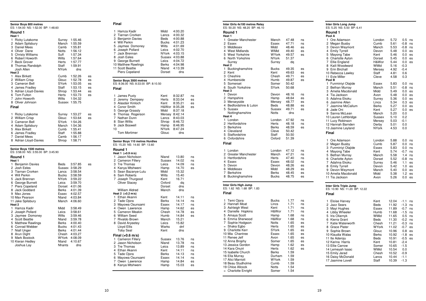|                                   | Senior Boys 800 metres<br>ES: 1:54.00 NS: 1:52.00 BP: 1:48.60                                                                                                             |                                                                              |                                                                                             |                                  |
|-----------------------------------|---------------------------------------------------------------------------------------------------------------------------------------------------------------------------|------------------------------------------------------------------------------|---------------------------------------------------------------------------------------------|----------------------------------|
|                                   | Round 1                                                                                                                                                                   |                                                                              |                                                                                             |                                  |
| Heat 1<br>1.<br>Heat <sub>2</sub> | <b>Ricky Lutakome</b><br>2 Adam Spilsbury<br>3 Daniel Mees<br>4 Oliver Dane<br>5 Christy Williams<br>6 Robert Howorth<br>7 Beck Grover<br>8 Thomas Randolph<br>Josh Allen | Surrey<br>Manch<br>Camb<br>Notts<br>Suff<br>Wilts<br>Herts<br>Staff<br>NYork | 1:55.46<br>1:55.59<br>1:55.81<br>1:56.12<br>1:57.34<br>1:57.64<br>1:57.77<br>1:59.91<br>dns |                                  |
| 1<br>7<br>Final                   | <b>Alex Birkett</b><br>2 William Crisp<br>3 Cameron Bell<br>4 James Fradley<br>5 Adrian Lloyd-Davies<br>6 Tom Fulton<br>John Howorth<br>8 Oliver Johnson                  | Cumb<br>Glouc<br>SYork<br>Staff<br>Shrop<br>Herts<br>Wilts                   | 1:52.26<br>1:52.78<br>1:53.05<br>1:53.15<br>1:53.44<br>1:53.73<br>1:54.32<br>Sussex 1:55.75 | es<br>es<br>es<br>es<br>es<br>es |
|                                   | 1 Ricky Lutakome<br>2 William Crisp<br>3 Cameron Bell<br>4 Adam Spilsbury<br>5 Alex Birkett<br>6 James Fradlev<br>7 Daniel Mees<br>8 Adrian Lloyd-Davies                  | Surrey<br>Glouc<br>SYork<br>Manch<br>Cumb<br>Staff<br>Camb<br>Shrop          | 1:53.27<br>1:53.64<br>1:54.26<br>1:54.36<br>1:55.41<br>1:55.88<br>1:56.17<br>1:58.71        | es<br>es                         |
| Heat 1                            | Senior Boys 1500 metres<br>ES: 3:58.00 NS: 3:55.00 BP: 3:45.90<br>Round 1                                                                                                 |                                                                              |                                                                                             |                                  |
| 5.                                | 1 Benjamin Davies<br>2 Josh Eeles<br>3 Tiarnan Crorken<br>4 Will Perkin<br>Jack Brennan                                                                                   | Beds<br>Lancs<br>Bucks<br><b>NYork</b>                                       | 3:57.85<br>Sussex 3:58.29<br>3:58.54<br>3:58.59<br>3:59.22                                  | es                               |

 9 Max Jones Essex 4:02.5710 Max Pearson Nland 4:03.84

1 Hamza Kadir Midd 3:58.49

4 Scott Beattie Nland 3:59.78

7 Niall Unger Berks 4:01.44 8 Arun Dight Chesh 4:03.279 Mark Bostock WYork 4:08.09

Joshua Lay Nhants dns

2 Joseph Pollard Leics<br>3 Jaymee Domoney Wilts

5 Matthew Rawlings **Berks** 

6 George Burnett

7 Piers Copeland

8 Jack Goddard

11 Jake Spilsbury **Heat 2**

3 Jaymee Domoney<br>4 Scott Beattie

6 Conrad Webber<br>7 Niall Unger

10 Kieran Hedley<br>Joshua Lay

es

es

 $\mathop{\mathsf{es}}$ 

es

 $\frac{55}{65}$ 

es

Leics 3:59.70

Dorset 4:01.06

Berks 4:01.39

Manch 4:06.60

Bucks 4:01.43

Nland 4:10.67

3:58.61

3:59.46

 $4:00.40$ 

| Midd<br>Lancs<br>Beds<br>Bucks<br>Wilts<br>Leics<br>Leics<br>Berks<br>Nland<br>Dorset  | dns                                                                             |                                                                                                                                                                                                                                                                                |
|----------------------------------------------------------------------------------------|---------------------------------------------------------------------------------|--------------------------------------------------------------------------------------------------------------------------------------------------------------------------------------------------------------------------------------------------------------------------------|
| ES: 8:36.00 NS: 8:33.00 BP: 8:10.50                                                    |                                                                                 |                                                                                                                                                                                                                                                                                |
|                                                                                        |                                                                                 |                                                                                                                                                                                                                                                                                |
| Kent<br>Herts<br>Kent<br>Midd<br>NYork<br>Glouc                                        | dns                                                                             | ns<br>es<br>es<br>es                                                                                                                                                                                                                                                           |
|                                                                                        |                                                                                 |                                                                                                                                                                                                                                                                                |
| Nland<br>Sussex<br>Leics<br>Hamp<br>Midd<br>Wilts<br>Kent<br>Oxford<br>Dorset<br>Manch | 13.80<br>14.02<br>14.09<br>14.70<br>15.32<br>15.40<br>16.71<br>dq<br>dns<br>dns | ns<br>ns<br>ns<br>es                                                                                                                                                                                                                                                           |
| Kent<br>Berks<br>Essex<br>Hamp<br>Chesh<br>Humb                                        | 14.11<br>14.14<br>14.17<br>14.62<br>14.78<br>14.84                              | ns<br>ns<br>ns<br>es<br>es<br>es                                                                                                                                                                                                                                               |
| Manch<br>Leics<br>Warks<br>Kent                                                        | 15.21<br>15.82<br>dnf<br>dns                                                    |                                                                                                                                                                                                                                                                                |
| Sussex                                                                                 | 13.76                                                                           | ns                                                                                                                                                                                                                                                                             |
|                                                                                        |                                                                                 | 4:00.20<br>4:00.32<br>4:00.88<br>4:01.23<br>4:01.69<br>4:02.70<br>NYork 4:03.15<br>Sussex 4:03.88<br>4:04.72<br>4:04.98<br>4:13.39<br>8:32.87<br>8:33.04<br>8:35.21<br>H&Wor 8:35.28<br>8:37.18<br>Mersey 8:42.14<br>Lancs 8:43.03<br>Shrop 8:46.72<br>Hamp 8:46.95<br>8:47.24 |

| Inter Girls 4x100 metres Relay              |                      |                |          |
|---------------------------------------------|----------------------|----------------|----------|
| ES: 50.20 NS: 48.20 BP: 46.10<br>Round 1    |                      |                |          |
| Heat 1                                      |                      |                |          |
| 1<br>Greater Manchester                     | Manch                | 47.48          | ns       |
| 2<br>Essex                                  | Essex                | 47.71          | ns       |
| 3 Middlesex<br>4                            | Midd                 | 48.46          | es       |
| West Midlands<br>5<br><b>West Yorkshire</b> | WMid<br><b>WYork</b> | 49.40<br>49.57 | es       |
| 6 North Yorkshire                           | NYork                | 51.37          | es       |
| Surrey                                      | Surrey               | da             |          |
| Heat <sub>2</sub>                           |                      |                |          |
| 1<br>Buckinghamshire                        | Bucks                | 49.35          | es       |
| 2 Kent                                      | Kent                 | 49.63          | es       |
| 3 Cheshire                                  | Chesh                | 49.71          | es       |
| 4<br>Humberside<br>5                        | Humb                 | 49.87<br>50.42 | es       |
| Somerset<br>6 South Yorkshire               | Somer<br>SYork       | 50.68          |          |
| Heat <sub>3</sub>                           |                      |                |          |
| 1<br>Devon                                  | Devon                | 48.16          | ns       |
| 2<br>Hampshire                              | Hamp                 | 48.64          | es       |
| 3 Merseyside                                | Mersey               | 48.77          | es       |
| 4<br>Bedfordshire & Luton                   | Beds                 | 48.88          | es       |
| 5 Sussex                                    | Sussex               | 49.71          | es       |
| Nottinghamshire<br>Heat 4                   | <b>Notts</b>         | dns            |          |
| 1<br>London                                 | London               | 47.92          | ns       |
| 2 Hertfordshire                             | Herts                | 48.18          | ns       |
| 3 Berkshire                                 | Berks                | 48.59          | es       |
| 4 Cleveland                                 | Cleve                | 50.42          |          |
| 5<br>Staffordshire                          | Staff                | 50.50          |          |
| Oxfordshire<br>6                            | Oxford               | 51.39          |          |
| Final                                       |                      |                |          |
| 1<br>London                                 | London               | 47.12          | ns       |
| $\overline{c}$<br><b>Greater Manchester</b> | Manch                | 47.21          | ns       |
| 3<br>Hertfordshire                          | Herts                | 47.40          | ns       |
| 4 Essex                                     | Essex                | 48.02          | ns       |
| 5 Devon<br>6<br>Middlesex                   | Devon                | 48.26          | es       |
| Berkshire<br>7                              | Midd<br>Berks        | 48.29<br>48.45 | es<br>es |
| 8 Buckinghamshire                           | Bucks                | 48.75          | es       |
| Inter Girls High Jump                       |                      |                |          |
| ES: 1.62 NS: 1.68 BP: 1.83                  |                      |                |          |
| Final                                       |                      |                |          |
| 1<br>Temi Ojora                             | <b>Bucks</b>         | 1.77           | ns       |
| 2 Hannah Moat                               | Lincs                | 1.71           | ns       |
| 3<br>Ashleigh West                          | Kent                 | 1.71           | ns       |
| 4 Danielle Hopkins                          | H&Wor                | 1.71           | ns       |
| 5 Amaya Scott                               | Hamp                 | 1.68           | ns       |
| 6<br>Emma Sherwood<br>7                     | H&Wor<br>Notts       | 1.68<br>1.65   | ns       |
| Sophie Hodgson<br>Shaka Egbo<br>$=$         | Herts                | 1.65           | es<br>es |
| 9 Charlotte Kerr                            | SYork                | 1.65           | es       |
| 10 Mia Chantree                             | Essex                | 1.65           | es       |
| 11 Renee Jelf                               | Avon                 | 1.65           | es       |
| 12 Anna Brophy                              | Somer                | 1.65           | es       |
| 13 Jessica Gordon                           | Hamp                 | 1.62           | es       |
| 14 Kara Onuiri                              | <b>Herts</b>         | 1.62           | es       |
| 15 Isabelle Church                          | Berks                | 1.59           |          |
| 16 Ella Murray<br>17 Alici Marriott         | Durham<br>WYork      | 1.59<br>1.59   |          |
| 18 Beau Studholme                           | Cumb                 | 1.59           |          |
| 19 Chloe Allcock                            | <b>Notts</b>         | 1.54           |          |
| $=$ Charlotte Enright                       | Somer                | 1.54           |          |

| Inter Girls Long Jump<br>ES: 5.25 NS: 5.50 BP: 6.41                                                                                                                                                                                                                                                   |                                                                                                                          |                                                                                                      |                                                                                                   |                                                                |
|-------------------------------------------------------------------------------------------------------------------------------------------------------------------------------------------------------------------------------------------------------------------------------------------------------|--------------------------------------------------------------------------------------------------------------------------|------------------------------------------------------------------------------------------------------|---------------------------------------------------------------------------------------------------|----------------------------------------------------------------|
| Round 1<br>Pool A                                                                                                                                                                                                                                                                                     |                                                                                                                          |                                                                                                      |                                                                                                   |                                                                |
| Ore Adamson<br>1<br>2 Megan Busby<br>3 Devon Weymont<br>4 Emily Tyrrell<br>5 Mayong Tabe<br>6 Charlotte Ayton<br>7<br>Ellie England<br>8 Kaili Woodward<br>9 Erin Birchall<br>10 Rebecca Lawley<br>11 Evie Miller<br>Pool B                                                                           | London<br>Cumb<br>Manch<br>Devon<br>Kent<br>Dorset<br>H&Wor<br>WMid<br>Mersey<br>Staff<br>Cleve                          | 5.72<br>5.61<br>5.53<br>5.48<br>5.46<br>5.45<br>5.44<br>5.16<br>4.92<br>4.81<br>4.58                 | 0.5<br>$-0.8$<br>$-0.8$<br>0.0<br>0.0<br>0.0<br>0.0<br>$-0.3$<br>$-0.4$<br>0.6<br>0.3             | ns<br>ns<br>ns<br>es<br>es<br>es<br>es                         |
| 1<br>Funminiyi Olajide<br><b>Bethan Murray</b><br>2<br>3 Amelia Macdonald<br>4 Tia Jackson<br>5 Adahna Ekoku<br>6 Jasmine Allen<br>$\overline{7}$<br>Jasmine McCallum<br>8 Jade Oni<br>9 Sanna McLean<br>10 Lauren Lethbridge<br>11 Lucy Robinson<br>12 Hannah Barnden<br>13 Jasmine Leyland<br>Final | Essex<br>Manch<br>Midd<br>Avon<br>Surrey<br>Lincs<br><b>Berks</b><br>Kent<br>Manch<br>Sussex<br>Mersey<br>Derby<br>NYork | 5.83<br>5.51<br>5.49<br>5.48<br>5.36<br>5.34<br>5.27<br>5.27<br>5.20<br>5.10<br>5.03<br>5.01<br>4.53 | 0.0<br>$-0.8$<br>0.0<br>$0.0\,$<br>0.0<br>0.3<br>0.0<br>0.0<br>0.0<br>0.2<br>$-0.1$<br>0.0<br>0.0 | ns<br>ns<br>es<br>es<br>es<br>es<br>es<br>es                   |
| 1<br>Ore Adamson<br>2<br>Megan Busby<br>3 Funminiyi Olajide<br>4 Mayong Tabe<br>5 Bethan Murray<br>6 Charlotte Ayton<br>7<br>Adahna Ekoku<br>8<br><b>Emily Tyrrell</b><br>Devon Weymont<br>9<br>10 Amelia Macdonald<br>11 Tia Jackson                                                                 | London<br>Cumb<br><b>Essex</b><br>Kent<br>Manch<br>Dorset<br>Surrey<br>Devon<br>Manch<br>Midd<br>Avon                    | 5.88<br>5.87<br>5.83<br>5.74<br>5.58<br>5.52<br>5.46<br>5.42<br>5.40<br>5.38<br>5.26                 | 0.0<br>0.0<br>0.0<br>$-0.7$<br>1.4<br>$-0.8$<br>1.1<br>1.0<br>0.0<br>1.2<br>0.0                   | ns<br>ns<br>ns<br>ns<br>ns<br>ns<br>es<br>es<br>es<br>es<br>es |
| Inter Girls Triple Jump<br>ES: 10.90 NS: 11.20 BP: 12.22<br>Final                                                                                                                                                                                                                                     |                                                                                                                          |                                                                                                      |                                                                                                   |                                                                |
| 1<br>Eloise Harvey<br>2<br><b>Jazz Sears</b><br>3<br>Mayi Hughes<br>4<br>Libby Wheeler                                                                                                                                                                                                                | Kent<br>Beds<br>Essex<br>Humb                                                                                            | 12.04<br>11.92<br>11.89<br>11.68                                                                     | $-1.1$<br>$-1.3$<br>$-0.7$<br>$-1.5$                                                              | ns<br>ns<br>ns<br>ns                                           |

5 Iris Oliarnyk WMid 11.65 0.5 ns

7 Katie Waterworth Chesh 11.21

8 Grace Plater **WYork** 11.02

9 Sophie Brown Glouc 10.96<br>10 Klaudia Walas Berks 10.92

13 Ellie Carrow Somer 10.65

14 Lemeyah Isaac WMid 10.54<br>15 Emily Jarad Chesh 10.52

15 Emily Jarad Chesh 10.52 -0.9

16 Daisy McDonald Lancs<br>17 Jasmine Lovell Staff

11 Ite Aderoju Beds 10.91 -0.5 es

6 Kierra Grant

10 Klaudia Walas

12 Karina Harris

17 Jasmine Lovell

 $-1.5$  ns  $0.5$  ns

 $-0.2$  ns

 $-0.3$  ns

 $-0.7$  es

 $0.8$  es

 $-1.8$  es

 $-0.5$  es

 $-1.5$ 

 $0.0$ 

 $-0.9$ 

 $-1.1$ 

 $10.39 - 1.3$ 

 $ns$ 

es

 $es$ 

 $\frac{1}{eS}$ 

es

es

es

es

es

 $es$ 

es

ns

es

ns

 $ns$ 

 $ns$ 

es

 $\frac{1}{eS}$ 

es

es

ns

ns

ns

 $ns$ 

ns

es

es

es

es

 $\frac{55}{65}$ 

es

es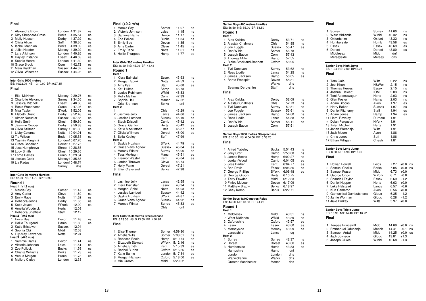|                  | Final                                                                                                                                                                                                                                                                                                                                                                    |                                                                                                                                                                                                                                                                      |                                                                                                                     |                                                                            |
|------------------|--------------------------------------------------------------------------------------------------------------------------------------------------------------------------------------------------------------------------------------------------------------------------------------------------------------------------------------------------------------------------|----------------------------------------------------------------------------------------------------------------------------------------------------------------------------------------------------------------------------------------------------------------------|---------------------------------------------------------------------------------------------------------------------|----------------------------------------------------------------------------|
| 1<br>2           | Alexandra Brown<br>Kitty Shepherd-Cross<br>3 Molly Hudson<br>4 Olivia Allum<br>5 Isobel Mannion<br>6 Juliet Hodder<br>7 Lara Atkinson<br>8 Hayley Instance<br>9 Sophie Hoare<br>10 Grace Brock<br>11 Maia Hardman<br>12 Olivia Wiseman                                                                                                                                   | London 4:31.87<br>Berks<br>Derby<br>Suff<br>Berks<br>Mersey 4:39.92<br>London 4:40.26<br>Essex<br>London 4:41.30<br>Corn<br>Sussex 4:44.02<br>Sussex 4:44.23                                                                                                         | 4:35.54<br>4:37.92<br>4:38.30<br>4:39.39<br>4:40.59<br>4:42.72                                                      | ns<br>ns<br>ns<br>ns<br>es<br>es<br>es<br>es<br>es<br>es<br>es<br>es       |
|                  | Inter Girls 3000 metres<br>ES: 10:22.00 NS: 10:10.00 BP: 9:27.15<br>Final                                                                                                                                                                                                                                                                                                |                                                                                                                                                                                                                                                                      |                                                                                                                     |                                                                            |
| 1<br>2<br>7      | Ella McNiven<br>Charlotte Alexander<br>3 Jessica Mitchell<br>4 Rosie Woodhams<br>5 Mya Taylor<br>6 Elsbeth Grant<br>Almaz Nerurkar<br>8 Holly Smith<br>9 Jasmine Cooper<br>10 Olivia Stillman<br>11 Libby Coleman<br>12 Tia Wilson<br>13 Yasmin Marghini<br>14 Grace Copeland<br>15 Jess Humphreys<br>16 Lucy Smith<br>17 Esme Davies<br>18 Jessica Cook<br>19 Lia Radus | Mersey<br>Surrey<br>Essex<br>Cumb<br>SYork<br>Derby<br>Sussex 9:57.85<br>Chesh<br>Derby<br>Surrey 10:01.30<br>Notts<br>Beds<br>London10:07.70<br>Dorset 10:27.75<br>Shrop 10:28.55<br>Chesh 10:29.36<br>Cumb 10:29.84<br>Mersey 10:35.65<br>London10:48.74<br>Surrey | 9:29.76<br>9:34.05<br>9:40.86<br>9:47.95<br>9:52.05<br>9:52.48<br>9:59.60<br>9:59.88<br>10:04.01<br>10:05.53<br>dns | ns<br>ns<br>ns<br>ns<br>ns<br>ns<br>ns<br>ns<br>ns<br>ns<br>ns<br>ns<br>ns |
|                  | Inter Girls 80 metres Hurdles<br>ES: 12.00 NS: 11.70 BP: 10.90                                                                                                                                                                                                                                                                                                           |                                                                                                                                                                                                                                                                      |                                                                                                                     |                                                                            |
| 1<br>7           | Round 1<br>Heat 1 (+1.2 m/s)<br>Marcia Sey<br>2 Amy Carter<br>3 Emily Race<br>4 Rebecca Johns<br>5 Katie Joyce<br>6 Amelia Woodnick<br>Rebecca Sheffield                                                                                                                                                                                                                 | Somer<br>Cleve<br>Notts<br>Derby<br>WYork<br>Herts<br>Staff                                                                                                                                                                                                          | 11.47<br>11.60<br>11.62<br>11.65<br>12.00<br>12.08<br>12.12                                                         | ns<br>ns<br>ns<br>ns<br>es                                                 |
| 1.<br>3<br>4     | Heat 2 (+0.9 m/s)<br><b>Emily Bee</b><br>2 Hollie Thurgood<br><b>Katie Bristowe</b><br>Sophia Obi<br>5 Lily-May Lawrence<br>Heat 3 (+0.8 m/s)                                                                                                                                                                                                                            | Devon<br>Hamp<br>Sussex<br>Midd<br>Notts                                                                                                                                                                                                                             | 11.48<br>11.80<br>12.04<br>12.08<br>12.24                                                                           | ns<br>es                                                                   |
| 1<br>2<br>3<br>5 | Sammie Harris<br>Victoria Johnson<br>Zoe Pollock<br>4 Chante Williams<br>Venus Morgan<br>6 Mallory Cluley                                                                                                                                                                                                                                                                | Devon<br>Leics<br>Bucks<br>Berks<br>Humb<br>London                                                                                                                                                                                                                   | 11.41<br>11.51<br>11.59<br>11.73<br>11.78<br>12.33                                                                  | ns<br>ns<br>ns<br>es<br>es                                                 |

| Final (+0.2 m/s)<br>1<br>Marcia Sey<br>2<br>Victoria Johnson<br>3<br>Sammie Harris<br>4<br>Zoe Pollock<br>5 Emily Bee<br>Amy Carter<br>6<br>7<br><b>Emily Race</b><br>8<br>Hollie Thurgood         | Somer<br>Leics<br>Devon<br>Bucks<br>Devon<br>Cleve<br>Notts<br>Hamp                   | 11.07<br>11.15<br>11.17<br>11.34<br>11.35<br>11.45<br>11.61<br>11.77                 | ns<br>ns<br>ns<br>ns<br>ns<br>ns<br>ns<br>es |
|----------------------------------------------------------------------------------------------------------------------------------------------------------------------------------------------------|---------------------------------------------------------------------------------------|--------------------------------------------------------------------------------------|----------------------------------------------|
| Inter Girls 300 metres Hurdles<br>ES: 46.60 NS: 45.00 BP: 41.48                                                                                                                                    |                                                                                       |                                                                                      |                                              |
| Round 1<br>Heat 1                                                                                                                                                                                  |                                                                                       |                                                                                      |                                              |
| 1<br>Kiera Bainsfair<br>2<br>Morgan Spink<br>3 Amy Pye<br>4<br>Kati Hulme<br>5<br>Louise Robinson<br>6<br>Molly Mather<br>7<br>Sophie Hall<br>Orla Brennan<br>Heat <sub>2</sub>                    | Essex<br>Notts<br>Staff<br>Shrop<br>WMid<br>Corn<br>Manch<br>Berks                    | 43.93<br>44.59<br>45.68<br>46.73<br>46.83<br>47.39<br>47.52<br>dnf                   | ns<br>ns<br>es                               |
| 1<br>2 Jasmine Jolly<br>3<br>Jessica Lambert<br>4<br>Steph Driscoll<br>5 Grace Gentry<br>6 Katie Mackintosh<br>7<br>Olivia Willmore<br>8<br><b>Bella Keeley</b><br>Heat 3                          | Chis<br>Lancs<br>Sussex<br>Cumb<br>Herts<br>Lincs<br>Dorset<br>Suff                   | 43.29<br>44.66<br>45.10<br>45.42<br>45.42<br>45.87<br>46.00<br>47.99                 | ns<br>ns<br>es<br>es<br>es<br>es<br>es       |
| 1<br>Saskia Huxham<br>2 Grace Vans Agnew<br>3<br><b>Marcey Winter</b><br>4<br>Tess McHugh<br>5 Eleanor Wastell<br>Jordan Thrower<br>6<br>Holly Paine<br>7<br>8<br>Ellie Cleveland<br>Final         | SYork<br>Sussex<br>Surrey<br>Manch<br>Kent<br>Cleve<br>Dorset<br><b>Berks</b>         | 44.79<br>45.04<br>45.06<br>45.51<br>45.64<br>46.74<br>47.21<br>47.98                 | ns<br>es<br>es<br>es<br>es                   |
| 1<br>Jasmine Jolly<br>2<br>Kiera Bainsfair<br>3 Morgan Spink<br>4 Jessica Lambert<br>5<br>Saskia Huxham<br>6<br>Grace Vans Agnew<br>7<br>Marcey Winter                                             | Lancs<br>Essex<br>Notts<br>Sussex<br><b>SYork</b><br>Sussex<br>Surrey<br>Chis         | 42.55<br>43.94<br>44.03<br>44.42<br>44.87<br>44.92<br>45.83<br>dnf                   | ns<br>ns<br>ns<br>ns<br>ns<br>ns<br>es       |
| Inter Girls 1500 metres Steeplechase<br>ES: 5:23.00 NS: 5:13.00 BP: 4:54.82<br>Final                                                                                                               |                                                                                       |                                                                                      |                                              |
| 1<br><b>Elise Thorner</b><br>Amelia Wills<br>2<br>3<br>Rebecca Poole<br>4 Elizabeth Stewart<br>5<br>Amelia Smith<br>Rachel Burton<br>6<br>Katie Balme<br>7<br>8<br>Morgan Hanson<br>9<br>Mia Groom | Somer<br>Somer<br>Hamp<br>WYork<br>Kent<br>Oxford<br>London 5:17.34<br>Oxford<br>Midd | 4:59.80<br>5:08.01<br>5:10.74<br>5:12.16<br>5:15.39<br>5:16.86<br>5:18.00<br>5:29.02 | ns<br>ns<br>ns<br>ns<br>es<br>es<br>es<br>es |

| Senior Boys 400 metres Hurdles<br>ES: 56.50 NS: 55.00 BP: 51.50                                                                                                                                                                |                                                                                                                          |                                                                                                                                  |                                        |
|--------------------------------------------------------------------------------------------------------------------------------------------------------------------------------------------------------------------------------|--------------------------------------------------------------------------------------------------------------------------|----------------------------------------------------------------------------------------------------------------------------------|----------------------------------------|
| Round 1<br>Heat 1                                                                                                                                                                                                              |                                                                                                                          |                                                                                                                                  |                                        |
| 1<br>Alex Knibbs<br>2 Alastair Chalmers<br>3 Joe Fuggle<br>4 Dan Wilde<br>5 Joseph Bacon<br><b>Thomas Miller</b><br>6<br>7 Blake Strickland-Bennett<br>Heat 2                                                                  | Derby<br>Chis<br>Sussex<br>Somer<br>Corn<br>Hamp<br>Oxford                                                               | 53.71<br>54.85<br>55.47<br>56.78<br>57.43<br>57.55<br>58.95                                                                      | ns<br>ns<br>es                         |
| 1<br>Tyri Donovan<br>2 Ross Liddle<br>3 James Jackson<br>4 Bertie Frankpitt<br>Seamus Derbyshire                                                                                                                               | Surrey<br>Lancs<br>Hamp<br>Devon<br>Warks<br>Staff                                                                       | 53.62<br>54.25<br>56.05<br>58.31<br>dns<br>dns                                                                                   | ns<br>ns<br>es                         |
| Final                                                                                                                                                                                                                          |                                                                                                                          |                                                                                                                                  |                                        |
| 1<br>Alex Knibbs<br>2<br><b>Alastair Chalmers</b><br>3 Tyri Donovan<br>4 Joe Fuggle<br>5 James Jackson<br>Ross Liddle<br>6<br>7<br>Dan Wilde<br>8 Joseph Bacon                                                                 | Derby<br>Chls<br>Surrey<br>Sussex<br>Hamp<br>Lancs<br>Somer<br>Corn                                                      | 52.09<br>52.73<br>52.81<br>53.61<br>54.60<br>54.88<br>56.11<br>57.51                                                             | ns<br>ns<br>ns<br>ns<br>ns<br>ns<br>es |
| Senior Boys 2000 metres Steeplechase<br>ES: 6:10.00 NS: 6:04.00 BP: 5:38.20<br>Final                                                                                                                                           |                                                                                                                          |                                                                                                                                  |                                        |
| 1<br><b>Alfred Yabsley</b><br>2 Joey Croft<br>3 James Beeks<br>4 Jordan Wood<br>5 Joss Barber<br>6 Ben Davis<br>7 George Phillips<br>8 George Groom<br>9 Terry Fawden<br>10 Finley McLear<br>11 Matthew Bradly<br>12 Chey Kemp | <b>Bucks</b><br>Camb<br>Hamp<br>Camb<br>Kent<br><b>Essex</b><br>SYork<br>Herts<br>Midd<br>Devon<br>Berks<br><b>Berks</b> | 5:54.43<br>5:58.80<br>6:02.27<br>6:04.05<br>6:04.77<br>6:06.36<br>6:06.48<br>6:10.75<br>6:12.83<br>6:17.09<br>6:18.97<br>6:22.71 | ns<br>ns<br>ns<br>es<br>es<br>es<br>es |
| Senior Boys 4x100 metres Relay<br>ES: 44.50 NS: 43.50 BP: 41.28                                                                                                                                                                |                                                                                                                          |                                                                                                                                  |                                        |
| Round 1<br>Heat 1                                                                                                                                                                                                              |                                                                                                                          |                                                                                                                                  |                                        |
| 1<br>Middlesex<br>2 West Midlands<br>3 Oxfordshire<br>4 Essex<br>5 Merseyside<br>Lancashire                                                                                                                                    | Midd<br>WMid<br>Oxford<br>Essex<br>Mersey<br>Lancs                                                                       | 43.31<br>43.39<br>43.57<br>43.60<br>43.99<br>dq                                                                                  | ns<br>ns<br>es<br>es<br>es             |
| Heat 2<br>1 Surrey<br>2 Dorset<br>3 Humberside<br>Hampshire<br>London<br>Warwickshire<br>Greater Manchester                                                                                                                    | Surrey<br>Dorset<br>Humb<br>Hamp<br>London<br>Warks<br>Manch                                                             | 42.37<br>43.66<br>43.83<br>dnf<br>dns<br>dns<br>dns                                                                              | ns<br>es<br>es                         |

| Final                                                                                                                                                                                                                                                                                                                                                   |                                                                                                                                                  |                                                                                                                                      |                                                                                                                        |
|---------------------------------------------------------------------------------------------------------------------------------------------------------------------------------------------------------------------------------------------------------------------------------------------------------------------------------------------------------|--------------------------------------------------------------------------------------------------------------------------------------------------|--------------------------------------------------------------------------------------------------------------------------------------|------------------------------------------------------------------------------------------------------------------------|
| 1<br>Surrey<br><b>West Midlands</b><br>2<br>3<br>Oxfordshire<br>4 Humberside<br>5<br>Essex<br>6<br>Dorset<br>Middlesex<br>Merseyside                                                                                                                                                                                                                    | Surrey<br>WMid<br>Oxford<br>Humb<br>Essex<br>Dorset<br>Midd<br>Mersey                                                                            | 41.60<br>42.32<br>43.32<br>43.58<br>43.69<br>43.80<br>dnf<br>dns                                                                     | ns<br>ns<br>ns<br>es<br>es<br>es                                                                                       |
| Senior Boys High Jump<br>ES: 1.94 NS: 2.00 BP: 2.25<br>Final                                                                                                                                                                                                                                                                                            |                                                                                                                                                  |                                                                                                                                      |                                                                                                                        |
| 1<br><b>Tom Gale</b><br>2<br>Joel Khan<br>3<br><b>Thomas Hewes</b><br>4 Joshua Hewett<br>5<br>Toni Ademuwagun<br>6 Glen Foster<br>Adam Brooks<br>7<br>8 Harry Baker<br>9 Daniel Fitzhenry<br>10 Adam Jones<br>11 Liam Reveley<br>Dylan Ferguson<br>$=$<br>13 Tyler Mitchell<br>14 Johan Warensjo<br>15 Jack Moore<br>= Chris Jones<br>17 Ethan Milligan | Wilts<br>H&Wor<br>Essex<br>IOM<br>Herts<br>Hamp<br>Avon<br>Sussex<br>Staff<br>Hamp<br>Durham<br>NYork<br>Herts<br>Wilts<br>Avon<br>Suff<br>Chesh | 2.22<br>2.15<br>2.15<br>2.03<br>2.03<br>2.03<br>1.97<br>1.97<br>1.94<br>1.94<br>1.91<br>1.91<br>1.91<br>1.91<br>1.86<br>1.86<br>1.81 | ns<br>ns<br>ns<br>ns<br>ns<br>ns<br>es<br>es<br>es<br>es                                                               |
| Senior Boys Long Jump<br>ES: 6.80 NS: 6.90 BP: 7.97<br>Final                                                                                                                                                                                                                                                                                            |                                                                                                                                                  |                                                                                                                                      |                                                                                                                        |
| Rowan Powell<br>1<br>2<br>Samuel Challis<br>3 Samuel Fraser<br>4 George Orton<br>5 Shandell Taylor<br>Daniel Hopper<br>6<br>7<br>Luke Halstead<br>8<br>Kurt Cameron<br>9 Gamuchirai Dumbutshena<br>10 Jamie Worman<br>11 Jake Burkey                                                                                                                    | Leics<br><b>Berks</b><br>Midd<br>WYork<br>Essex<br>Herts<br>Lancs<br>Avon<br>Glouc<br>Glouc<br>Wilts                                             | 7.27<br>7.05<br>6.73<br>6.71<br>6.69<br>6.63<br>6.57<br>6.56<br>6.35<br>6.28<br>5.97                                                 | $+0.0$<br>ns<br>$+0.0$<br>ns<br>$+0.0$<br>$-0.8$<br>$-1.2$<br>$+0.0$<br>$-0.6$<br>$+0.0$<br>$-1.2$<br>$-1.2$<br>$+0.0$ |
| Senior Boys Triple Jump<br>ES: 13.90 NS: 14.40 BP: 16.22<br>Final                                                                                                                                                                                                                                                                                       |                                                                                                                                                  |                                                                                                                                      |                                                                                                                        |
| 1<br><b>Teepee Princewill</b><br>2 Emmanuel Odubanjo<br>3 Samuel Antwi<br>4<br>Jack Joynson<br>5 Joseph Gilkes                                                                                                                                                                                                                                          | Midd<br>Manch<br>Midd<br>Glouc<br>WMid                                                                                                           | 14.69<br>14.41<br>14.25<br>13.81<br>13.68                                                                                            | $+0.0$<br>ns<br>$-0.1$<br>ns<br>$+0.0$<br>es<br>$+1.3$<br>$-1.3$                                                       |

 $\overline{\phantom{0}}$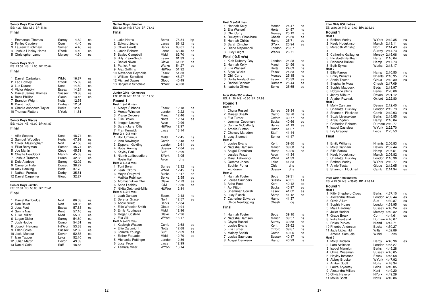| <b>Senior Boys Pole Vault</b><br>ES: 4.20 NS: 4.50 BP: 5.16<br>Final                                                                                                                                                                           |                                                                                                               |                                                                                                                   |                                                                |
|------------------------------------------------------------------------------------------------------------------------------------------------------------------------------------------------------------------------------------------------|---------------------------------------------------------------------------------------------------------------|-------------------------------------------------------------------------------------------------------------------|----------------------------------------------------------------|
| 1<br><b>Emmanuel Thomas</b><br>2 Fynley Caudery<br>3 Laurenz Kirchmayr<br>4 Joshua Lindley-Harris<br>5 Christopher Lamb                                                                                                                        | Surrey<br>Corn<br>Somer<br>SYork<br>Mersey                                                                    | 4.62<br>4.40<br>4.40<br>4.40<br>4.30                                                                              | ns<br>es<br>es<br>es<br>es                                     |
| <b>Senior Boys Shot</b><br>ES: 13.00 NS: 14.00 BP: 20.64<br>Final                                                                                                                                                                              |                                                                                                               |                                                                                                                   |                                                                |
| Daniel Cartwright<br>1<br>2 Leo Rowley<br>3 Luc Durant<br>4 Victor Adebiyi<br>5 Daniel James Thomas<br>6 Beck Phillips<br>7 Brandon Wright<br>8 David Todd<br>9 Charlie Ashdown-Taylor<br>10 Thomas Flatters                                   | <b>WMid</b><br><b>SYork</b><br>Kent<br>Essex<br>Sussex<br>Glouc<br>Notts<br>Durham<br>Berks<br>NYork          | 16.87<br>15.69<br>14.50<br>14.24<br>13.88<br>13.46<br>12.58<br>12.54<br>12.48<br>11.61                            | ns<br>ns<br>ns<br>ns<br>es<br>es                               |
| <b>Senior Boys Discus</b><br>ES: 40.00 NS: 46.00 BP: 61.87<br>Final                                                                                                                                                                            |                                                                                                               |                                                                                                                   |                                                                |
| 1<br>Alfie Scopes<br>2 Samuel Woodley<br>3 Oliver Massingham<br>4 Elliot Berryman<br>5 Joe Martin<br>6 Charlie Headdock<br>7 Joshua Tranmer<br>8 Dele Aladese<br>9 Cameron Hale<br>10 Alex Hamling<br>11 Nathan Furniss<br>12 Daniel Carpenter | Kent<br>Herts<br>Norf<br>Somer<br>Cleve<br>Manch<br>Humb<br>Surrey<br>Dorset<br>Beds<br>Derby<br>Glouc        | 48.74<br>47.99<br>47.58<br>45.74<br>45.51<br>45.03<br>42.38<br>42.02<br>38.27<br>37.78<br>35.51<br>32.27          | ns<br>ns<br>ns<br>es<br>es<br>es<br>es<br>es                   |
| Senior Boys Javelin<br>ES: 52.00 NS: 56.00 BP: 73.41<br>Final                                                                                                                                                                                  |                                                                                                               |                                                                                                                   |                                                                |
| 1<br>Daniel Bainbridge<br>2 Don Baker<br>3 Joss Foot<br>4 Sonny Nash<br>5 Luke Miller<br>6 Logan Didier<br>7 Josh Hodge<br>8 Joseph Hardman<br>9 Eden Coles<br>10 Jack Moncur<br>11 Ivan Tapper<br>12 Julian Martin<br>13 Daniel Cole          | Norf<br>Norf<br>Essex<br>Kent<br>Midd<br>Surrey<br>Cumb<br>H&Wor<br>Sussex<br>Devon<br>Leics<br>Devon<br>Suff | 60.03<br>59.36<br>57.83<br>57.16<br>55.06<br>54.80<br>54.61<br>53.38<br>52.62<br>52.55<br>52.10<br>49.39<br>48.88 | ns<br>ns<br>ns<br>ns<br>es<br>es<br>es<br>es<br>es<br>es<br>es |

| Senior Boys Hammer<br>ES: 52.00 NS: 57.00 BP: 74.42                                                                                                                                                                                                                                                          |                                                                                                                         |                                                                                                                   |  |
|--------------------------------------------------------------------------------------------------------------------------------------------------------------------------------------------------------------------------------------------------------------------------------------------------------------|-------------------------------------------------------------------------------------------------------------------------|-------------------------------------------------------------------------------------------------------------------|--|
| Final                                                                                                                                                                                                                                                                                                        |                                                                                                                         |                                                                                                                   |  |
| 1<br><b>Jake Norris</b><br>$\overline{c}$<br><b>Edward Jeans</b><br>3 Oliver Hewitt<br>4 Jacob Roberts<br>5 Bayley Campbell<br>6 Billy Praim-Singh<br>7<br>Daniel Nixon<br>8 Patrick Price<br>9 Alex Griffiths<br>10 Alexander Reynolds<br>11 William Schofield<br>12 Michael Dawes<br>13 Benjamin Schofield | <b>Berks</b><br>Lancs<br>Berks<br>Lancs<br>Midd<br>Essex<br>Cleve<br>Warks<br>H&Wor<br>Essex<br>Manch<br>Glouc<br>NYork | 76.84<br>66.12<br>63.61<br>63.45<br>62.70<br>61.39<br>61.22<br>54.27<br>51.92<br>51.83<br>48.27<br>45.49<br>40.00 |  |
| Junior Girls 100 metres<br>ES: 12.80 NS: 12.50 BP: 11.58                                                                                                                                                                                                                                                     |                                                                                                                         |                                                                                                                   |  |
| Round 1                                                                                                                                                                                                                                                                                                      |                                                                                                                         |                                                                                                                   |  |
| Heat 1 (+1.0 m/s)<br>Aleeya Sibbons<br>1<br>2 Monae Winston<br>3 Praise Owoeye<br>4 Ellie Brown<br>5 Imogen Leakey<br>6<br>Sarah-Jane Ollis<br>7 Fran Fenwick                                                                                                                                                | Essex<br>London<br>Manch<br>Notts<br>Avon<br>H&Wor<br>Lincs                                                             | 12.18<br>12.22<br>12.46<br>12.74<br>12.96<br>12.97<br>13.14                                                       |  |
| Heat 2 (+0.3 m/s)<br>1.<br>Roli Omamuli<br>2 Iona Newbegin<br>3 Zipporah Golding<br>4<br>Ruby Anning<br>5 Kayley Earl<br>6<br>Niamh Latibeaudiere<br>Rosie Hall                                                                                                                                              | Midd<br>Camb<br>London<br>Sussex<br>Suff<br>SYork<br>Avon                                                               | 12.45<br>12.48<br>12.61<br>12.64<br>12.99<br>13.05<br>dns                                                         |  |
| Heat 3 (+1.3 m/s)<br>1<br>Toni Bryan<br>2 Leah Okorhi<br>3 Moyin Oduyemi<br>4 Matilda Robinson<br>5 Afomachukwu Ofor<br>6<br>Anna Lashley<br>7 Nikita Gotthardt-Mills<br>Heat 4 (+0.1 m/s)                                                                                                                   | Surrey<br>WMid<br><b>Bucks</b><br>Berks<br>Cleve<br><b>IOM</b><br>H&Wor                                                 | 12.32<br>12.45<br>12.47<br>12.55<br>12.73<br>12.80<br>12.84                                                       |  |
| Leah Duncan<br>1.<br>2<br>Serena Grace<br>3 Abbie Sillett<br>4<br>Ellie Wheeler-Smith<br>5<br><b>Emily Rodriguez</b><br>6<br>Megan Costello<br>Ella Gill<br>7                                                                                                                                                | Essex<br>Norf<br>Berks<br>Glouc<br>Midd<br>Cleve<br>WYork                                                               | 12.48<br>12.57<br>12.84<br>12.94<br>12.96<br>12.96<br>13.17                                                       |  |
| Heat 5 (+0.1 m/s)<br>1<br>Kayleigh Watson<br>= Ellie Cartwright<br>3 Lonarra Youngs<br>4 Esther Fatuade<br>5 Michaella Pottinger<br>6<br>Lucy Frow<br>7<br><b>Tamara Miller</b>                                                                                                                              | Cumb<br>Notts<br>Suff<br>Midd<br>London<br>Lincs<br><b>WYork</b>                                                        | 12.68<br>12.68<br>12.69<br>12.70<br>12.86<br>12.99<br>13.14                                                       |  |

bp

 $n_{\rm s}$ 

ns

 $\frac{1}{1}$ 

 $ns$ 

ns

 $ns$ 

es

ns

 $ns$ 

ns

es

ns

ns

es

es

ns

 $ns$ 

 $ns$ 

 $\mathop{\mathsf{es}}$ 

es

es

ns

es

es

es

es

es

| Heat 3 (+0.6 m/s)<br>1<br>Hannah Kelly<br>2<br>Ella Wansell<br>3<br>Obi Curry<br>4<br>Rukayatu Shonibare<br>5 Hannah Childs<br>6<br>Sarah Zintchem<br>$\overline{7}$<br>Diane Mapamboli<br>8<br>Lucy Laight<br>Final (-0.5 m/s)<br>1<br>Kiah Dubarry-Gay<br>2<br>Hannah Kelly<br>3<br>Ella Wansell<br>4<br>Skye Wicks | Manch<br>Herts<br>Mersey<br>Chesh<br>Hamp<br>SYork<br>London<br>Warks<br>London<br>Manch<br>Herts<br>Essex | 24.47<br>24.57<br>25.12<br>25.50<br>25.71<br>25.94<br>26.37<br>26.71<br>24.28<br>24.56<br>24.69<br>24.83 | ns<br>ns<br>ns<br>es<br>es<br>es<br>ns<br>ns<br>ns<br>ns |
|-----------------------------------------------------------------------------------------------------------------------------------------------------------------------------------------------------------------------------------------------------------------------------------------------------------------------|------------------------------------------------------------------------------------------------------------|----------------------------------------------------------------------------------------------------------|----------------------------------------------------------|
| 5<br>Obi Curry<br>6<br>Dolita Awala-Shaw<br><b>Rachel Bennett</b><br>7<br>8 Isabella Gilkes                                                                                                                                                                                                                           | Mersey<br>Essex<br>Durham<br><b>Berks</b>                                                                  | 25.15<br>25.39<br>25.44<br>25.65                                                                         | ns<br>es<br>es<br>es                                     |
| Inter Girls 300 metres<br>ES: 41.20 NS: 40.30 BP: 37.93                                                                                                                                                                                                                                                               |                                                                                                            |                                                                                                          |                                                          |
| Round 1<br>Heat 1                                                                                                                                                                                                                                                                                                     |                                                                                                            |                                                                                                          |                                                          |
| 1<br>Chyna Russell<br>2<br>Maisey Snaith<br>3<br>Ella Turner<br>4<br>Jemima Copeman<br>5<br>Connie McCafferty<br>Amelia Bunton<br>6<br>7<br>Chelsey Marsden<br>8<br><b>Lucy Stennett</b><br>Heat 2                                                                                                                    | Surrey<br>Camb<br>Oxford<br><b>Bucks</b><br><b>Berks</b><br>Humb<br>Staff<br>Somer                         | 39.34<br>39.76<br>39.77<br>40.66<br>41.19<br>41.27<br>41.44<br>41.47                                     | ns<br>ns<br>ns<br>es<br>es                               |
| 1<br>Louise Evans<br>2<br>Natasha Harrison<br>3<br>Abigail Dennison<br>4<br>Jessica Frazer<br>5<br>Mary Takwoingi<br>6<br>Gemma Jones<br>Sophie Porter<br>withdrawn<br>Heat <sub>3</sub>                                                                                                                              | Kent<br>Manch<br>Hamp<br>Avon<br>WMid<br>Leics<br>Chis<br>Sussex                                           | 39.60<br>39.68<br>40.20<br>41.34<br>41.39<br>41.83<br>dns<br>dns                                         | ns<br>ns<br>ns                                           |
| Hannah Foster<br>1<br>2 Louisa Saunders<br>3<br>Asha Root<br>4 Abi Fitton<br>5<br>Shammah Sowah<br>Lucy Elcock<br>6<br>7<br><b>Catherine Edwards</b><br>Chloe Newbigging                                                                                                                                              | <b>Beds</b><br>Sussex<br>Kent<br><b>Bucks</b><br>Essex<br>Shrop<br>Hamp<br>Chesh                           | 39.31<br>40.31<br>40.42<br>40.97<br>41.02<br>41.12<br>41.37<br>dq                                        | ns<br>es<br>es<br>es<br>es<br>es                         |
| Final                                                                                                                                                                                                                                                                                                                 |                                                                                                            |                                                                                                          |                                                          |
| 1<br>Hannah Foster<br>2<br>Natasha Harrison<br>3<br>Chyna Russell<br>4<br>Louise Evans<br>5<br>Ella Turner<br>6 Maisey Snaith<br>7<br>Louisa Saunders<br>8<br>Abigail Dennison                                                                                                                                        | <b>Beds</b><br>Manch<br>Surrey<br>Kent<br>Oxford<br>Camb<br>Sussex<br>Hamp                                 | 39.10<br>39.57<br>39.58<br>39.62<br>39.87<br>40.06<br>40.17<br>40.29                                     | ns<br>ns<br>ns<br>ns<br>ns<br>ns<br>ns<br>ns             |

| Inter Girls 800 metres<br>ES: 2:16.00 NS: 2:13.00 BP: 2:05.60 |                                      |          |  |  |
|---------------------------------------------------------------|--------------------------------------|----------|--|--|
| Round 1<br>Heat 1                                             |                                      |          |  |  |
| 1<br><b>Bethan Morley</b>                                     | WYork<br>2:12.35                     | ns       |  |  |
| 2<br>Keely Hodgkinson                                         | Manch<br>2:13.11                     | es       |  |  |
| 3<br>Meredith Winship                                         | Norf<br>2:14.43                      | es       |  |  |
| 4                                                             | 2:14.73<br>Surrey                    | es       |  |  |
| 5 Catherine Gallagher<br>Elizabeth Bentham<br>6               | Mersey 2:15.06<br>Herts<br>2:16.04   | es       |  |  |
| Rebecca Bullock<br>7                                          | 2:17.73<br>Hamp                      |          |  |  |
| 8<br><b>Beth Sykes</b>                                        | Warks<br>2:18.17                     |          |  |  |
| Heat <sub>2</sub>                                             |                                      |          |  |  |
| 1<br><b>Ellie Farrow</b>                                      | 2:10.50<br>Hamp                      | ns       |  |  |
| 2 Emily Williams<br>3                                         | Nhants 2:10.95                       | ns       |  |  |
| Annie Testar<br>4<br><b>Stephanie Moss</b>                    | Glouc<br>2:12.39<br>Chesh<br>2:17.09 | ns       |  |  |
| 5<br>Sophie Maddock                                           | Beds<br>2:18.97                      |          |  |  |
| Robyn Watkins<br>6                                            | Berks<br>2:20.06                     |          |  |  |
| 7<br>Jenny Milburn                                            | 2:21.12<br>Devon                     |          |  |  |
| Anabel Pozniak<br>8                                           | 2:22.80<br>Oxford                    |          |  |  |
| Heat 3                                                        |                                      |          |  |  |
| Molly Canham<br>1                                             | 2:12.40<br>Devon                     | ns       |  |  |
| 2 Charlotte Buckley<br>Shannon Flockhart<br>3                 | London 2:12.73<br>Camb<br>2:12.93    | ns<br>ns |  |  |
| 4<br>Suzie Liverseidge                                        | Berks<br>2:15.85                     | es       |  |  |
| 5<br>Anya Pigden                                              | Hamp<br>2:16.84                      |          |  |  |
| 6<br><b>Catherine Roberts</b>                                 | Durham 2:19.77                       |          |  |  |
| 7<br><b>Isabel Castelow</b>                                   | WYork<br>2:22.70                     |          |  |  |
| 8<br>Lily Gregory                                             | 2:25.53<br>Leics                     |          |  |  |
| Final                                                         |                                      |          |  |  |
| 1<br><b>Emily Williams</b>                                    | Nhants<br>2:06.83                    | ns       |  |  |
| 2<br>Molly Canham                                             | Devon<br>2:07.44                     | ns       |  |  |
| 3<br><b>Ellie Farrow</b>                                      | 2:07.51<br>Hamp                      | ns       |  |  |
| 4<br>Keely Hodgkinson                                         | Manch<br>2:08.82                     | ns       |  |  |
| 5 Charlotte Buckley                                           | London 2:10.36                       | ns       |  |  |
| <b>Bethan Morley</b><br>6                                     | WYork<br>2:10.77                     | ns       |  |  |
| Annie Testar<br>7                                             | Glouc<br>2:12.65                     | ns       |  |  |
| 8<br>Shannon Flockhart                                        | Camb<br>2:14.94                      | es       |  |  |
| Inter Girls 1500 metres                                       |                                      |          |  |  |
| ES: 4:45.00 NS: 4:39.00 BP: 4:16.24                           |                                      |          |  |  |
| Round 1<br>Heat 1                                             |                                      |          |  |  |
| 1<br><b>Kitty Shepherd-Cross</b>                              | Berks<br>4:37.10                     | ns       |  |  |
| 2<br>Alexandra Brown                                          | London 4:39.44                       | es       |  |  |
| 3 Olivia Allum                                                | Suff<br>4:39.87                      | es       |  |  |
| 4 Sophie Hoare                                                | London 4:39.95                       | es       |  |  |
| Maia Hardman<br>5                                             | Sussex 4:40.24                       | es       |  |  |
| Juliet Hodder<br>6                                            | Mersey 4:42.32                       | es       |  |  |
| 7<br>Grace Brock<br>8<br>India Pentland                       | 4:44.61<br>Corn<br>Durham 4:46.07    | es       |  |  |
| 9 Rhian Purves                                                | 4:47.71<br>Nland                     |          |  |  |
| 10 Phoebe Anderson                                            | 4:50.27<br>Bucks                     |          |  |  |
| 11 Jade Littlechild                                           | Wilts<br>4:52.89                     |          |  |  |
| Amelia Samuels                                                | WMid<br>dns                          |          |  |  |
| Heat <sub>2</sub>                                             |                                      |          |  |  |
| 1<br>Molly Hudson                                             | Derby<br>4:43.96                     | es       |  |  |
| 2 Lara Atkinson<br>3 Isobel Mannion                           | London 4:45.27<br>Berks<br>4:45.28   |          |  |  |
| 4 Olivia Wiseman                                              | Sussex 4:45.65                       |          |  |  |
| 5<br>Hayley Instance                                          | Essex<br>4:45.68                     |          |  |  |
| Abbey Brooke<br>6                                             | WYork<br>4:47.92                     |          |  |  |
| 7<br>Amber Scott                                              | Notts<br>4:48.34                     |          |  |  |
| 8<br>Laura Aryeetey                                           | Leics<br>4:49.05                     |          |  |  |
| 9<br>Alexandra Millard                                        | Kent<br>4:49.20                      |          |  |  |

NYork 4:49.29

Notts 4:49.86

 $12$ 

10 Olivia Haveron

11 Mollie Scott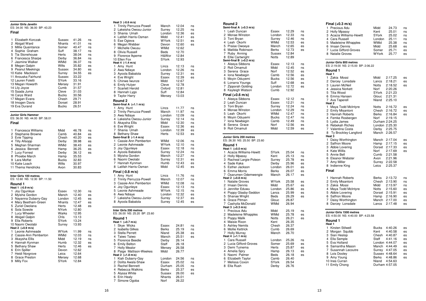| Junior Girls Javelin<br>ES: 34.00 NS: 36.00 BP: 43.23                                                                                                                                                                                                                                                                                                                                     |                                                                                                                                                                                           |                                                                                                                                                                         |                                                          |
|-------------------------------------------------------------------------------------------------------------------------------------------------------------------------------------------------------------------------------------------------------------------------------------------------------------------------------------------------------------------------------------------|-------------------------------------------------------------------------------------------------------------------------------------------------------------------------------------------|-------------------------------------------------------------------------------------------------------------------------------------------------------------------------|----------------------------------------------------------|
| Final                                                                                                                                                                                                                                                                                                                                                                                     |                                                                                                                                                                                           |                                                                                                                                                                         |                                                          |
| Elizabeth Korczak<br>1<br>2 Abigail Ward<br>3 Millie Quaintance<br>4 Sophie Graham<br>5 Tia Stonehouse<br>6 Francesca Sharpe<br>Jasmine Walker<br>7<br>8 Megan Galpin<br>9 Peanut Meekings<br>10 Katie Mackison<br>11 Anouska Fairhurst<br>12 Lauren Foletti<br>13 Megan Howarth<br>14 Lily Joyce<br>15 Saada Juma<br>16 Carys Ward<br>17 Megan Evans<br>18 Imogen Davis<br>19 Eva Durand | Sussex<br>Nhants<br>Somer<br>Suff<br>Herts<br>Derby<br>WMid<br>Wilts<br>Sussex<br>Surrey<br>Sussex<br>SYork<br>Mersey<br>Cumb<br>Cleve<br><b>Bucks</b><br>Chesh<br>Dorset<br><b>Bucks</b> | 41.26<br>41.01<br>40.47<br>38.17<br>38.04<br>36.84<br>36.37<br>35.82<br>34.80<br>34.55<br>33.22<br>33.16<br>31.91<br>31.57<br>31.03<br>30.56<br>29.71<br>28.91<br>26.51 | ns<br>ns<br>ns<br>ns<br>ns<br>ns<br>ns<br>es<br>es<br>es |
| <b>Junior Girls Hammer</b><br>ES: 36.00 NS: 44.00 BP: 58.01<br>Final                                                                                                                                                                                                                                                                                                                      |                                                                                                                                                                                           |                                                                                                                                                                         |                                                          |
| 1<br>Francesca Williams<br>2 Stephanie Browne<br>3 Evie Tipping<br>4 Tilly Allsopp<br>5 Meghan Sharman<br>6 Jessica Bennett<br>7<br>Lucy Forrest<br>8 Phoebe March<br>9 Lara Moffat<br>10 Katie Loach<br>11 Thema Hendricks                                                                                                                                                               | Midd<br>Camb<br>Chesh<br>Derby<br>WMid<br>Hamp<br>Derby<br>Hamp<br>Bucks<br>Wilts<br>Avon                                                                                                 | 46.78<br>40.84<br>40.20<br>38.98<br>38.43<br>36.25<br>36.12<br>35.53<br>32.83<br>30.97<br>30.83                                                                         | ns<br>es<br>es<br>es<br>es<br>es<br>es                   |
| Inter Girls 100 metres<br>ES: 12.60 NS: 12.30 BP: 11.50                                                                                                                                                                                                                                                                                                                                   |                                                                                                                                                                                           |                                                                                                                                                                         |                                                          |
| Round 1<br>Heat 1 (-0.9 m/s)<br>1<br>Joy Ogunleye<br>2 Myisha Gordon<br>3 Nayanna Dubarry-Gay<br>4 Mary Beetham-Green<br>5 Zuriel Owolana<br>6 Sola Sowole<br>Lucy Wheeler<br>7<br>8 Abigail Galpin<br>9 Ella Roberts<br>10 Naomi Owolabi<br>Heat 2 (+0.9 m/s)                                                                                                                            | Essex<br>Manch<br>London<br>Nhants<br>Herts<br>NYork<br>Warks<br>Chis<br>SYork<br>Surrey                                                                                                  | 12.30<br>12.40<br>12.45<br>12.47<br>12.48<br>12.80<br>12.95<br>13.13<br>13.24<br>13.93                                                                                  | ns<br>es<br>es<br>es<br>es                               |
| 1<br>Leonie Ashmeade<br>2 Cassie-Ann Pemberton<br>3 Akaysha Ellis<br>4 Hannah Kynman<br>5 Bethany Shaw<br>6 Erin Spiller<br>7 Heidi Norgrove<br>8 Grace Preston<br>9 Milly Fox                                                                                                                                                                                                            | WYork<br>WMid<br>Midd<br>Humb<br>Herts<br>Devon<br>Leics<br>Mersey<br>SYork                                                                                                               | 11.99<br>12.03<br>12.19<br>12.32<br>12.46<br>12.62<br>12.64<br>12.68<br>12.84                                                                                           | ns<br>ns<br>ns<br>es<br>es                               |

| Heat 3 (-0.6 m/s)                         |               |                |  |
|-------------------------------------------|---------------|----------------|--|
| Trinity Perruzza-Powell<br>1              | Manch         | 12.04          |  |
| 2 Lakeisha Owosu-Junior                   | Surrey        | 12.25          |  |
| 3 Shania Umah                             | London        | 12.36          |  |
| 4 Latifah Harris-Osman                    | Midd<br>WYork | 12.41<br>12.51 |  |
| 5 Ese Ogieva                              |               |                |  |
| 6 Megan Webber<br>7<br>Michelle Owusu     | Devon<br>WMid | 12.60<br>12.62 |  |
| 8 Olivia Russell                          | Beds          | 12.70          |  |
| 9 Florence Ikpeme                         | H&Wor         | 12.84          |  |
| 10 Ellen Fox                              | <b>SYork</b>  | 12.93          |  |
| Heat 4 (-1.4 m/s)                         |               |                |  |
| Amy Hunt<br>1                             | Lincs         | 12.13          |  |
| 2 Awa Ndiaye                              | London        | 12.26          |  |
| 3 Ayoola Babalola                         | Surrey        | 12.31          |  |
| 4 Eve Wright                              | Essex         | 12.39          |  |
| 5 Chinwe Iwunze                           | Midd          | 12.67          |  |
| 6 Emily Hulyer                            | Cleve         | 12.78          |  |
| 7 Scarlett Herold                         | Oxford        | 12.81          |  |
| 8<br>Hannah Lygo                          | Suff          | 12.84          |  |
| 9 Taylor Harry                            | Mersey        | 13.03          |  |
| Round 2                                   |               |                |  |
| Semi-final A (+1.1 m/s)                   |               |                |  |
| Amy Hunt<br>1                             | Lincs         | 11.77          |  |
| 2 Trinity Perruzza-Powell                 | Manch         | 11.97          |  |
| 3 Awa Ndiaye                              | London        | 12.09          |  |
| 4 Lakeisha Owosu-Junior                   | Surrey        | 12.14          |  |
| 5 Akaysha Ellis                           | Midd          | 12.30          |  |
| 6 Eve Wright                              | Essex         | 12.36          |  |
| 7<br>Shania Umah                          | London        | 12.39          |  |
| 8 Bethany Shaw<br>Semi-final B (-1.4 m/s) | Herts         | 12.53          |  |
| 1 Cassie-Ann Pemberton                    | WMid          | 12.06          |  |
| Leonie Ashmeade<br>2                      | WYork         | 12.10          |  |
| 3 Joy Ogunleye                            | Essex         | 12.18          |  |
| 4 Ayoola Babalola                         | Surrey        | 12.24          |  |
| 5 Myisha Gordon                           | Manch         | 12.27          |  |
| 6 Naomi Owolabi                           | Surrey        | 12.31          |  |
| Hannah Kynman<br>7                        | Humb          | 12.43          |  |
| 8 Latifah Harris-Osman                    | Midd          | 12.45          |  |
| Final (-0.8 m/s)                          |               |                |  |
| Amy Hunt<br>1                             | Lincs         | 11.76          |  |
| Trinity Perruzza-Powell<br>2              | Manch         | 12.07          |  |
| 3 Cassie-Ann Pemberton                    | WMid          | 12.08          |  |
| 4 Joy Ogunleye                            | Essex         | 12.13          |  |
| 5 Leonie Ashmeade                         | WYork         | 12.15          |  |
| 6 Awa Ndiaye                              | London        | 12.32          |  |
| 7 Lakeisha Owosu-Junior                   | Surrey        | 12.37          |  |
| 8 Ayoola Babalola                         | Surrey        | 12.45          |  |
|                                           |               |                |  |
| Inter Girls 200 metres                    |               |                |  |
| ES: 26.00 NS: 25.20 BP: 23.60             |               |                |  |
| Round 1                                   |               |                |  |
| Heat 1 (+0.7 m/s)                         |               |                |  |
| Skye Wicks<br>1                           | Essex         | 24.81          |  |
| 2 Isabella Gilkes                         | Berks         | 25.19          |  |
| 3 Stella Perrett                          | Nland         | 25.38          |  |
| 4 Taiwo Taiwo                             | Manch         | 25.51          |  |
| 5 Florence Beedie                         | Derby         | 26.14          |  |
| 6 Emily Belton                            | Staff         | 26.18          |  |
| 7<br><b>Holly Mealor</b>                  | Mersey        | 26.58          |  |
| 8<br>Paige Mattison-Weekes                | Midd          | 26.77          |  |
| Heat 2 (+1.8 m/s)                         |               |                |  |
| Kiah Dubarry-Gay<br>1                     | London        | 24.56          |  |
| 2 Dolita Awala-Shaw                       | Essex         | 25.02          |  |
| 3 Rachel Bennett                          | Durham        | 25.05          |  |
| 4 Rebecca Watkins                         | Berks         | 25.37          |  |
| 5 Alyssa White                            | Sussex        | 26.00          |  |
| 6 Erin Healy                              | Nhants        | 26.01          |  |
| 7<br>Simone Ogoba                         | Norf          | 26.22          |  |

ns

 $ns$ 

 $es$ 

es

es

es

ns

ns

es

es

ns

ns

 $ns$ 

ns

 $ns$ 

es

es

 $es$ 

 $ns$ 

 $ns$ 

ns

ns

 $ns$ 

es

es

es

 $ns$ 

ns

 $ns$ 

 $ns$ 

ns

 $es$ 

es

es

ns

 $ns$ 

es

es

ns

 $ns$ 

ns es es

| Round 2                                         |                     |                |
|-------------------------------------------------|---------------------|----------------|
| Semi-final A (+0.3 m/s)                         |                     |                |
| 1<br>Leah Duncan                                | Essex               | 12.29          |
| 2<br>Monae Winston<br>3<br>Toni Bryan           | London<br>Surrey    | 12.33<br>12.46 |
| 4 Leah Okorhi                                   | WMid                | 12.53          |
| 5<br>Praise Owoeye                              | Manch               | 12.65          |
| Matilda Robinson<br>6                           | Berks               | 12.73          |
| 7<br>Ruby Anning                                | Sussex              | 12.84          |
| 8 Ellie Cartwright                              | Notts               | 12.89          |
| Semi-final B (+0.2 m/s)<br>1                    | Essex               | 12.13          |
| Aleeya Sibbons<br>Roli Omamuli<br>2             | Midd                | 12.45          |
| 3<br>Serena Grace                               | Norf                | 12.52          |
| 4<br>Iona Newbegin                              | Camb                | 12.56          |
| 5<br>Moyin Oduyemi                              | Bucks               | 12.56          |
| Lonarra Youngs<br>6                             | Suff                | 12.68          |
| 7<br>Zipporah Golding                           | London              | 12.72          |
| 8<br>Kayleigh Watson                            | Cumb                | 12.92          |
| Final (+0.6 m/s)                                |                     |                |
| 1<br>Aleeya Sibbons                             | Essex               | 12.12          |
| Leah Duncan<br>2<br>3<br>Toni Bryan             | Essex<br>Surrey     | 12.21<br>12.24 |
| 4<br>Monae Winston                              | London              | 12.29          |
| 5<br>Leah Okorhi                                | WMid                | 12.47          |
| Moyin Oduyemi<br>6                              | <b>Bucks</b>        | 12.47          |
| 7<br>Iona Newbegin                              | Camb                | 12.49          |
| 8<br>Serena Grace                               | Norf                | 12.56          |
| 9<br>Roli Omamuli                               | Midd                | 12.59          |
|                                                 |                     |                |
| Round 1<br>Heat 1 (+0.0 m/s)                    |                     |                |
| 1<br>Acacia Williams-Hewitt<br>2                | SYork               | 25.04          |
| <b>Holly Mpassy</b><br>3                        | Kent<br>Surrey      | 25.13<br>25.78 |
| Racheal Largie-Poleon<br>4<br>Sade Kaka         | Derby               | 25.96          |
| 5<br>Esther Jackson                             | London              | 26.01          |
| 6<br><b>Emma Morris</b>                         | Berks               | 26.07          |
| 7<br>Osarumen Odemwengie                        | Manch               | 26.17          |
| Heat 2 (+0.8 m/s)<br>1<br><b>Natalie Groves</b> | <b>WYork</b>        | 25.58          |
| Imaan Dennis<br>2                               | Midd                | 25.67          |
| Jennifer Eduwu<br>3                             | London              | 25.86          |
| 4<br>Poppy Glasby-Seddon                        | Lancs               | 25.99          |
| 5<br>Shanae Wright                              | <b>Beds</b>         | 26.29          |
| Grace Pitman<br>6                               | Glouc               | 26.87          |
| Cashyila McDonald<br>7                          | WMid                | 26.94          |
| Heat 3 (+0.3 m/s)<br>1<br>Precious Adu          | Midd                | 25.19          |
| 2<br>Madeleine Whapples                         | WMid                | 25.78          |
| 3<br>Poppy Malik                                | Notts               | 26.21          |
| 4<br>Maisie Rixon                               | Kent                | 26.35          |
| 5<br><b>Ashley Nemits</b>                       | Chesh               | 26.37          |
| 6<br>Mollie Kettrick<br>7                       | Cumb                | 26.69          |
| <b>Holly Murray</b><br>Heat 4 (+1.1 m/s)        | Manch               | 26.70          |
| 1<br>Cara Russell                               | London              | 25.26          |
| Lucia Gifford-Groves<br>2                       | Somer               | 25.69          |
| 3<br>Demi Tuinema                               | Herts               | 25.87          |
| 4<br>Amelia Spry                                | Hamp                | 26.13          |
| 5 Naomi Palmer<br>6                             | <b>Beds</b><br>Camb | 26.18          |
| Elizabeth Taylor<br>7<br>Melissa Coxon          | <b>SYork</b>        | 26.40<br>26.54 |
| 8<br>Ella Rush                                  | Derby               | 26.76          |

| Final (+0.3 m/s)<br>1 Precious Adu<br>2 Holly Mpassy<br>3 Acacia Williams-Hewitt<br>4 Cara Russell<br>5 Madeleine Whapples<br>6 Imaan Dennis<br>7 Lucia Gifford-Groves<br>8 Natalie Groves                              | Midd<br>24.73<br>Kent<br>25.01<br>SYork<br>25.02<br>25.11<br>London<br>WMid<br>25.38<br>Midd<br>25.68<br>Somer<br>25.71<br>WYork<br>25.77                                                                          | ns<br>ns<br>ns<br>ns<br>ns<br>es<br>es<br>es       |
|-------------------------------------------------------------------------------------------------------------------------------------------------------------------------------------------------------------------------|--------------------------------------------------------------------------------------------------------------------------------------------------------------------------------------------------------------------|----------------------------------------------------|
| Junior Girls 800 metres<br>ES: 2:19.00 NS: 2:15.00 BP: 2:06.22                                                                                                                                                          |                                                                                                                                                                                                                    |                                                    |
| Round 1<br>Heat 1                                                                                                                                                                                                       |                                                                                                                                                                                                                    |                                                    |
| Zakia Mossi<br>1<br>2 Darcey Lonsdale<br>3 Lauren McNeil<br>$\overline{4}$<br>Jessica Norkett<br>Tilia Wood<br>5<br>6 Emma Hansen<br>7 Ava Taperell<br>Heat <sub>2</sub>                                                | Midd<br>2:17.25<br>2:18.21<br>Lancs<br>Notts<br>2:18.52<br>Norf<br>2:20.26<br>SYork<br>2:21.23<br>2:21.31<br>Glouc<br>2:25.10<br>Nland                                                                             | es<br>es<br>es                                     |
| Maya Todd McIntyre<br>1<br>2 Emily Misantoni<br>3 Hannah Roberts<br>4 Femke Rosbergen<br>5 Lydia James<br>Rebekah Riches<br>6<br>Valentina Costa<br>7<br>8<br>Ty Brockley-Langford<br>Heat <sub>3</sub>                 | Notts<br>2:16.72<br>Chesh<br>2:16.72<br>Berks<br>2:16.84<br>Norf<br>2:19.15<br>Durham 2:24.25<br>London 2:25.30<br>2:25.75<br>Derby<br>Manch<br>2:26.57                                                            | es<br>es<br>es                                     |
| Daisy Worthington<br>1<br>2<br>Saffron Moore<br>3 Abbie Lovering<br>4 Kate Willis<br>5 Annie Bell<br>Eleanor Webster<br>6<br>7<br>Amy Miller<br>8 Indienne King                                                         | 2:17.04<br>Manch<br>Hamp<br>2:17.15<br>Dorset<br>2:17.33<br>Norf<br>2:17.69<br>Cumb<br>2:21.58<br>Avon<br>2:21.96<br>2:22.58<br>Surrey<br>Leics<br>2:25.37                                                         | es<br>es<br>es<br>es                               |
| Final                                                                                                                                                                                                                   |                                                                                                                                                                                                                    |                                                    |
| 1<br>Hannah Roberts<br>2<br>Emily Misantoni<br>3 Zakia Mossi<br>4 Maya Todd McIntyre<br>5 Abbie Lovering<br>6 Saffron Moore<br>7 Daisy Worthington<br>8 Darcey Lonsdale                                                 | Berks<br>2:13.72<br>Chesh<br>2:13.90<br>Midd<br>2:13.97<br>2:15.60<br>Notts<br>Dorset<br>2:15.91<br>2:16.90<br>Hamp<br>Manch<br>2:17.00<br>2:17.48<br>Lancs                                                        | ns<br>ns<br>ns<br>es<br>es<br>es<br>es<br>es       |
| Junior Girls 1500 metres<br>ES: 4:50.00 NS: 4:40.00 BP: 4:23.58<br>Round 1                                                                                                                                              |                                                                                                                                                                                                                    |                                                    |
| Heat 1<br>1<br>Kirsten Stilwell<br>2 Morgan Squibb<br>3 Sian Heslop<br>4 Ella Semple<br>5 Eva Holland<br>6 Samantha Mason<br>7<br>Susannah Lecoutre<br>8 Lois Dooley<br>9 Amy Young<br>10 Ines Curran<br>11 Emily Chong | 4:40.26<br>Bucks<br>Kent<br>4:40.58<br>Chesh<br>4:40.87<br>Staff<br>4:41.16<br>London 4:44.07<br>Manch<br>4:44.49<br>4:47.05<br>Surrey<br>Sussex 4:48.64<br>Berks<br>4:48.86<br>4:54.63<br>Nland<br>Durham 4:57.05 | es<br>es<br>es<br>es<br>es<br>es<br>es<br>es<br>es |

ns

ns

ns

 $\mathop{\mathsf{es}}$ 

es

es

ns

ns

es

es

 $es$ 

es

es

ns

 $ns$ 

ns

 $ns$ 

 $ns$ 

ns

ns

es

es

ns

ns

es

es

es

 $\overline{e}$ 

es

es

es

 $\mathop{\mathsf{es}}$ 

es

es

ns

es

es

ns

es

es

es